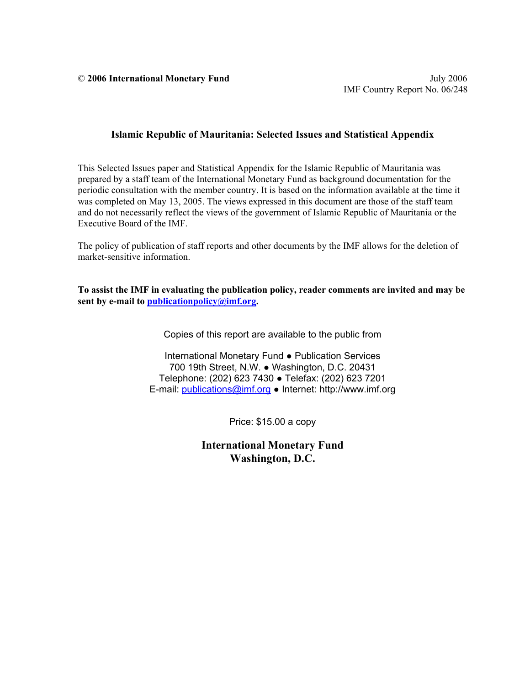© **2006 International Monetary Fund** July 2006

#### **Islamic Republic of Mauritania: Selected Issues and Statistical Appendix**

This Selected Issues paper and Statistical Appendix for the Islamic Republic of Mauritania was prepared by a staff team of the International Monetary Fund as background documentation for the periodic consultation with the member country. It is based on the information available at the time it was completed on May 13, 2005. The views expressed in this document are those of the staff team and do not necessarily reflect the views of the government of Islamic Republic of Mauritania or the Executive Board of the IMF.

The policy of publication of staff reports and other documents by the IMF allows for the deletion of market-sensitive information.

**To assist the IMF in evaluating the publication policy, reader comments are invited and may be sent by e-mail to publicationpolicy@imf.org.** 

Copies of this report are available to the public from

International Monetary Fund ● Publication Services 700 19th Street, N.W. ● Washington, D.C. 20431 Telephone: (202) 623 7430 ● Telefax: (202) 623 7201 E-mail: publications@imf.org ● Internet: http://www.imf.org

Price: \$15.00 a copy

**International Monetary Fund Washington, D.C.**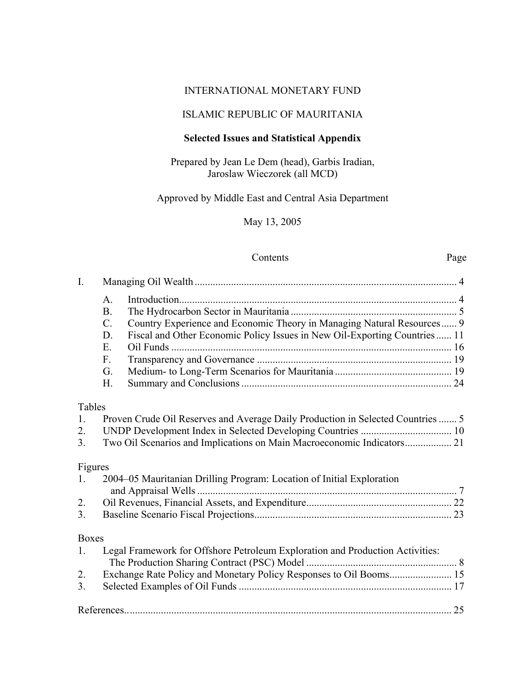### INTERNATIONAL MONETARY FUND

# ISLAMIC REPUBLIC OF MAURITANIA

# **Selected Issues and Statistical Appendix**

### Prepared by Jean Le Dem (head), Garbis Iradian, Jaroslaw Wieczorek (all MCD)

# Approved by Middle East and Central Asia Department

May 13, 2005

### Contents Page

| I.           |                |                                                                                 |  |
|--------------|----------------|---------------------------------------------------------------------------------|--|
|              | $\mathbf{A}$ . |                                                                                 |  |
|              | B.             |                                                                                 |  |
|              | $C$ .          | Country Experience and Economic Theory in Managing Natural Resources 9          |  |
|              | D.             | Fiscal and Other Economic Policy Issues in New Oil-Exporting Countries 11       |  |
|              | E.             |                                                                                 |  |
|              | $F_{\cdot}$    |                                                                                 |  |
|              | G.             |                                                                                 |  |
|              | H.             |                                                                                 |  |
| Tables       |                |                                                                                 |  |
| 1.           |                | Proven Crude Oil Reserves and Average Daily Production in Selected Countries  5 |  |
| 2.           |                |                                                                                 |  |
| 3.           |                | Two Oil Scenarios and Implications on Main Macroeconomic Indicators 21          |  |
| Figures      |                |                                                                                 |  |
| 1.           |                | 2004–05 Mauritanian Drilling Program: Location of Initial Exploration           |  |
|              |                |                                                                                 |  |
| 2.           |                |                                                                                 |  |
| 3.           |                |                                                                                 |  |
| <b>Boxes</b> |                |                                                                                 |  |
| 1.           |                | Legal Framework for Offshore Petroleum Exploration and Production Activities:   |  |
| 2.           |                |                                                                                 |  |
| 3.           |                |                                                                                 |  |
|              |                |                                                                                 |  |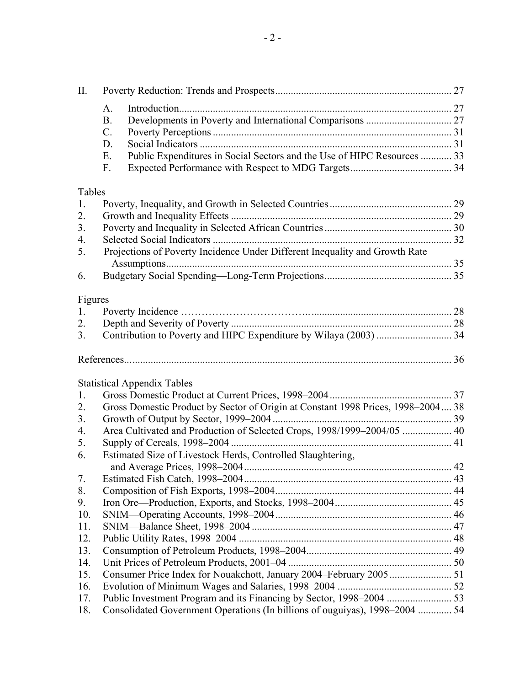| II.     |                                                                                  |    |
|---------|----------------------------------------------------------------------------------|----|
|         | A.                                                                               |    |
|         | <b>B.</b>                                                                        |    |
|         | $C$ .                                                                            |    |
|         | D.                                                                               |    |
|         | Public Expenditures in Social Sectors and the Use of HIPC Resources  33<br>E.    |    |
|         | F.                                                                               |    |
|         |                                                                                  |    |
| Tables  |                                                                                  |    |
| 1.      |                                                                                  |    |
| 2.      |                                                                                  |    |
| 3.      |                                                                                  |    |
| 4.      |                                                                                  |    |
| 5.      | Projections of Poverty Incidence Under Different Inequality and Growth Rate      |    |
|         |                                                                                  |    |
| 6.      |                                                                                  |    |
| Figures |                                                                                  |    |
| 1.      |                                                                                  |    |
| 2.      |                                                                                  |    |
| 3.      |                                                                                  |    |
|         |                                                                                  |    |
|         |                                                                                  |    |
|         | <b>Statistical Appendix Tables</b>                                               |    |
| 1.      |                                                                                  |    |
| 2.      | Gross Domestic Product by Sector of Origin at Constant 1998 Prices, 1998–2004 38 |    |
| 3.      |                                                                                  |    |
| 4.      | Area Cultivated and Production of Selected Crops, 1998/1999-2004/05  40          |    |
| 5.      |                                                                                  |    |
| 6.      | Estimated Size of Livestock Herds, Controlled Slaughtering,                      |    |
|         |                                                                                  | 42 |
| 7.      |                                                                                  |    |
| 8.      |                                                                                  |    |
| 9.      |                                                                                  |    |
| 10.     |                                                                                  |    |
| 11.     |                                                                                  |    |
| 12.     |                                                                                  |    |
| 13.     |                                                                                  |    |
| 14.     |                                                                                  |    |
| 15.     |                                                                                  |    |
| 16.     |                                                                                  |    |
| 17.     |                                                                                  |    |
| 18.     | Consolidated Government Operations (In billions of ouguiyas), 1998–2004  54      |    |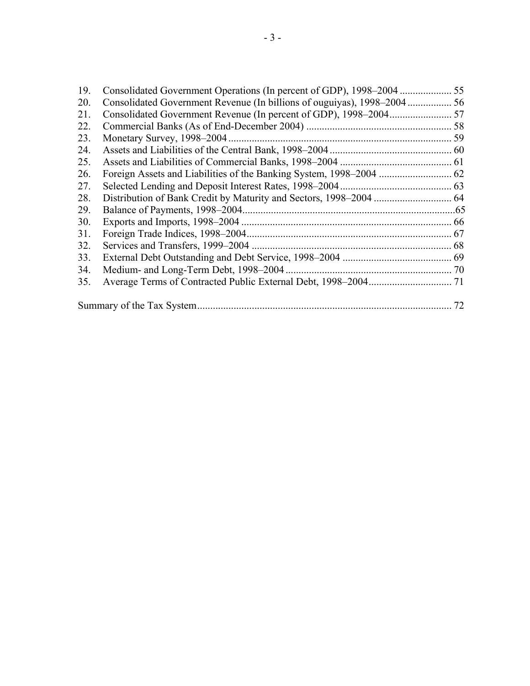| 19. |    |
|-----|----|
| 20. |    |
| 21. |    |
| 22. |    |
| 23. |    |
| 24. |    |
| 25. |    |
| 26. |    |
| 27. |    |
| 28. |    |
| 29. |    |
| 30. |    |
| 31. |    |
| 32. |    |
| 33. |    |
| 34. |    |
| 35. |    |
|     | 72 |
|     |    |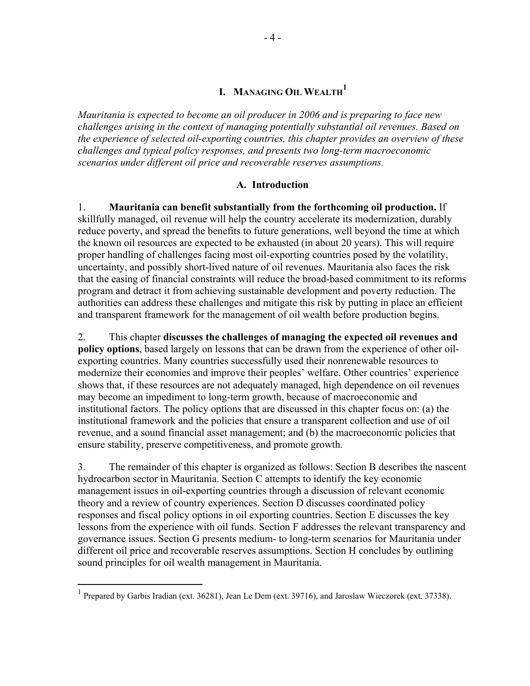# **I. MANAGING OIL WEALTH 1**

*Mauritania is expected to become an oil producer in 2006 and is preparing to face new challenges arising in the context of managing potentially substantial oil revenues. Based on the experience of selected oil-exporting countries, this chapter provides an overview of these challenges and typical policy responses, and presents two long-term macroeconomic scenarios under different oil price and recoverable reserves assumptions.* 

#### **A. Introduction**

1. **Mauritania can benefit substantially from the forthcoming oil production.** If skillfully managed, oil revenue will help the country accelerate its modernization, durably reduce poverty, and spread the benefits to future generations, well beyond the time at which the known oil resources are expected to be exhausted (in about 20 years). This will require proper handling of challenges facing most oil-exporting countries posed by the volatility, uncertainty, and possibly short-lived nature of oil revenues. Mauritania also faces the risk that the easing of financial constraints will reduce the broad-based commitment to its reforms program and detract it from achieving sustainable development and poverty reduction. The authorities can address these challenges and mitigate this risk by putting in place an efficient and transparent framework for the management of oil wealth before production begins.

2. This chapter **discusses the challenges of managing the expected oil revenues and policy options**, based largely on lessons that can be drawn from the experience of other oilexporting countries. Many countries successfully used their nonrenewable resources to modernize their economies and improve their peoples' welfare. Other countries' experience shows that, if these resources are not adequately managed, high dependence on oil revenues may become an impediment to long-term growth, because of macroeconomic and institutional factors. The policy options that are discussed in this chapter focus on: (a) the institutional framework and the policies that ensure a transparent collection and use of oil revenue, and a sound financial asset management; and (b) the macroeconomic policies that ensure stability, preserve competitiveness, and promote growth.

3. The remainder of this chapter is organized as follows: Section B describes the nascent hydrocarbon sector in Mauritania. Section C attempts to identify the key economic management issues in oil-exporting countries through a discussion of relevant economic theory and a review of country experiences. Section D discusses coordinated policy responses and fiscal policy options in oil exporting countries. Section E discusses the key lessons from the experience with oil funds. Section F addresses the relevant transparency and governance issues. Section G presents medium- to long-term scenarios for Mauritania under different oil price and recoverable reserves assumptions. Section H concludes by outlining sound principles for oil wealth management in Mauritania.

<sup>&</sup>lt;sup>1</sup> Prepared by Garbis Iradian (ext. 36281), Jean Le Dem (ext. 39716), and Jaroslaw Wieczorek (ext. 37338).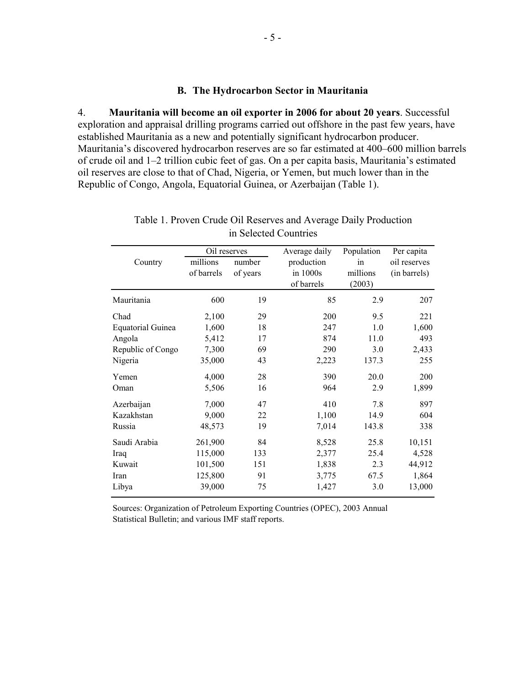#### **B. The Hydrocarbon Sector in Mauritania**

4. **Mauritania will become an oil exporter in 2006 for about 20 years**. Successful exploration and appraisal drilling programs carried out offshore in the past few years, have established Mauritania as a new and potentially significant hydrocarbon producer. Mauritania's discovered hydrocarbon reserves are so far estimated at 400–600 million barrels of crude oil and 1–2 trillion cubic feet of gas. On a per capita basis, Mauritania's estimated oil reserves are close to that of Chad, Nigeria, or Yemen, but much lower than in the Republic of Congo, Angola, Equatorial Guinea, or Azerbaijan (Table 1).

|                          | Oil reserves           |                    | Average daily                        | Population               | Per capita                   |
|--------------------------|------------------------|--------------------|--------------------------------------|--------------------------|------------------------------|
| Country                  | millions<br>of barrels | number<br>of years | production<br>in 1000s<br>of barrels | in<br>millions<br>(2003) | oil reserves<br>(in barrels) |
| Mauritania               | 600                    | 19                 | 85                                   | 2.9                      | 207                          |
| Chad                     | 2,100                  | 29                 | 200                                  | 9.5                      | 221                          |
| <b>Equatorial Guinea</b> | 1,600                  | 18                 | 247                                  | 1.0                      | 1,600                        |
| Angola                   | 5,412                  | 17                 | 874                                  | 11.0                     | 493                          |
| Republic of Congo        | 7,300                  | 69                 | 290                                  | 3.0                      | 2,433                        |
| Nigeria                  | 35,000                 | 43                 | 2,223                                | 137.3                    | 255                          |
| Yemen                    | 4,000                  | 28                 | 390                                  | 20.0                     | 200                          |
| Oman                     | 5,506                  | 16                 | 964                                  | 2.9                      | 1,899                        |
| Azerbaijan               | 7,000                  | 47                 | 410                                  | 7.8                      | 897                          |
| Kazakhstan               | 9,000                  | 22                 | 1,100                                | 14.9                     | 604                          |
| Russia                   | 48,573                 | 19                 | 7,014                                | 143.8                    | 338                          |
| Saudi Arabia             | 261,900                | 84                 | 8,528                                | 25.8                     | 10,151                       |
| Iraq                     | 115,000                | 133                | 2,377                                | 25.4                     | 4,528                        |
| Kuwait                   | 101,500                | 151                | 1,838                                | 2.3                      | 44,912                       |
| Iran                     | 125,800                | 91                 | 3,775                                | 67.5                     | 1,864                        |
| Libya                    | 39,000                 | 75                 | 1,427                                | 3.0                      | 13,000                       |

Table 1. Proven Crude Oil Reserves and Average Daily Production in Selected Countries

Sources: Organization of Petroleum Exporting Countries (OPEC), 2003 Annual Statistical Bulletin; and various IMF staff reports.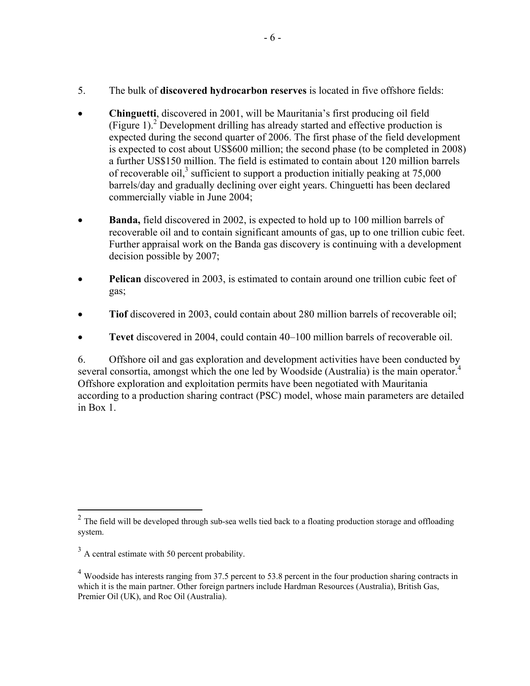- 5. The bulk of **discovered hydrocarbon reserves** is located in five offshore fields:
- **Chinguetti**, discovered in 2001, will be Mauritania's first producing oil field (Figure 1).<sup>2</sup> Development drilling has already started and effective production is expected during the second quarter of 2006. The first phase of the field development is expected to cost about US\$600 million; the second phase (to be completed in 2008) a further US\$150 million. The field is estimated to contain about 120 million barrels of recoverable oil,<sup>3</sup> sufficient to support a production initially peaking at  $75,000$ barrels/day and gradually declining over eight years. Chinguetti has been declared commercially viable in June 2004;
- **Banda,** field discovered in 2002, is expected to hold up to 100 million barrels of recoverable oil and to contain significant amounts of gas, up to one trillion cubic feet. Further appraisal work on the Banda gas discovery is continuing with a development decision possible by 2007;
- **Pelican** discovered in 2003, is estimated to contain around one trillion cubic feet of gas;
- **Tiof** discovered in 2003, could contain about 280 million barrels of recoverable oil;
- **Tevet** discovered in 2004, could contain 40–100 million barrels of recoverable oil.

6. Offshore oil and gas exploration and development activities have been conducted by several consortia, amongst which the one led by Woodside (Australia) is the main operator.<sup>4</sup> Offshore exploration and exploitation permits have been negotiated with Mauritania according to a production sharing contract (PSC) model, whose main parameters are detailed in Box 1.

 $2^2$  The field will be developed through sub-sea wells tied back to a floating production storage and offloading system.

 $3 \text{ A central estimate with } 50 \text{ percent probability.}$ 

 $^{4}$  Woodside has interests ranging from 37.5 percent to 53.8 percent in the four production sharing contracts in which it is the main partner. Other foreign partners include Hardman Resources (Australia), British Gas, Premier Oil (UK), and Roc Oil (Australia).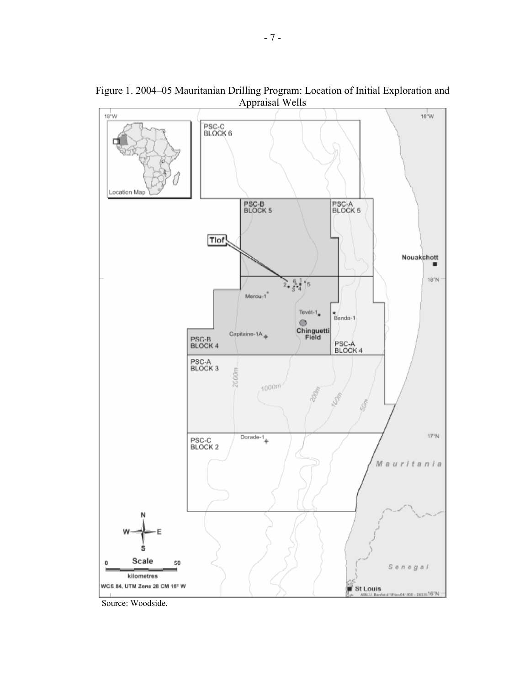$18^{\circ}$ W  $18^{\circ}$ W PSC-C<br>BLOCK 6 Location Map PSC-B<br>BLOCK 5 **PSC-A**<br>BLOCK 5 Tlof! Nouakchott  $18^{\circ}$  N  $2 \frac{6}{3} \frac{1}{4}$   $6$ Merou-1 Tevét-1<sub>\*</sub> Banda-1 O Chinguetti<br>Field Capitaine-1A $_{\Phi}$ PSC-B<br>BLOCK 4 PSC-A<br>BLOCK 4 PSC-A<br>BLOCK 3 2000m 1000m 10g  $Dorade-1$  $17^{\circ}$ N PSC-C<br>BLOCK 2 itania Mau r Scale 50 0 Senegal kilometres WCE 84, UTM Zone 28 CM 15° W St Louis (800 - 2635516°N

Figure 1. 2004–05 Mauritanian Drilling Program: Location of Initial Exploration and Appraisal Wells

Source: Woodside.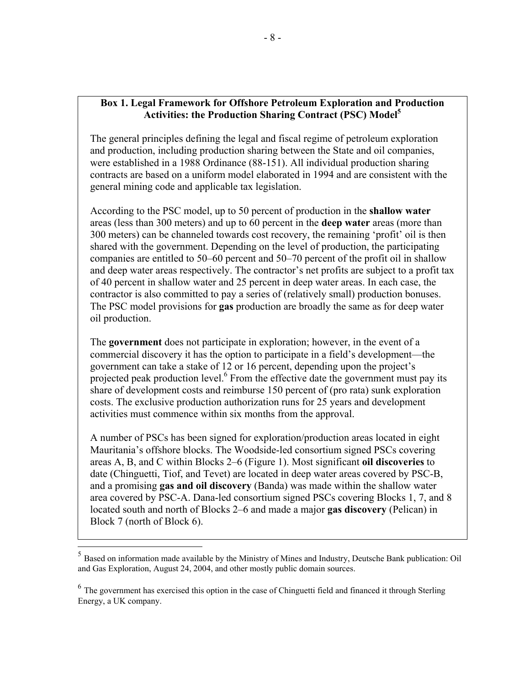### **Box 1. Legal Framework for Offshore Petroleum Exploration and Production Activities: the Production Sharing Contract (PSC) Model5**

The general principles defining the legal and fiscal regime of petroleum exploration and production, including production sharing between the State and oil companies, were established in a 1988 Ordinance (88-151). All individual production sharing contracts are based on a uniform model elaborated in 1994 and are consistent with the general mining code and applicable tax legislation.

According to the PSC model, up to 50 percent of production in the **shallow water** areas (less than 300 meters) and up to 60 percent in the **deep water** areas (more than 300 meters) can be channeled towards cost recovery, the remaining 'profit' oil is then shared with the government. Depending on the level of production, the participating companies are entitled to 50–60 percent and 50–70 percent of the profit oil in shallow and deep water areas respectively. The contractor's net profits are subject to a profit tax of 40 percent in shallow water and 25 percent in deep water areas. In each case, the contractor is also committed to pay a series of (relatively small) production bonuses. The PSC model provisions for **gas** production are broadly the same as for deep water oil production.

The **government** does not participate in exploration; however, in the event of a commercial discovery it has the option to participate in a field's development—the government can take a stake of 12 or 16 percent, depending upon the project's projected peak production level.<sup>6</sup> From the effective date the government must pay its share of development costs and reimburse 150 percent of (pro rata) sunk exploration costs. The exclusive production authorization runs for 25 years and development activities must commence within six months from the approval.

A number of PSCs has been signed for exploration/production areas located in eight Mauritania's offshore blocks. The Woodside-led consortium signed PSCs covering areas A, B, and C within Blocks 2–6 (Figure 1). Most significant **oil discoveries** to date (Chinguetti, Tiof, and Tevet) are located in deep water areas covered by PSC-B, and a promising **gas and oil discovery** (Banda) was made within the shallow water area covered by PSC-A. Dana-led consortium signed PSCs covering Blocks 1, 7, and 8 located south and north of Blocks 2–6 and made a major **gas discovery** (Pelican) in Block 7 (north of Block 6).

 $\overline{a}$ 

<sup>5</sup> Based on information made available by the Ministry of Mines and Industry, Deutsche Bank publication: Oil and Gas Exploration, August 24, 2004, and other mostly public domain sources.

<sup>&</sup>lt;sup>6</sup> The government has exercised this option in the case of Chinguetti field and financed it through Sterling Energy, a UK company.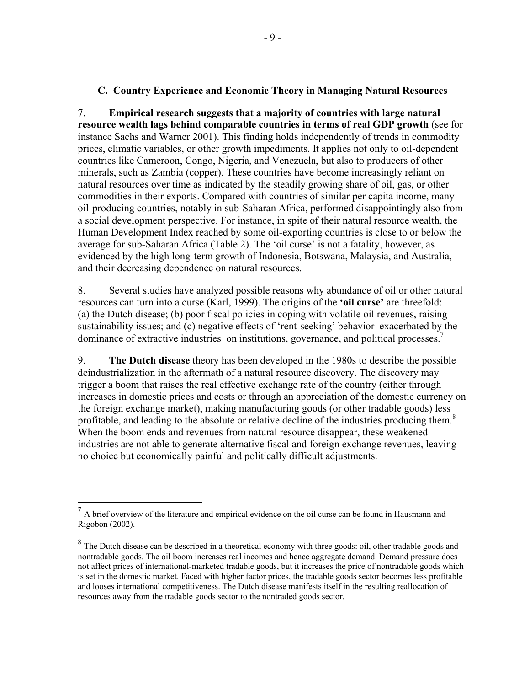### **C. Country Experience and Economic Theory in Managing Natural Resources**

7. **Empirical research suggests that a majority of countries with large natural resource wealth lags behind comparable countries in terms of real GDP growth** (see for instance Sachs and Warner 2001). This finding holds independently of trends in commodity prices, climatic variables, or other growth impediments. It applies not only to oil-dependent countries like Cameroon, Congo, Nigeria, and Venezuela, but also to producers of other minerals, such as Zambia (copper). These countries have become increasingly reliant on natural resources over time as indicated by the steadily growing share of oil, gas, or other commodities in their exports. Compared with countries of similar per capita income, many oil-producing countries, notably in sub-Saharan Africa, performed disappointingly also from a social development perspective. For instance, in spite of their natural resource wealth, the Human Development Index reached by some oil-exporting countries is close to or below the average for sub-Saharan Africa (Table 2). The 'oil curse' is not a fatality, however, as evidenced by the high long-term growth of Indonesia, Botswana, Malaysia, and Australia, and their decreasing dependence on natural resources.

8. Several studies have analyzed possible reasons why abundance of oil or other natural resources can turn into a curse (Karl, 1999). The origins of the **'oil curse'** are threefold: (a) the Dutch disease; (b) poor fiscal policies in coping with volatile oil revenues, raising sustainability issues; and (c) negative effects of 'rent-seeking' behavior–exacerbated by the dominance of extractive industries–on institutions, governance, and political processes.<sup>7</sup>

9. **The Dutch disease** theory has been developed in the 1980s to describe the possible deindustrialization in the aftermath of a natural resource discovery. The discovery may trigger a boom that raises the real effective exchange rate of the country (either through increases in domestic prices and costs or through an appreciation of the domestic currency on the foreign exchange market), making manufacturing goods (or other tradable goods) less profitable, and leading to the absolute or relative decline of the industries producing them.<sup>8</sup> When the boom ends and revenues from natural resource disappear, these weakened industries are not able to generate alternative fiscal and foreign exchange revenues, leaving no choice but economically painful and politically difficult adjustments.

 $<sup>7</sup>$  A brief overview of the literature and empirical evidence on the oil curse can be found in Hausmann and</sup> Rigobon (2002).

<sup>&</sup>lt;sup>8</sup> The Dutch disease can be described in a theoretical economy with three goods: oil, other tradable goods and nontradable goods. The oil boom increases real incomes and hence aggregate demand. Demand pressure does not affect prices of international-marketed tradable goods, but it increases the price of nontradable goods which is set in the domestic market. Faced with higher factor prices, the tradable goods sector becomes less profitable and looses international competitiveness. The Dutch disease manifests itself in the resulting reallocation of resources away from the tradable goods sector to the nontraded goods sector.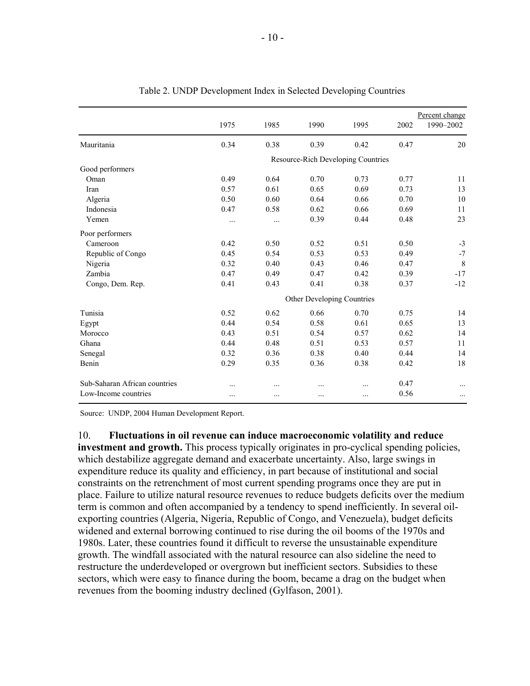|                               | 1975                       | 1985      | 1990                               | 1995 | 2002 | Percent change<br>1990-2002 |  |  |  |  |
|-------------------------------|----------------------------|-----------|------------------------------------|------|------|-----------------------------|--|--|--|--|
| Mauritania                    | 0.34                       | 0.38      | 0.39                               | 0.42 | 0.47 | 20                          |  |  |  |  |
|                               |                            |           | Resource-Rich Developing Countries |      |      |                             |  |  |  |  |
| Good performers               |                            |           |                                    |      |      |                             |  |  |  |  |
| Oman                          | 0.49                       | 0.64      | 0.70                               | 0.73 | 0.77 | 11                          |  |  |  |  |
| Iran                          | 0.57                       | 0.61      | 0.65                               | 0.69 | 0.73 | 13                          |  |  |  |  |
| Algeria                       | 0.50                       | 0.60      | 0.64                               | 0.66 | 0.70 | 10                          |  |  |  |  |
| Indonesia                     | 0.47                       | 0.58      | 0.62                               | 0.66 | 0.69 | 11                          |  |  |  |  |
| Yemen                         |                            | .         | 0.39                               | 0.44 | 0.48 | 23                          |  |  |  |  |
| Poor performers               |                            |           |                                    |      |      |                             |  |  |  |  |
| Cameroon                      | 0.42                       | 0.50      | 0.52                               | 0.51 | 0.50 | $-3$                        |  |  |  |  |
| Republic of Congo             | 0.45                       | 0.54      | 0.53                               | 0.53 | 0.49 | $-7$                        |  |  |  |  |
| Nigeria                       | 0.32                       | 0.40      | 0.43                               | 0.46 | 0.47 | 8                           |  |  |  |  |
| Zambia                        | 0.47                       | 0.49      | 0.47                               | 0.42 | 0.39 | $-17$                       |  |  |  |  |
| Congo, Dem. Rep.              | 0.41                       | 0.43      | 0.41                               | 0.38 | 0.37 | $-12$                       |  |  |  |  |
|                               | Other Developing Countries |           |                                    |      |      |                             |  |  |  |  |
| Tunisia                       | 0.52                       | 0.62      | 0.66                               | 0.70 | 0.75 | 14                          |  |  |  |  |
| Egypt                         | 0.44                       | 0.54      | 0.58                               | 0.61 | 0.65 | 13                          |  |  |  |  |
| Morocco                       | 0.43                       | 0.51      | 0.54                               | 0.57 | 0.62 | 14                          |  |  |  |  |
| Ghana                         | 0.44                       | 0.48      | 0.51                               | 0.53 | 0.57 | 11                          |  |  |  |  |
| Senegal                       | 0.32                       | 0.36      | 0.38                               | 0.40 | 0.44 | 14                          |  |  |  |  |
| Benin                         | 0.29                       | 0.35      | 0.36                               | 0.38 | 0.42 | 18                          |  |  |  |  |
| Sub-Saharan African countries |                            | $\ddotsc$ |                                    | .    | 0.47 |                             |  |  |  |  |
| Low-Income countries          |                            | $\ddotsc$ | $\ddotsc$                          | .    | 0.56 |                             |  |  |  |  |

| Table 2. UNDP Development Index in Selected Developing Countries |  |  |  |
|------------------------------------------------------------------|--|--|--|
|                                                                  |  |  |  |

Source: UNDP, 2004 Human Development Report.

10. **Fluctuations in oil revenue can induce macroeconomic volatility and reduce investment and growth.** This process typically originates in pro-cyclical spending policies, which destabilize aggregate demand and exacerbate uncertainty. Also, large swings in expenditure reduce its quality and efficiency, in part because of institutional and social constraints on the retrenchment of most current spending programs once they are put in place. Failure to utilize natural resource revenues to reduce budgets deficits over the medium term is common and often accompanied by a tendency to spend inefficiently. In several oilexporting countries (Algeria, Nigeria, Republic of Congo, and Venezuela), budget deficits widened and external borrowing continued to rise during the oil booms of the 1970s and 1980s. Later, these countries found it difficult to reverse the unsustainable expenditure growth. The windfall associated with the natural resource can also sideline the need to restructure the underdeveloped or overgrown but inefficient sectors. Subsidies to these sectors, which were easy to finance during the boom, became a drag on the budget when revenues from the booming industry declined (Gylfason, 2001).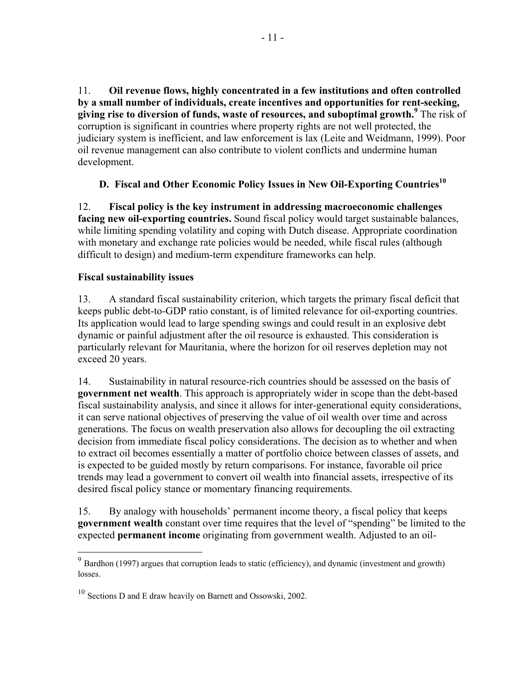11. **Oil revenue flows, highly concentrated in a few institutions and often controlled by a small number of individuals, create incentives and opportunities for rent-seeking, giving rise to diversion of funds, waste of resources, and suboptimal growth.<sup>9</sup>** The risk of corruption is significant in countries where property rights are not well protected, the judiciary system is inefficient, and law enforcement is lax (Leite and Weidmann, 1999). Poor oil revenue management can also contribute to violent conflicts and undermine human development.

# **D.** Fiscal and Other Economic Policy Issues in New Oil-Exporting Countries<sup>10</sup>

12. **Fiscal policy is the key instrument in addressing macroeconomic challenges facing new oil-exporting countries.** Sound fiscal policy would target sustainable balances, while limiting spending volatility and coping with Dutch disease. Appropriate coordination with monetary and exchange rate policies would be needed, while fiscal rules (although difficult to design) and medium-term expenditure frameworks can help.

# **Fiscal sustainability issues**

 $\overline{a}$ 

13. A standard fiscal sustainability criterion, which targets the primary fiscal deficit that keeps public debt-to-GDP ratio constant, is of limited relevance for oil-exporting countries. Its application would lead to large spending swings and could result in an explosive debt dynamic or painful adjustment after the oil resource is exhausted. This consideration is particularly relevant for Mauritania, where the horizon for oil reserves depletion may not exceed 20 years.

14. Sustainability in natural resource-rich countries should be assessed on the basis of **government net wealth**. This approach is appropriately wider in scope than the debt-based fiscal sustainability analysis, and since it allows for inter-generational equity considerations, it can serve national objectives of preserving the value of oil wealth over time and across generations. The focus on wealth preservation also allows for decoupling the oil extracting decision from immediate fiscal policy considerations. The decision as to whether and when to extract oil becomes essentially a matter of portfolio choice between classes of assets, and is expected to be guided mostly by return comparisons. For instance, favorable oil price trends may lead a government to convert oil wealth into financial assets, irrespective of its desired fiscal policy stance or momentary financing requirements.

15. By analogy with households' permanent income theory, a fiscal policy that keeps **government wealth** constant over time requires that the level of "spending" be limited to the expected **permanent income** originating from government wealth. Adjusted to an oil-

 $9^9$  Bardhon (1997) argues that corruption leads to static (efficiency), and dynamic (investment and growth) losses.

<sup>&</sup>lt;sup>10</sup> Sections D and E draw heavily on Barnett and Ossowski, 2002.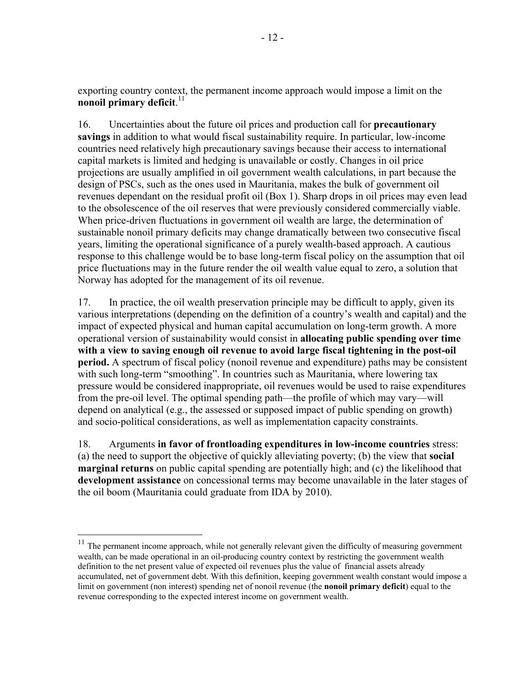exporting country context, the permanent income approach would impose a limit on the **nonoil primary deficit**. 11

16. Uncertainties about the future oil prices and production call for **precautionary savings** in addition to what would fiscal sustainability require. In particular, low-income countries need relatively high precautionary savings because their access to international capital markets is limited and hedging is unavailable or costly. Changes in oil price projections are usually amplified in oil government wealth calculations, in part because the design of PSCs, such as the ones used in Mauritania, makes the bulk of government oil revenues dependant on the residual profit oil (Box 1). Sharp drops in oil prices may even lead to the obsolescence of the oil reserves that were previously considered commercially viable. When price-driven fluctuations in government oil wealth are large, the determination of sustainable nonoil primary deficits may change dramatically between two consecutive fiscal years, limiting the operational significance of a purely wealth-based approach. A cautious response to this challenge would be to base long-term fiscal policy on the assumption that oil price fluctuations may in the future render the oil wealth value equal to zero, a solution that Norway has adopted for the management of its oil revenue.

17. In practice, the oil wealth preservation principle may be difficult to apply, given its various interpretations (depending on the definition of a country's wealth and capital) and the impact of expected physical and human capital accumulation on long-term growth. A more operational version of sustainability would consist in **allocating public spending over time with a view to saving enough oil revenue to avoid large fiscal tightening in the post-oil period.** A spectrum of fiscal policy (nonoil revenue and expenditure) paths may be consistent with such long-term "smoothing". In countries such as Mauritania, where lowering tax pressure would be considered inappropriate, oil revenues would be used to raise expenditures from the pre-oil level. The optimal spending path—the profile of which may vary—will depend on analytical (e.g., the assessed or supposed impact of public spending on growth) and socio-political considerations, as well as implementation capacity constraints.

18. Arguments **in favor of frontloading expenditures in low-income countries** stress: (a) the need to support the objective of quickly alleviating poverty; (b) the view that **social marginal returns** on public capital spending are potentially high; and (c) the likelihood that **development assistance** on concessional terms may become unavailable in the later stages of the oil boom (Mauritania could graduate from IDA by 2010).

 $11$  The permanent income approach, while not generally relevant given the difficulty of measuring government wealth, can be made operational in an oil-producing country context by restricting the government wealth definition to the net present value of expected oil revenues plus the value of financial assets already accumulated, net of government debt. With this definition, keeping government wealth constant would impose a limit on government (non interest) spending net of nonoil revenue (the **nonoil primary deficit**) equal to the revenue corresponding to the expected interest income on government wealth.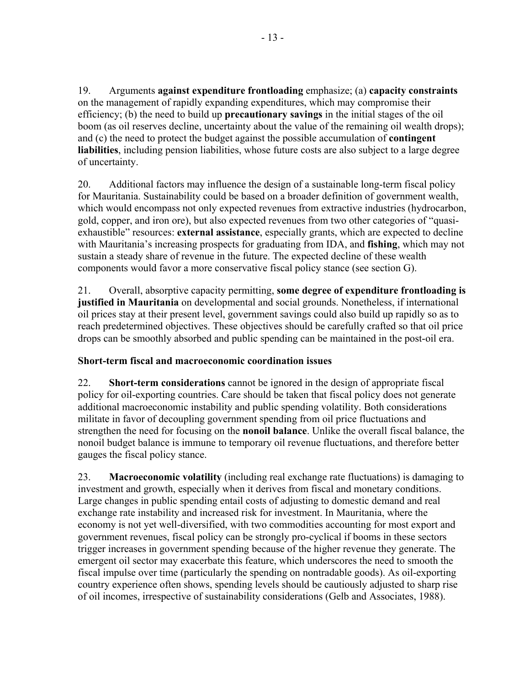19. Arguments **against expenditure frontloading** emphasize; (a) **capacity constraints** on the management of rapidly expanding expenditures, which may compromise their efficiency; (b) the need to build up **precautionary savings** in the initial stages of the oil boom (as oil reserves decline, uncertainty about the value of the remaining oil wealth drops); and (c) the need to protect the budget against the possible accumulation of **contingent liabilities**, including pension liabilities, whose future costs are also subject to a large degree of uncertainty.

20. Additional factors may influence the design of a sustainable long-term fiscal policy for Mauritania. Sustainability could be based on a broader definition of government wealth, which would encompass not only expected revenues from extractive industries (hydrocarbon, gold, copper, and iron ore), but also expected revenues from two other categories of "quasiexhaustible" resources: **external assistance**, especially grants, which are expected to decline with Mauritania's increasing prospects for graduating from IDA, and **fishing**, which may not sustain a steady share of revenue in the future. The expected decline of these wealth components would favor a more conservative fiscal policy stance (see section G).

21. Overall, absorptive capacity permitting, **some degree of expenditure frontloading is justified in Mauritania** on developmental and social grounds. Nonetheless, if international oil prices stay at their present level, government savings could also build up rapidly so as to reach predetermined objectives. These objectives should be carefully crafted so that oil price drops can be smoothly absorbed and public spending can be maintained in the post-oil era.

# **Short-term fiscal and macroeconomic coordination issues**

22. **Short-term considerations** cannot be ignored in the design of appropriate fiscal policy for oil-exporting countries. Care should be taken that fiscal policy does not generate additional macroeconomic instability and public spending volatility. Both considerations militate in favor of decoupling government spending from oil price fluctuations and strengthen the need for focusing on the **nonoil balance**. Unlike the overall fiscal balance, the nonoil budget balance is immune to temporary oil revenue fluctuations, and therefore better gauges the fiscal policy stance.

23. **Macroeconomic volatility** (including real exchange rate fluctuations) is damaging to investment and growth, especially when it derives from fiscal and monetary conditions. Large changes in public spending entail costs of adjusting to domestic demand and real exchange rate instability and increased risk for investment. In Mauritania, where the economy is not yet well-diversified, with two commodities accounting for most export and government revenues, fiscal policy can be strongly pro-cyclical if booms in these sectors trigger increases in government spending because of the higher revenue they generate. The emergent oil sector may exacerbate this feature, which underscores the need to smooth the fiscal impulse over time (particularly the spending on nontradable goods). As oil-exporting country experience often shows, spending levels should be cautiously adjusted to sharp rise of oil incomes, irrespective of sustainability considerations (Gelb and Associates, 1988).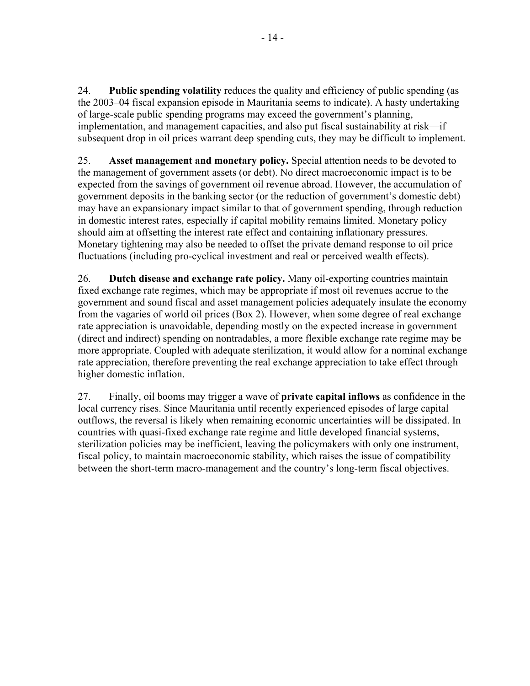24. **Public spending volatility** reduces the quality and efficiency of public spending (as the 2003–04 fiscal expansion episode in Mauritania seems to indicate). A hasty undertaking of large-scale public spending programs may exceed the government's planning, implementation, and management capacities, and also put fiscal sustainability at risk—if subsequent drop in oil prices warrant deep spending cuts, they may be difficult to implement.

25. **Asset management and monetary policy.** Special attention needs to be devoted to the management of government assets (or debt). No direct macroeconomic impact is to be expected from the savings of government oil revenue abroad. However, the accumulation of government deposits in the banking sector (or the reduction of government's domestic debt) may have an expansionary impact similar to that of government spending, through reduction in domestic interest rates, especially if capital mobility remains limited. Monetary policy should aim at offsetting the interest rate effect and containing inflationary pressures. Monetary tightening may also be needed to offset the private demand response to oil price fluctuations (including pro-cyclical investment and real or perceived wealth effects).

26. **Dutch disease and exchange rate policy.** Many oil-exporting countries maintain fixed exchange rate regimes, which may be appropriate if most oil revenues accrue to the government and sound fiscal and asset management policies adequately insulate the economy from the vagaries of world oil prices (Box 2). However, when some degree of real exchange rate appreciation is unavoidable, depending mostly on the expected increase in government (direct and indirect) spending on nontradables, a more flexible exchange rate regime may be more appropriate. Coupled with adequate sterilization, it would allow for a nominal exchange rate appreciation, therefore preventing the real exchange appreciation to take effect through higher domestic inflation.

27. Finally, oil booms may trigger a wave of **private capital inflows** as confidence in the local currency rises. Since Mauritania until recently experienced episodes of large capital outflows, the reversal is likely when remaining economic uncertainties will be dissipated. In countries with quasi-fixed exchange rate regime and little developed financial systems, sterilization policies may be inefficient, leaving the policymakers with only one instrument, fiscal policy, to maintain macroeconomic stability, which raises the issue of compatibility between the short-term macro-management and the country's long-term fiscal objectives.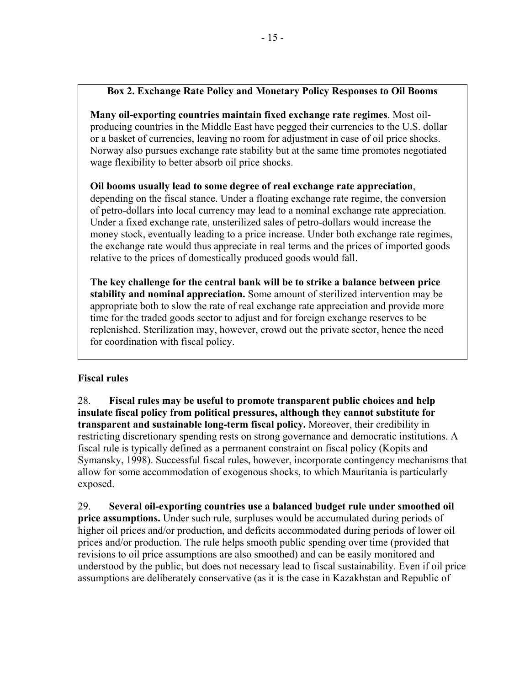# **Box 2. Exchange Rate Policy and Monetary Policy Responses to Oil Booms**

**Many oil-exporting countries maintain fixed exchange rate regimes**. Most oilproducing countries in the Middle East have pegged their currencies to the U.S. dollar or a basket of currencies, leaving no room for adjustment in case of oil price shocks. Norway also pursues exchange rate stability but at the same time promotes negotiated wage flexibility to better absorb oil price shocks.

**Oil booms usually lead to some degree of real exchange rate appreciation**,

depending on the fiscal stance. Under a floating exchange rate regime, the conversion of petro-dollars into local currency may lead to a nominal exchange rate appreciation. Under a fixed exchange rate, unsterilized sales of petro-dollars would increase the money stock, eventually leading to a price increase. Under both exchange rate regimes, the exchange rate would thus appreciate in real terms and the prices of imported goods relative to the prices of domestically produced goods would fall.

**The key challenge for the central bank will be to strike a balance between price stability and nominal appreciation.** Some amount of sterilized intervention may be appropriate both to slow the rate of real exchange rate appreciation and provide more time for the traded goods sector to adjust and for foreign exchange reserves to be replenished. Sterilization may, however, crowd out the private sector, hence the need for coordination with fiscal policy.

### **Fiscal rules**

28. **Fiscal rules may be useful to promote transparent public choices and help insulate fiscal policy from political pressures, although they cannot substitute for transparent and sustainable long-term fiscal policy.** Moreover, their credibility in restricting discretionary spending rests on strong governance and democratic institutions. A fiscal rule is typically defined as a permanent constraint on fiscal policy (Kopits and Symansky, 1998). Successful fiscal rules, however, incorporate contingency mechanisms that allow for some accommodation of exogenous shocks, to which Mauritania is particularly exposed.

29. **Several oil-exporting countries use a balanced budget rule under smoothed oil price assumptions.** Under such rule, surpluses would be accumulated during periods of higher oil prices and/or production, and deficits accommodated during periods of lower oil prices and/or production. The rule helps smooth public spending over time (provided that revisions to oil price assumptions are also smoothed) and can be easily monitored and understood by the public, but does not necessary lead to fiscal sustainability. Even if oil price assumptions are deliberately conservative (as it is the case in Kazakhstan and Republic of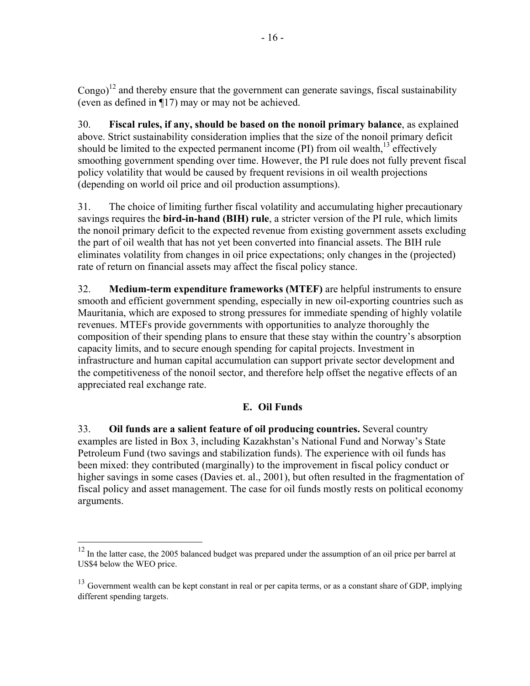$\text{Congo}$ <sup>12</sup> and thereby ensure that the government can generate savings, fiscal sustainability (even as defined in ¶17) may or may not be achieved.

30. **Fiscal rules, if any, should be based on the nonoil primary balance**, as explained above. Strict sustainability consideration implies that the size of the nonoil primary deficit should be limited to the expected permanent income  $(PI)$  from oil wealth.<sup>13</sup> effectively smoothing government spending over time. However, the PI rule does not fully prevent fiscal policy volatility that would be caused by frequent revisions in oil wealth projections (depending on world oil price and oil production assumptions).

31. The choice of limiting further fiscal volatility and accumulating higher precautionary savings requires the **bird-in-hand (BIH) rule**, a stricter version of the PI rule, which limits the nonoil primary deficit to the expected revenue from existing government assets excluding the part of oil wealth that has not yet been converted into financial assets. The BIH rule eliminates volatility from changes in oil price expectations; only changes in the (projected) rate of return on financial assets may affect the fiscal policy stance.

32. **Medium-term expenditure frameworks (MTEF)** are helpful instruments to ensure smooth and efficient government spending, especially in new oil-exporting countries such as Mauritania, which are exposed to strong pressures for immediate spending of highly volatile revenues. MTEFs provide governments with opportunities to analyze thoroughly the composition of their spending plans to ensure that these stay within the country's absorption capacity limits, and to secure enough spending for capital projects. Investment in infrastructure and human capital accumulation can support private sector development and the competitiveness of the nonoil sector, and therefore help offset the negative effects of an appreciated real exchange rate.

# **E. Oil Funds**

33. **Oil funds are a salient feature of oil producing countries.** Several country examples are listed in Box 3, including Kazakhstan's National Fund and Norway's State Petroleum Fund (two savings and stabilization funds). The experience with oil funds has been mixed: they contributed (marginally) to the improvement in fiscal policy conduct or higher savings in some cases (Davies et. al., 2001), but often resulted in the fragmentation of fiscal policy and asset management. The case for oil funds mostly rests on political economy arguments.

 $\overline{a}$ 

<sup>&</sup>lt;sup>12</sup> In the latter case, the 2005 balanced budget was prepared under the assumption of an oil price per barrel at US\$4 below the WEO price.

<sup>&</sup>lt;sup>13</sup> Government wealth can be kept constant in real or per capita terms, or as a constant share of GDP, implying different spending targets.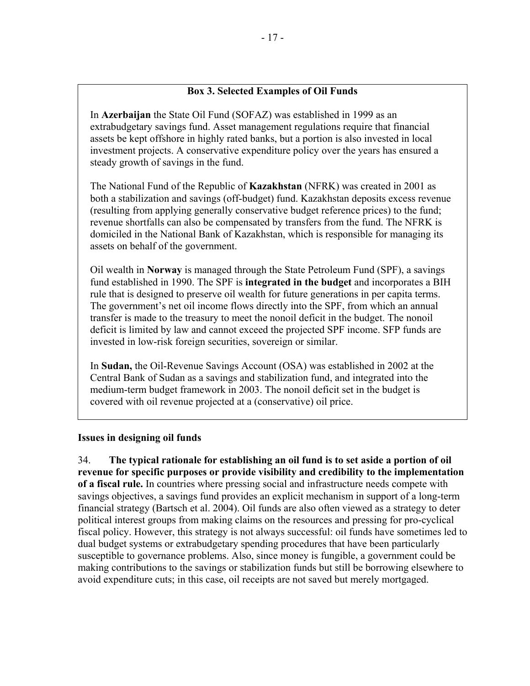### **Box 3. Selected Examples of Oil Funds**

In **Azerbaijan** the State Oil Fund (SOFAZ) was established in 1999 as an extrabudgetary savings fund. Asset management regulations require that financial assets be kept offshore in highly rated banks, but a portion is also invested in local investment projects. A conservative expenditure policy over the years has ensured a steady growth of savings in the fund.

The National Fund of the Republic of **Kazakhstan** (NFRK) was created in 2001 as both a stabilization and savings (off-budget) fund. Kazakhstan deposits excess revenue (resulting from applying generally conservative budget reference prices) to the fund; revenue shortfalls can also be compensated by transfers from the fund. The NFRK is domiciled in the National Bank of Kazakhstan, which is responsible for managing its assets on behalf of the government.

Oil wealth in **Norway** is managed through the State Petroleum Fund (SPF), a savings fund established in 1990. The SPF is **integrated in the budget** and incorporates a BIH rule that is designed to preserve oil wealth for future generations in per capita terms. The government's net oil income flows directly into the SPF, from which an annual transfer is made to the treasury to meet the nonoil deficit in the budget. The nonoil deficit is limited by law and cannot exceed the projected SPF income. SFP funds are invested in low-risk foreign securities, sovereign or similar.

In **Sudan,** the Oil-Revenue Savings Account (OSA) was established in 2002 at the Central Bank of Sudan as a savings and stabilization fund, and integrated into the medium-term budget framework in 2003. The nonoil deficit set in the budget is covered with oil revenue projected at a (conservative) oil price.

#### **Issues in designing oil funds**

34. **The typical rationale for establishing an oil fund is to set aside a portion of oil revenue for specific purposes or provide visibility and credibility to the implementation of a fiscal rule.** In countries where pressing social and infrastructure needs compete with savings objectives, a savings fund provides an explicit mechanism in support of a long-term financial strategy (Bartsch et al. 2004). Oil funds are also often viewed as a strategy to deter political interest groups from making claims on the resources and pressing for pro-cyclical fiscal policy. However, this strategy is not always successful: oil funds have sometimes led to dual budget systems or extrabudgetary spending procedures that have been particularly susceptible to governance problems. Also, since money is fungible, a government could be making contributions to the savings or stabilization funds but still be borrowing elsewhere to avoid expenditure cuts; in this case, oil receipts are not saved but merely mortgaged.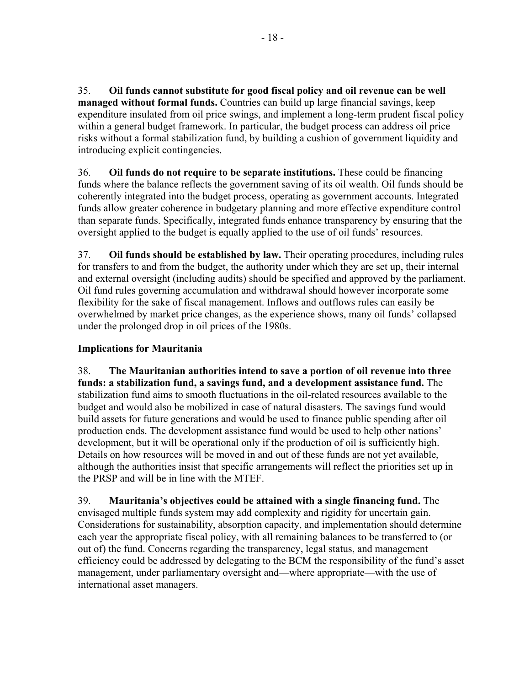35. **Oil funds cannot substitute for good fiscal policy and oil revenue can be well managed without formal funds.** Countries can build up large financial savings, keep expenditure insulated from oil price swings, and implement a long-term prudent fiscal policy within a general budget framework. In particular, the budget process can address oil price risks without a formal stabilization fund, by building a cushion of government liquidity and introducing explicit contingencies.

36. **Oil funds do not require to be separate institutions.** These could be financing funds where the balance reflects the government saving of its oil wealth. Oil funds should be coherently integrated into the budget process, operating as government accounts. Integrated funds allow greater coherence in budgetary planning and more effective expenditure control than separate funds. Specifically, integrated funds enhance transparency by ensuring that the oversight applied to the budget is equally applied to the use of oil funds' resources.

37. **Oil funds should be established by law.** Their operating procedures, including rules for transfers to and from the budget, the authority under which they are set up, their internal and external oversight (including audits) should be specified and approved by the parliament. Oil fund rules governing accumulation and withdrawal should however incorporate some flexibility for the sake of fiscal management. Inflows and outflows rules can easily be overwhelmed by market price changes, as the experience shows, many oil funds' collapsed under the prolonged drop in oil prices of the 1980s.

# **Implications for Mauritania**

38. **The Mauritanian authorities intend to save a portion of oil revenue into three funds: a stabilization fund, a savings fund, and a development assistance fund.** The stabilization fund aims to smooth fluctuations in the oil-related resources available to the budget and would also be mobilized in case of natural disasters. The savings fund would build assets for future generations and would be used to finance public spending after oil production ends. The development assistance fund would be used to help other nations' development, but it will be operational only if the production of oil is sufficiently high. Details on how resources will be moved in and out of these funds are not yet available, although the authorities insist that specific arrangements will reflect the priorities set up in the PRSP and will be in line with the MTEF.

39. **Mauritania's objectives could be attained with a single financing fund.** The envisaged multiple funds system may add complexity and rigidity for uncertain gain. Considerations for sustainability, absorption capacity, and implementation should determine each year the appropriate fiscal policy, with all remaining balances to be transferred to (or out of) the fund. Concerns regarding the transparency, legal status, and management efficiency could be addressed by delegating to the BCM the responsibility of the fund's asset management, under parliamentary oversight and—where appropriate—with the use of international asset managers.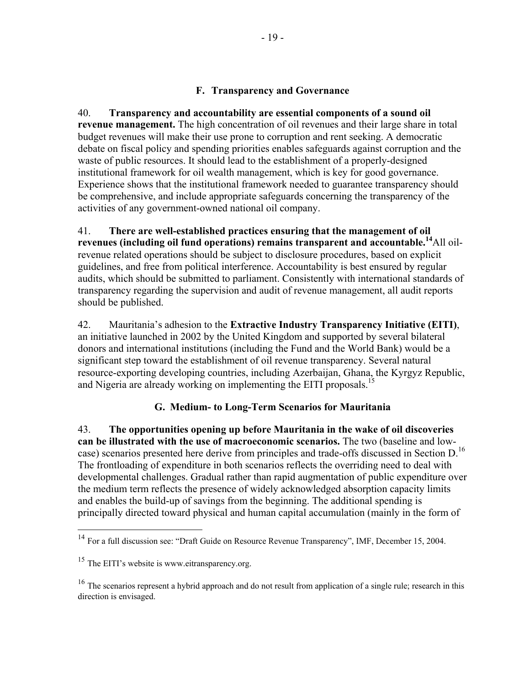### **F. Transparency and Governance**

40. **Transparency and accountability are essential components of a sound oil revenue management.** The high concentration of oil revenues and their large share in total budget revenues will make their use prone to corruption and rent seeking. A democratic debate on fiscal policy and spending priorities enables safeguards against corruption and the waste of public resources. It should lead to the establishment of a properly-designed institutional framework for oil wealth management, which is key for good governance. Experience shows that the institutional framework needed to guarantee transparency should be comprehensive, and include appropriate safeguards concerning the transparency of the activities of any government-owned national oil company.

41. **There are well-established practices ensuring that the management of oil revenues (including oil fund operations) remains transparent and accountable.14**All oilrevenue related operations should be subject to disclosure procedures, based on explicit guidelines, and free from political interference. Accountability is best ensured by regular audits, which should be submitted to parliament. Consistently with international standards of transparency regarding the supervision and audit of revenue management, all audit reports should be published.

42. Mauritania's adhesion to the **Extractive Industry Transparency Initiative (EITI)**, an initiative launched in 2002 by the United Kingdom and supported by several bilateral donors and international institutions (including the Fund and the World Bank) would be a significant step toward the establishment of oil revenue transparency. Several natural resource-exporting developing countries, including Azerbaijan, Ghana, the Kyrgyz Republic, and Nigeria are already working on implementing the EITI proposals.<sup>15</sup>

### **G. Medium- to Long-Term Scenarios for Mauritania**

43. **The opportunities opening up before Mauritania in the wake of oil discoveries can be illustrated with the use of macroeconomic scenarios.** The two (baseline and lowcase) scenarios presented here derive from principles and trade-offs discussed in Section D.<sup>16</sup> The frontloading of expenditure in both scenarios reflects the overriding need to deal with developmental challenges. Gradual rather than rapid augmentation of public expenditure over the medium term reflects the presence of widely acknowledged absorption capacity limits and enables the build-up of savings from the beginning. The additional spending is principally directed toward physical and human capital accumulation (mainly in the form of

 $14$  For a full discussion see: "Draft Guide on Resource Revenue Transparency", IMF, December 15, 2004.

<sup>&</sup>lt;sup>15</sup> The EITI's website is www.eitransparency.org.

<sup>&</sup>lt;sup>16</sup> The scenarios represent a hybrid approach and do not result from application of a single rule; research in this direction is envisaged.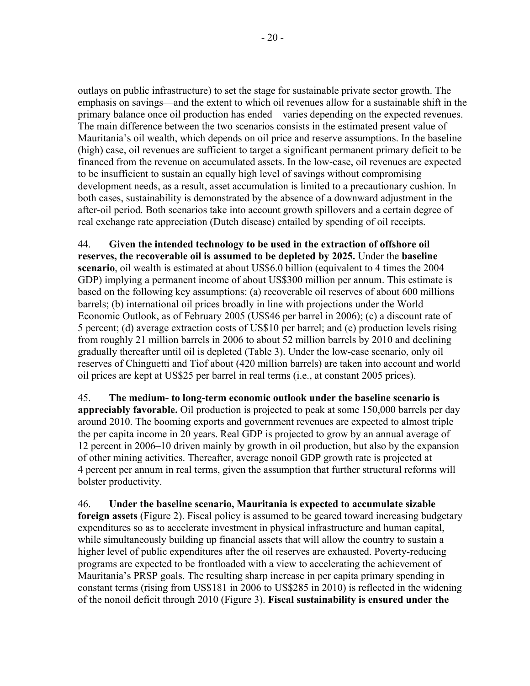outlays on public infrastructure) to set the stage for sustainable private sector growth. The emphasis on savings—and the extent to which oil revenues allow for a sustainable shift in the primary balance once oil production has ended—varies depending on the expected revenues. The main difference between the two scenarios consists in the estimated present value of Mauritania's oil wealth, which depends on oil price and reserve assumptions. In the baseline (high) case, oil revenues are sufficient to target a significant permanent primary deficit to be financed from the revenue on accumulated assets. In the low-case, oil revenues are expected to be insufficient to sustain an equally high level of savings without compromising development needs, as a result, asset accumulation is limited to a precautionary cushion. In both cases, sustainability is demonstrated by the absence of a downward adjustment in the after-oil period. Both scenarios take into account growth spillovers and a certain degree of real exchange rate appreciation (Dutch disease) entailed by spending of oil receipts.

44. **Given the intended technology to be used in the extraction of offshore oil reserves, the recoverable oil is assumed to be depleted by 2025.** Under the **baseline scenario**, oil wealth is estimated at about US\$6.0 billion (equivalent to 4 times the 2004 GDP) implying a permanent income of about US\$300 million per annum. This estimate is based on the following key assumptions: (a) recoverable oil reserves of about 600 millions barrels; (b) international oil prices broadly in line with projections under the World Economic Outlook, as of February 2005 (US\$46 per barrel in 2006); (c) a discount rate of 5 percent; (d) average extraction costs of US\$10 per barrel; and (e) production levels rising from roughly 21 million barrels in 2006 to about 52 million barrels by 2010 and declining gradually thereafter until oil is depleted (Table 3). Under the low-case scenario, only oil reserves of Chinguetti and Tiof about (420 million barrels) are taken into account and world oil prices are kept at US\$25 per barrel in real terms (i.e., at constant 2005 prices).

45. **The medium- to long-term economic outlook under the baseline scenario is appreciably favorable.** Oil production is projected to peak at some 150,000 barrels per day around 2010. The booming exports and government revenues are expected to almost triple the per capita income in 20 years. Real GDP is projected to grow by an annual average of 12 percent in 2006–10 driven mainly by growth in oil production, but also by the expansion of other mining activities. Thereafter, average nonoil GDP growth rate is projected at 4 percent per annum in real terms, given the assumption that further structural reforms will bolster productivity.

46. **Under the baseline scenario, Mauritania is expected to accumulate sizable foreign assets** (Figure 2). Fiscal policy is assumed to be geared toward increasing budgetary expenditures so as to accelerate investment in physical infrastructure and human capital, while simultaneously building up financial assets that will allow the country to sustain a higher level of public expenditures after the oil reserves are exhausted. Poverty-reducing programs are expected to be frontloaded with a view to accelerating the achievement of Mauritania's PRSP goals. The resulting sharp increase in per capita primary spending in constant terms (rising from US\$181 in 2006 to US\$285 in 2010) is reflected in the widening of the nonoil deficit through 2010 (Figure 3). **Fiscal sustainability is ensured under the**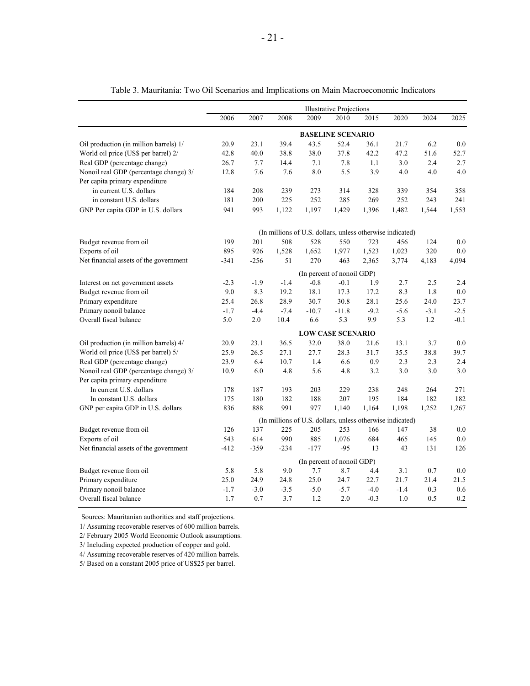|                                        | <b>Illustrative Projections</b> |         |        |         |                          |                                                           |        |        |         |  |  |  |
|----------------------------------------|---------------------------------|---------|--------|---------|--------------------------|-----------------------------------------------------------|--------|--------|---------|--|--|--|
|                                        | 2006                            | 2007    | 2008   | 2009    | 2010                     | 2015                                                      | 2020   | 2024   | 2025    |  |  |  |
|                                        |                                 |         |        |         | <b>BASELINE SCENARIO</b> |                                                           |        |        |         |  |  |  |
| Oil production (in million barrels) 1/ | 20.9                            | 23.1    | 39.4   | 43.5    | 52.4                     | 36.1                                                      | 21.7   | 6.2    | 0.0     |  |  |  |
| World oil price (US\$ per barrel) 2/   | 42.8                            | 40.0    | 38.8   | 38.0    | 37.8                     | 42.2                                                      | 47.2   | 51.6   | 52.7    |  |  |  |
| Real GDP (percentage change)           | 26.7                            | 7.7     | 14.4   | 7.1     | 7.8                      | 1.1                                                       | 3.0    | 2.4    | 2.7     |  |  |  |
| Nonoil real GDP (percentage change) 3/ | 12.8                            | 7.6     | 7.6    | 8.0     | 5.5                      | 3.9                                                       | 4.0    | 4.0    | 4.0     |  |  |  |
| Per capita primary expenditure         |                                 |         |        |         |                          |                                                           |        |        |         |  |  |  |
| in current U.S. dollars                | 184                             | 208     | 239    | 273     | 314                      | 328                                                       | 339    | 354    | 358     |  |  |  |
| in constant U.S. dollars               | 181                             | 200     | 225    | 252     | 285                      | 269                                                       | 252    | 243    | 241     |  |  |  |
| GNP Per capita GDP in U.S. dollars     | 941                             | 993     | 1,122  | 1,197   | 1,429                    | 1,396                                                     | 1,482  | 1,544  | 1,553   |  |  |  |
|                                        |                                 |         |        |         |                          | (In millions of U.S. dollars, unless otherwise indicated) |        |        |         |  |  |  |
| Budget revenue from oil                | 199                             | 201     | 508    | 528     | 550                      | 723                                                       | 456    | 124    | 0.0     |  |  |  |
| Exports of oil                         | 895                             | 926     | 1,528  | 1,652   | 1,977                    | 1,523                                                     | 1,023  | 320    | 0.0     |  |  |  |
| Net financial assets of the government | $-341$                          | $-256$  | 51     | 270     | 463                      | 2,365                                                     | 3,774  | 4,183  | 4,094   |  |  |  |
|                                        | (In percent of nonoil GDP)      |         |        |         |                          |                                                           |        |        |         |  |  |  |
| Interest on net government assets      | $-2.3$                          | $-1.9$  | $-1.4$ | $-0.8$  | $-0.1$                   | 1.9                                                       | 2.7    | 2.5    | 2.4     |  |  |  |
| Budget revenue from oil                | 9.0                             | 8.3     | 19.2   | 18.1    | 17.3                     | 17.2                                                      | 8.3    | 1.8    | $0.0\,$ |  |  |  |
| Primary expenditure                    | 25.4                            | 26.8    | 28.9   | 30.7    | 30.8                     | 28.1                                                      | 25.6   | 24.0   | 23.7    |  |  |  |
| Primary nonoil balance                 | $-1.7$                          | $-4.4$  | $-7.4$ | $-10.7$ | $-11.8$                  | $-9.2$                                                    | $-5.6$ | $-3.1$ | $-2.5$  |  |  |  |
| Overall fiscal balance                 | 5.0                             | $2.0\,$ | 10.4   | 6.6     | 5.3                      | 9.9                                                       | 5.3    | 1.2    | $-0.1$  |  |  |  |
|                                        | <b>LOW CASE SCENARIO</b>        |         |        |         |                          |                                                           |        |        |         |  |  |  |
| Oil production (in million barrels) 4/ | 20.9                            | 23.1    | 36.5   | 32.0    | 38.0                     | 21.6                                                      | 13.1   | 3.7    | 0.0     |  |  |  |
| World oil price (US\$ per barrel) 5/   | 25.9                            | 26.5    | 27.1   | 27.7    | 28.3                     | 31.7                                                      | 35.5   | 38.8   | 39.7    |  |  |  |
| Real GDP (percentage change)           | 23.9                            | 6.4     | 10.7   | 1.4     | 6.6                      | 0.9                                                       | 2.3    | 2.3    | 2.4     |  |  |  |
| Nonoil real GDP (percentage change) 3/ | 10.9                            | 6.0     | 4.8    | 5.6     | 4.8                      | 3.2                                                       | 3.0    | 3.0    | 3.0     |  |  |  |
| Per capita primary expenditure         |                                 |         |        |         |                          |                                                           |        |        |         |  |  |  |
| In current U.S. dollars                | 178                             | 187     | 193    | 203     | 229                      | 238                                                       | 248    | 264    | 271     |  |  |  |
| In constant U.S. dollars               | 175                             | 180     | 182    | 188     | 207                      | 195                                                       | 184    | 182    | 182     |  |  |  |
| GNP per capita GDP in U.S. dollars     | 836                             | 888     | 991    | 977     | 1,140                    | 1,164                                                     | 1,198  | 1,252  | 1,267   |  |  |  |
|                                        |                                 |         |        |         |                          | (In millions of U.S. dollars, unless otherwise indicated) |        |        |         |  |  |  |
| Budget revenue from oil                | 126                             | 137     | 225    | 205     | 253                      | 166                                                       | 147    | 38     | 0.0     |  |  |  |
| Exports of oil                         | 543                             | 614     | 990    | 885     | 1,076                    | 684                                                       | 465    | 145    | 0.0     |  |  |  |
| Net financial assets of the government | $-412$                          | $-359$  | $-234$ | $-177$  | $-95$                    | 13                                                        | 43     | 131    | 126     |  |  |  |
|                                        | (In percent of nonoil GDP)      |         |        |         |                          |                                                           |        |        |         |  |  |  |
| Budget revenue from oil                | 5.8                             | 5.8     | 9.0    | 7.7     | 8.7                      | 4.4                                                       | 3.1    | 0.7    | 0.0     |  |  |  |
| Primary expenditure                    | 25.0                            | 24.9    | 24.8   | 25.0    | 24.7                     | 22.7                                                      | 21.7   | 21.4   | 21.5    |  |  |  |
| Primary nonoil balance                 | $-1.7$                          | $-3.0$  | $-3.5$ | $-5.0$  | $-5.7$                   | $-4.0$                                                    | $-1.4$ | 0.3    | 0.6     |  |  |  |
| Overall fiscal balance                 | 1.7                             | 0.7     | 3.7    | 1.2     | 2.0                      | $-0.3$                                                    | 1.0    | 0.5    | 0.2     |  |  |  |

Table 3. Mauritania: Two Oil Scenarios and Implications on Main Macroeconomic Indicators

Sources: Mauritanian authorities and staff projections.

1/ Assuming recoverable reserves of 600 million barrels.

2/ February 2005 World Economic Outlook assumptions.

3/ Including expected production of copper and gold.

4/ Assuming recoverable reserves of 420 million barrels.

5/ Based on a constant 2005 price of US\$25 per barrel.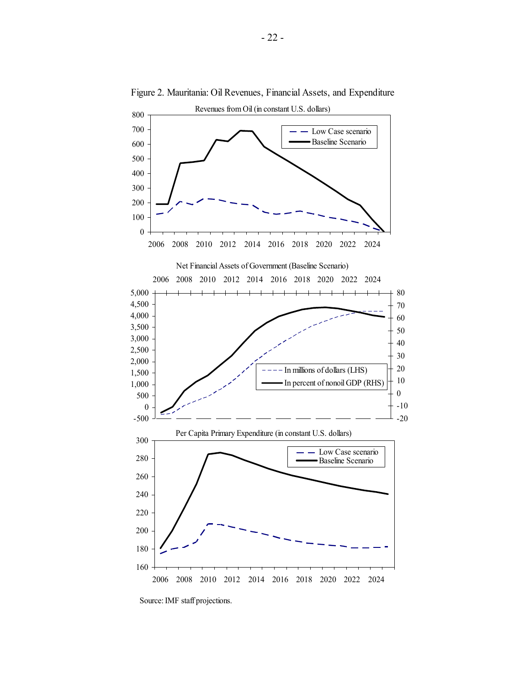

Figure 2. Mauritania: Oil Revenues, Financial Assets, and Expenditure

Source: IMF staff projections.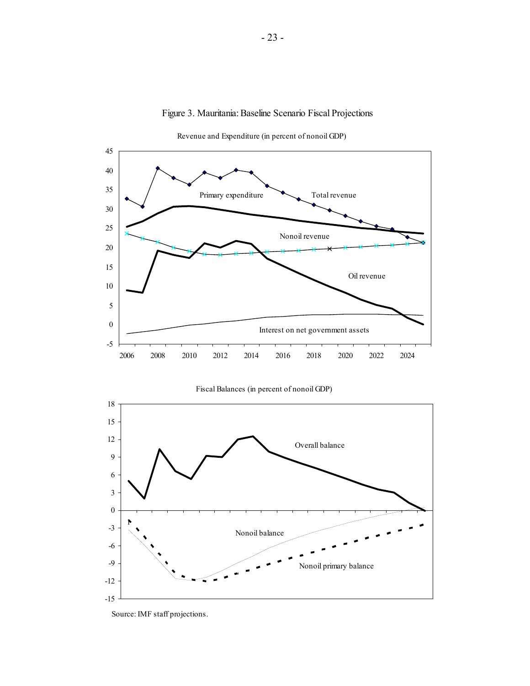

Figure 3. Mauritania: Baseline Scenario Fiscal Projections

Revenue and Expenditure (in percent of nonoil GDP)



Fiscal Balances (in percent of nonoil GDP)

Source: IMF staff projections.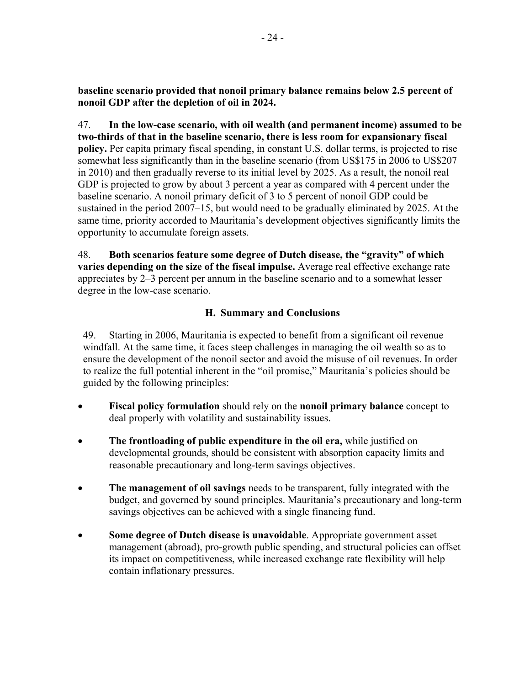**baseline scenario provided that nonoil primary balance remains below 2.5 percent of nonoil GDP after the depletion of oil in 2024.** 

47. **In the low-case scenario, with oil wealth (and permanent income) assumed to be two-thirds of that in the baseline scenario, there is less room for expansionary fiscal policy.** Per capita primary fiscal spending, in constant U.S. dollar terms, is projected to rise somewhat less significantly than in the baseline scenario (from US\$175 in 2006 to US\$207 in 2010) and then gradually reverse to its initial level by 2025. As a result, the nonoil real GDP is projected to grow by about 3 percent a year as compared with 4 percent under the baseline scenario. A nonoil primary deficit of 3 to 5 percent of nonoil GDP could be sustained in the period 2007–15, but would need to be gradually eliminated by 2025. At the same time, priority accorded to Mauritania's development objectives significantly limits the opportunity to accumulate foreign assets.

48. **Both scenarios feature some degree of Dutch disease, the "gravity" of which varies depending on the size of the fiscal impulse.** Average real effective exchange rate appreciates by 2–3 percent per annum in the baseline scenario and to a somewhat lesser degree in the low-case scenario.

# **H. Summary and Conclusions**

49. Starting in 2006, Mauritania is expected to benefit from a significant oil revenue windfall. At the same time, it faces steep challenges in managing the oil wealth so as to ensure the development of the nonoil sector and avoid the misuse of oil revenues. In order to realize the full potential inherent in the "oil promise," Mauritania's policies should be guided by the following principles:

- **Fiscal policy formulation** should rely on the **nonoil primary balance** concept to deal properly with volatility and sustainability issues.
- **The frontloading of public expenditure in the oil era,** while justified on developmental grounds, should be consistent with absorption capacity limits and reasonable precautionary and long-term savings objectives.
- **The management of oil savings** needs to be transparent, fully integrated with the budget, and governed by sound principles. Mauritania's precautionary and long-term savings objectives can be achieved with a single financing fund.
- **Some degree of Dutch disease is unavoidable**. Appropriate government asset management (abroad), pro-growth public spending, and structural policies can offset its impact on competitiveness, while increased exchange rate flexibility will help contain inflationary pressures.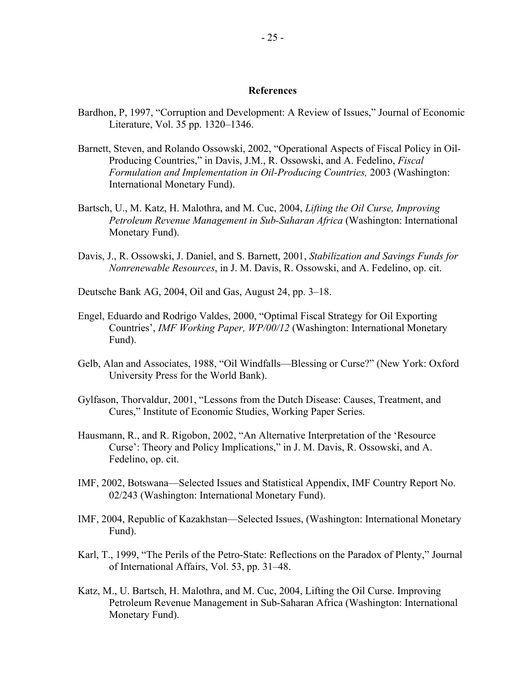#### **References**

- Bardhon, P, 1997, "Corruption and Development: A Review of Issues," Journal of Economic Literature, Vol. 35 pp. 1320–1346.
- Barnett, Steven, and Rolando Ossowski, 2002, "Operational Aspects of Fiscal Policy in Oil-Producing Countries," in Davis, J.M., R. Ossowski, and A. Fedelino, *Fiscal Formulation and Implementation in Oil-Producing Countries,* 2003 (Washington: International Monetary Fund).
- Bartsch, U., M. Katz, H. Malothra, and M. Cuc, 2004, *Lifting the Oil Curse, Improving Petroleum Revenue Management in Sub-Saharan Africa* (Washington: International Monetary Fund).
- Davis, J., R. Ossowski, J. Daniel, and S. Barnett, 2001, *Stabilization and Savings Funds for Nonrenewable Resources*, in J. M. Davis, R. Ossowski, and A. Fedelino, op. cit.
- Deutsche Bank AG, 2004, Oil and Gas, August 24, pp. 3–18.
- Engel, Eduardo and Rodrigo Valdes, 2000, "Optimal Fiscal Strategy for Oil Exporting Countries', *IMF Working Paper, WP/00/12* (Washington: International Monetary Fund).
- Gelb, Alan and Associates, 1988, "Oil Windfalls—Blessing or Curse?" (New York: Oxford University Press for the World Bank).
- Gylfason, Thorvaldur, 2001, "Lessons from the Dutch Disease: Causes, Treatment, and Cures," Institute of Economic Studies, Working Paper Series.
- Hausmann, R., and R. Rigobon, 2002, "An Alternative Interpretation of the 'Resource Curse': Theory and Policy Implications," in J. M. Davis, R. Ossowski, and A. Fedelino, op. cit.
- IMF, 2002, Botswana—Selected Issues and Statistical Appendix, IMF Country Report No. 02/243 (Washington: International Monetary Fund).
- IMF, 2004, Republic of Kazakhstan—Selected Issues, (Washington: International Monetary Fund).
- Karl, T., 1999, "The Perils of the Petro-State: Reflections on the Paradox of Plenty," Journal of International Affairs, Vol. 53, pp. 31–48.
- Katz, M., U. Bartsch, H. Malothra, and M. Cuc, 2004, Lifting the Oil Curse. Improving Petroleum Revenue Management in Sub-Saharan Africa (Washington: International Monetary Fund).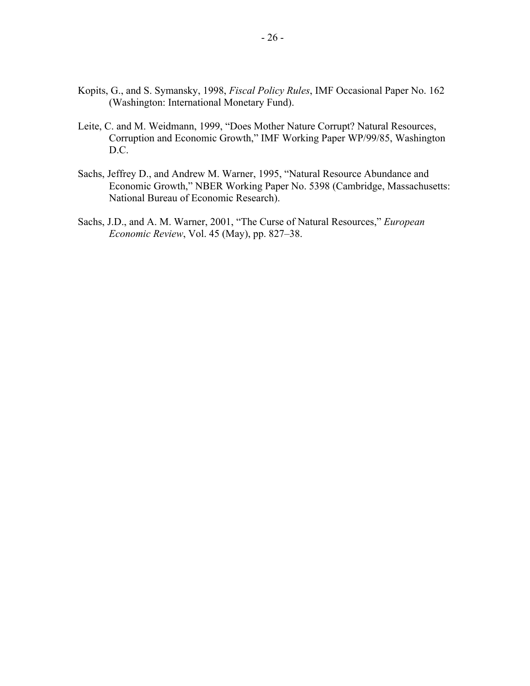- Kopits, G., and S. Symansky, 1998, *Fiscal Policy Rules*, IMF Occasional Paper No. 162 (Washington: International Monetary Fund).
- Leite, C. and M. Weidmann, 1999, "Does Mother Nature Corrupt? Natural Resources, Corruption and Economic Growth," IMF Working Paper WP/99/85, Washington D.C.
- Sachs, Jeffrey D., and Andrew M. Warner, 1995, "Natural Resource Abundance and Economic Growth," NBER Working Paper No. 5398 (Cambridge, Massachusetts: National Bureau of Economic Research).
- Sachs, J.D., and A. M. Warner, 2001, "The Curse of Natural Resources," *European Economic Review*, Vol. 45 (May), pp. 827–38.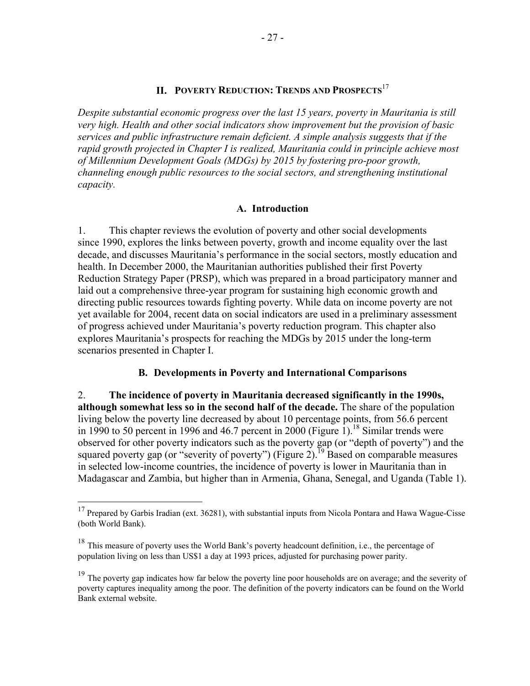# **II. POVERTY REDUCTION: TRENDS AND PROSPECTS**<sup>17</sup>

*Despite substantial economic progress over the last 15 years, poverty in Mauritania is still very high. Health and other social indicators show improvement but the provision of basic services and public infrastructure remain deficient. A simple analysis suggests that if the rapid growth projected in Chapter I is realized, Mauritania could in principle achieve most of Millennium Development Goals (MDGs) by 2015 by fostering pro-poor growth, channeling enough public resources to the social sectors, and strengthening institutional capacity.* 

#### **A. Introduction**

1. This chapter reviews the evolution of poverty and other social developments since 1990, explores the links between poverty, growth and income equality over the last decade, and discusses Mauritania's performance in the social sectors, mostly education and health. In December 2000, the Mauritanian authorities published their first Poverty Reduction Strategy Paper (PRSP), which was prepared in a broad participatory manner and laid out a comprehensive three-year program for sustaining high economic growth and directing public resources towards fighting poverty. While data on income poverty are not yet available for 2004, recent data on social indicators are used in a preliminary assessment of progress achieved under Mauritania's poverty reduction program. This chapter also explores Mauritania's prospects for reaching the MDGs by 2015 under the long-term scenarios presented in Chapter I.

#### **B. Developments in Poverty and International Comparisons**

2. **The incidence of poverty in Mauritania decreased significantly in the 1990s, although somewhat less so in the second half of the decade.** The share of the population living below the poverty line decreased by about 10 percentage points, from 56.6 percent in 1990 to 50 percent in 1996 and 46.7 percent in 2000 (Figure 1).<sup>18</sup> Similar trends were observed for other poverty indicators such as the poverty gap (or "depth of poverty") and the squared poverty gap (or "severity of poverty") (Figure 2).<sup>19</sup> Based on comparable measures in selected low-income countries, the incidence of poverty is lower in Mauritania than in Madagascar and Zambia, but higher than in Armenia, Ghana, Senegal, and Uganda (Table 1).

 $\overline{a}$ 

<sup>&</sup>lt;sup>17</sup> Prepared by Garbis Iradian (ext. 36281), with substantial inputs from Nicola Pontara and Hawa Wague-Cisse (both World Bank).

<sup>&</sup>lt;sup>18</sup> This measure of poverty uses the World Bank's poverty headcount definition, i.e., the percentage of population living on less than US\$1 a day at 1993 prices, adjusted for purchasing power parity.

<sup>&</sup>lt;sup>19</sup> The poverty gap indicates how far below the poverty line poor households are on average; and the severity of poverty captures inequality among the poor. The definition of the poverty indicators can be found on the World Bank external website.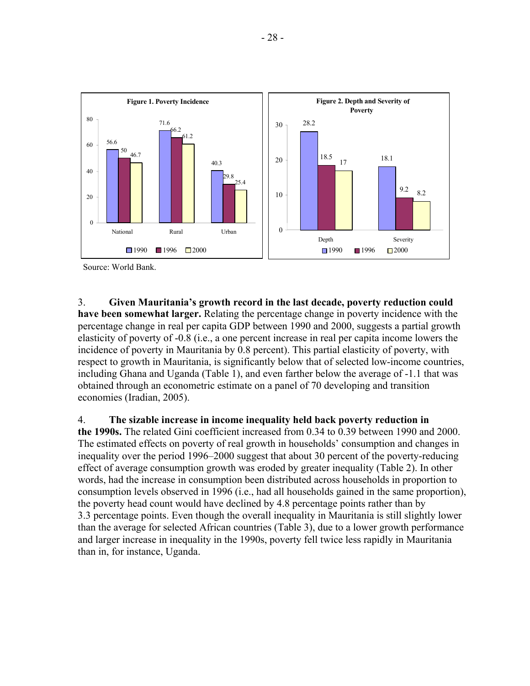

Source: World Bank.

3. **Given Mauritania's growth record in the last decade, poverty reduction could have been somewhat larger.** Relating the percentage change in poverty incidence with the percentage change in real per capita GDP between 1990 and 2000, suggests a partial growth elasticity of poverty of -0.8 (i.e., a one percent increase in real per capita income lowers the incidence of poverty in Mauritania by 0.8 percent). This partial elasticity of poverty, with respect to growth in Mauritania, is significantly below that of selected low-income countries, including Ghana and Uganda (Table 1), and even farther below the average of -1.1 that was obtained through an econometric estimate on a panel of 70 developing and transition economies (Iradian, 2005).

4. **The sizable increase in income inequality held back poverty reduction in the 1990s.** The related Gini coefficient increased from 0.34 to 0.39 between 1990 and 2000. The estimated effects on poverty of real growth in households' consumption and changes in inequality over the period 1996–2000 suggest that about 30 percent of the poverty-reducing effect of average consumption growth was eroded by greater inequality (Table 2). In other words, had the increase in consumption been distributed across households in proportion to consumption levels observed in 1996 (i.e., had all households gained in the same proportion), the poverty head count would have declined by 4.8 percentage points rather than by 3.3 percentage points. Even though the overall inequality in Mauritania is still slightly lower than the average for selected African countries (Table 3), due to a lower growth performance and larger increase in inequality in the 1990s, poverty fell twice less rapidly in Mauritania than in, for instance, Uganda.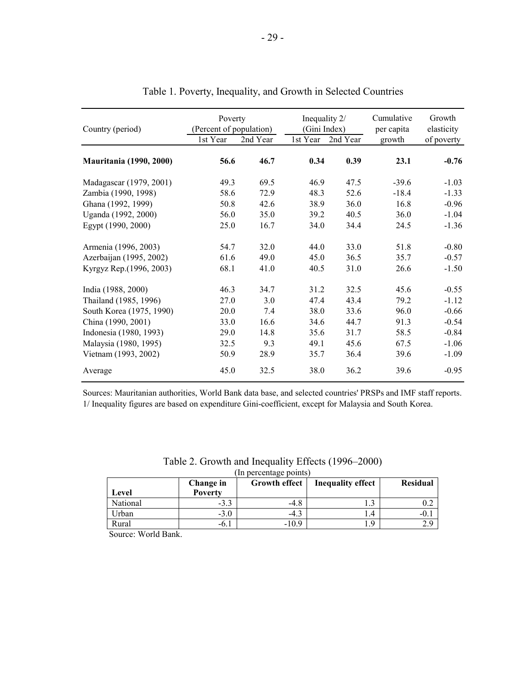| Country (period)               | Poverty<br>(Percent of population)<br>1st Year | 2nd Year | Inequality 2/<br>(Gini Index)<br>1st Year | 2nd Year | Cumulative<br>per capita<br>growth | Growth<br>elasticity<br>of poverty |
|--------------------------------|------------------------------------------------|----------|-------------------------------------------|----------|------------------------------------|------------------------------------|
| <b>Mauritania</b> (1990, 2000) | 56.6                                           | 46.7     | 0.34                                      | 0.39     | 23.1                               | $-0.76$                            |
| Madagascar (1979, 2001)        | 49.3                                           | 69.5     | 46.9                                      | 47.5     | $-39.6$                            | $-1.03$                            |
| Zambia (1990, 1998)            | 58.6                                           | 72.9     | 48.3                                      | 52.6     | $-18.4$                            | $-1.33$                            |
| Ghana (1992, 1999)             | 50.8                                           | 42.6     | 38.9                                      | 36.0     | 16.8                               | $-0.96$                            |
| Uganda (1992, 2000)            | 56.0                                           | 35.0     | 39.2                                      | 40.5     | 36.0                               | $-1.04$                            |
| Egypt (1990, 2000)             | 25.0                                           | 16.7     | 34.0                                      | 34.4     | 24.5                               | $-1.36$                            |
| Armenia (1996, 2003)           | 54.7                                           | 32.0     | 44.0                                      | 33.0     | 51.8                               | $-0.80$                            |
| Azerbaijan (1995, 2002)        | 61.6                                           | 49.0     | 45.0                                      | 36.5     | 35.7                               | $-0.57$                            |
| Kyrgyz Rep.(1996, 2003)        | 68.1                                           | 41.0     | 40.5                                      | 31.0     | 26.6                               | $-1.50$                            |
| India (1988, 2000)             | 46.3                                           | 34.7     | 31.2                                      | 32.5     | 45.6                               | $-0.55$                            |
| Thailand (1985, 1996)          | 27.0                                           | 3.0      | 47.4                                      | 43.4     | 79.2                               | $-1.12$                            |
| South Korea (1975, 1990)       | 20.0                                           | 7.4      | 38.0                                      | 33.6     | 96.0                               | $-0.66$                            |
| China (1990, 2001)             | 33.0                                           | 16.6     | 34.6                                      | 44.7     | 91.3                               | $-0.54$                            |
| Indonesia (1980, 1993)         | 29.0                                           | 14.8     | 35.6                                      | 31.7     | 58.5                               | $-0.84$                            |
| Malaysia (1980, 1995)          | 32.5                                           | 9.3      | 49.1                                      | 45.6     | 67.5                               | $-1.06$                            |
| Vietnam (1993, 2002)           | 50.9                                           | 28.9     | 35.7                                      | 36.4     | 39.6                               | $-1.09$                            |
| Average                        | 45.0                                           | 32.5     | 38.0                                      | 36.2     | 39.6                               | $-0.95$                            |

### Table 1. Poverty, Inequality, and Growth in Selected Countries

Sources: Mauritanian authorities, World Bank data base, and selected countries' PRSPs and IMF staff reports. 1/ Inequality figures are based on expenditure Gini-coefficient, except for Malaysia and South Korea.

| Level    | Change in<br><b>Poverty</b> | <b>Growth effect</b> | <b>Inequality effect</b> | <b>Residual</b> |
|----------|-----------------------------|----------------------|--------------------------|-----------------|
| National | $-3.3$                      | -4.8                 |                          |                 |
| Urban    | $-3.0$                      | -4.3                 | $\overline{4}$           |                 |
| Rural    | $-0.1$                      | $-10.9$              |                          |                 |

#### Table 2. Growth and Inequality Effects (1996–2000) (In percentage points)

Source: World Bank.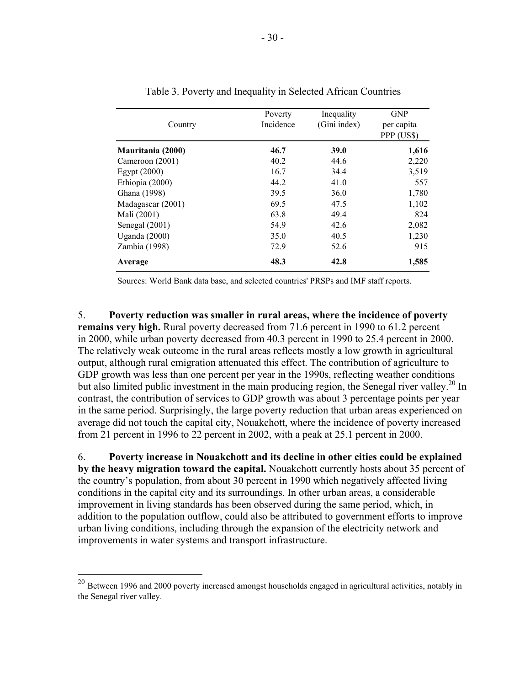| Country           | Poverty<br>Incidence | Inequality<br>(Gini index) | <b>GNP</b><br>per capita<br>PPP (US\$) |
|-------------------|----------------------|----------------------------|----------------------------------------|
| Mauritania (2000) | 46.7                 | <b>39.0</b>                | 1,616                                  |
| Cameroon (2001)   | 40.2                 | 44.6                       | 2,220                                  |
| Egypt $(2000)$    | 16.7                 | 34.4                       | 3,519                                  |
| Ethiopia (2000)   | 44.2                 | 41.0                       | 557                                    |
| Ghana (1998)      | 39.5                 | 36.0                       | 1,780                                  |
| Madagascar (2001) | 69.5                 | 47.5                       | 1,102                                  |
| Mali (2001)       | 63.8                 | 49.4                       | 824                                    |
| Senegal (2001)    | 54.9                 | 42.6                       | 2,082                                  |
| Uganda $(2000)$   | 35.0                 | 40.5                       | 1,230                                  |
| Zambia (1998)     | 72.9                 | 52.6                       | 915                                    |
| Average           | 48.3                 | 42.8                       | 1,585                                  |

Sources: World Bank data base, and selected countries' PRSPs and IMF staff reports.

5. **Poverty reduction was smaller in rural areas, where the incidence of poverty remains very high.** Rural poverty decreased from 71.6 percent in 1990 to 61.2 percent in 2000, while urban poverty decreased from 40.3 percent in 1990 to 25.4 percent in 2000. The relatively weak outcome in the rural areas reflects mostly a low growth in agricultural output, although rural emigration attenuated this effect. The contribution of agriculture to GDP growth was less than one percent per year in the 1990s, reflecting weather conditions but also limited public investment in the main producing region, the Senegal river valley.<sup>20</sup> In contrast, the contribution of services to GDP growth was about 3 percentage points per year in the same period. Surprisingly, the large poverty reduction that urban areas experienced on average did not touch the capital city, Nouakchott, where the incidence of poverty increased from 21 percent in 1996 to 22 percent in 2002, with a peak at 25.1 percent in 2000.

6. **Poverty increase in Nouakchott and its decline in other cities could be explained by the heavy migration toward the capital.** Nouakchott currently hosts about 35 percent of the country's population, from about 30 percent in 1990 which negatively affected living conditions in the capital city and its surroundings. In other urban areas, a considerable improvement in living standards has been observed during the same period, which, in addition to the population outflow, could also be attributed to government efforts to improve urban living conditions, including through the expansion of the electricity network and improvements in water systems and transport infrastructure.

 $^{20}$  Between 1996 and 2000 poverty increased amongst households engaged in agricultural activities, notably in the Senegal river valley.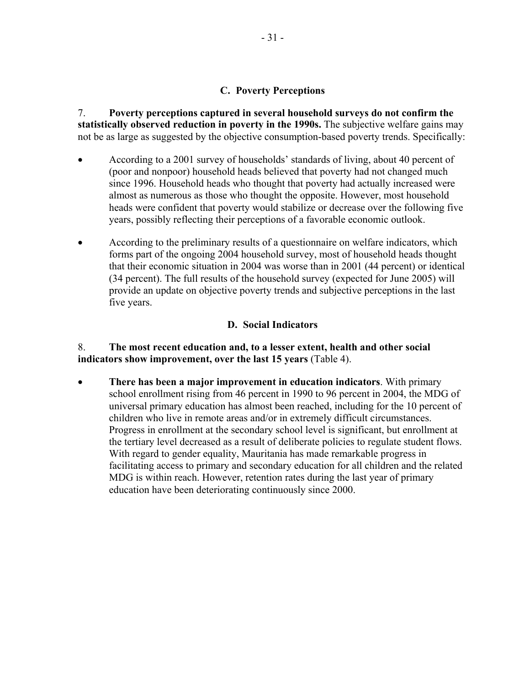### **C. Poverty Perceptions**

7. **Poverty perceptions captured in several household surveys do not confirm the statistically observed reduction in poverty in the 1990s.** The subjective welfare gains may not be as large as suggested by the objective consumption-based poverty trends. Specifically:

- According to a 2001 survey of households' standards of living, about 40 percent of (poor and nonpoor) household heads believed that poverty had not changed much since 1996. Household heads who thought that poverty had actually increased were almost as numerous as those who thought the opposite. However, most household heads were confident that poverty would stabilize or decrease over the following five years, possibly reflecting their perceptions of a favorable economic outlook.
- According to the preliminary results of a questionnaire on welfare indicators, which forms part of the ongoing 2004 household survey, most of household heads thought that their economic situation in 2004 was worse than in 2001 (44 percent) or identical (34 percent). The full results of the household survey (expected for June 2005) will provide an update on objective poverty trends and subjective perceptions in the last five years.

# **D. Social Indicators**

### 8. **The most recent education and, to a lesser extent, health and other social indicators show improvement, over the last 15 years** (Table 4).

• **There has been a major improvement in education indicators**. With primary school enrollment rising from 46 percent in 1990 to 96 percent in 2004, the MDG of universal primary education has almost been reached, including for the 10 percent of children who live in remote areas and/or in extremely difficult circumstances. Progress in enrollment at the secondary school level is significant, but enrollment at the tertiary level decreased as a result of deliberate policies to regulate student flows. With regard to gender equality, Mauritania has made remarkable progress in facilitating access to primary and secondary education for all children and the related MDG is within reach. However, retention rates during the last year of primary education have been deteriorating continuously since 2000.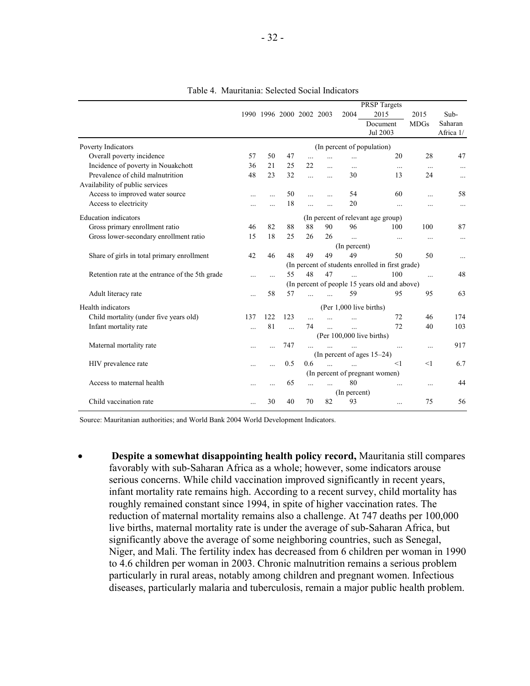|                                                 |           |           |                          |            |               |              | <b>PRSP</b> Targets                              |             |           |
|-------------------------------------------------|-----------|-----------|--------------------------|------------|---------------|--------------|--------------------------------------------------|-------------|-----------|
|                                                 |           |           | 1990 1996 2000 2002 2003 |            |               | 2004         | 2015                                             | 2015        | Sub-      |
|                                                 |           |           |                          |            |               |              | Document                                         | <b>MDGs</b> | Saharan   |
|                                                 |           |           |                          |            |               |              | Jul 2003                                         |             | Africa 1/ |
| Poverty Indicators                              |           |           |                          |            |               |              | (In percent of population)                       |             |           |
| Overall poverty incidence                       | 57        | 50        | 47                       | $\ddotsc$  | $\ddotsc$     | $\ddots$     | 20                                               | 28          | 47        |
| Incidence of poverty in Nouakchott              | 36        | 21        | 25                       | 22         | $\ddotsc$     | $\cdots$     | $\ddots$                                         | $\cdots$    | $\cdots$  |
| Prevalence of child malnutrition                | 48        | 23        | 32                       | $\ddotsc$  | $\dddotsc$    | 30           | 13                                               | 24          | $\cdots$  |
| Availability of public services                 |           |           |                          |            |               |              |                                                  |             |           |
| Access to improved water source                 | $\ddotsc$ | $\ddotsc$ | 50                       | $\ddotsc$  | $\ddotsc$     | 54           | 60                                               | $\ddotsc$   | 58        |
| Access to electricity                           |           |           | 18                       | $\ddotsc$  | $\dddotsc$    | 20           | $\ddotsc$                                        | .           | $\cdots$  |
| <b>Education</b> indicators                     |           |           |                          |            |               |              | (In percent of relevant age group)               |             |           |
| Gross primary enrollment ratio                  | 46        | 82        | 88                       | 88         | 90            | 96           | 100                                              | 100         | 87        |
| Gross lower-secondary enrollment ratio          | 15        | 18        | 25                       | 26         | 26            | $\ddotsc$    | $\ldots$                                         | $\cdots$    | $\cdots$  |
|                                                 |           |           |                          |            |               | (In percent) |                                                  |             |           |
| Share of girls in total primary enrollment      | 42        | 46        | 48                       | 49         | 49            | 49           | 50                                               | 50          | $\cdots$  |
|                                                 |           |           |                          |            |               |              | (In percent of students enrolled in first grade) |             |           |
| Retention rate at the entrance of the 5th grade |           |           | 55                       | 48         | 47            |              | 100                                              | $\ddotsc$   | 48        |
|                                                 |           |           |                          |            |               |              | (In percent of people 15 years old and above)    |             |           |
| Adult literacy rate                             |           | 58        | 57                       | $\ddotsc$  | $\dddotsc$    | 59           | 95                                               | 95          | 63        |
| Health indicators                               |           |           |                          |            |               |              | (Per 1,000 live births)                          |             |           |
| Child mortality (under five years old)          | 137       | 122       | 123                      | $\dddotsc$ | $\ddotsc$     | $\ddotsc$    | 72                                               | 46          | 174       |
| Infant mortality rate                           | $\ddotsc$ | 81        | $\ddotsc$                | 74         | $\mathbf{r}$  | $\ddotsc$    | 72                                               | 40          | 103       |
|                                                 |           |           |                          |            |               |              | (Per 100,000 live births)                        |             |           |
| Maternal mortality rate                         | $\ddotsc$ |           | 747                      |            |               |              | $\cdots$                                         |             | 917       |
|                                                 |           |           |                          |            |               |              | (In percent of ages 15–24)                       |             |           |
| HIV prevalence rate                             | $\cdots$  |           | 0.5                      | 0.6        | $\mathcal{L}$ |              | <1                                               | <1          | 6.7       |
|                                                 |           |           |                          |            |               |              | (In percent of pregnant women)                   |             |           |
| Access to maternal health                       | $\ddotsc$ |           | 65                       | .          | $\ddotsc$     | 80           | $\cdots$                                         | $\cdots$    | 44        |
|                                                 |           |           |                          |            |               | (In percent) |                                                  |             |           |
| Child vaccination rate                          |           | 30        | 40                       | 70         | 82            | 93           | $\ddotsc$                                        | 75          | 56        |
|                                                 |           |           |                          |            |               |              |                                                  |             |           |

Table 4. Mauritania: Selected Social Indicators

Source: Mauritanian authorities; and World Bank 2004 World Development Indicators.

• **Despite a somewhat disappointing health policy record,** Mauritania still compares favorably with sub-Saharan Africa as a whole; however, some indicators arouse serious concerns. While child vaccination improved significantly in recent years, infant mortality rate remains high. According to a recent survey, child mortality has roughly remained constant since 1994, in spite of higher vaccination rates. The reduction of maternal mortality remains also a challenge. At 747 deaths per 100,000 live births, maternal mortality rate is under the average of sub-Saharan Africa, but significantly above the average of some neighboring countries, such as Senegal, Niger, and Mali. The fertility index has decreased from 6 children per woman in 1990 to 4.6 children per woman in 2003. Chronic malnutrition remains a serious problem particularly in rural areas, notably among children and pregnant women. Infectious diseases, particularly malaria and tuberculosis, remain a major public health problem.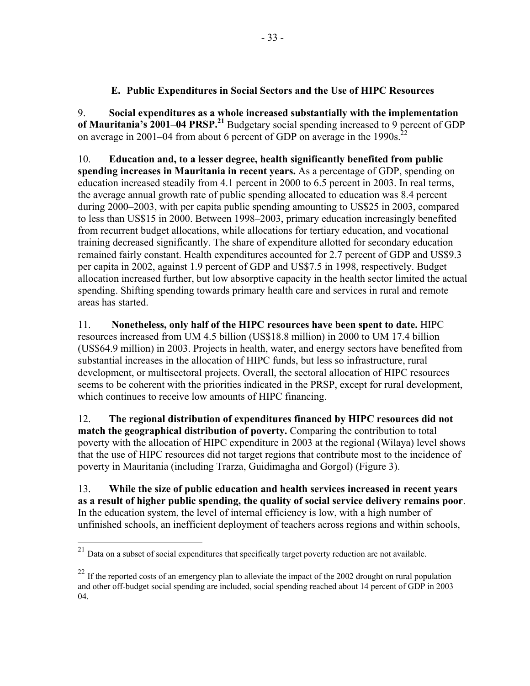# **E. Public Expenditures in Social Sectors and the Use of HIPC Resources**

9. **Social expenditures as a whole increased substantially with the implementation of Mauritania's 2001–04 PRSP.<sup>21</sup>** Budgetary social spending increased to 9 percent of GDP on average in 2001–04 from about 6 percent of GDP on average in the 1990s.<sup>22</sup>

10. **Education and, to a lesser degree, health significantly benefited from public spending increases in Mauritania in recent years.** As a percentage of GDP, spending on education increased steadily from 4.1 percent in 2000 to 6.5 percent in 2003. In real terms, the average annual growth rate of public spending allocated to education was 8.4 percent during 2000–2003, with per capita public spending amounting to US\$25 in 2003, compared to less than US\$15 in 2000. Between 1998–2003, primary education increasingly benefited from recurrent budget allocations, while allocations for tertiary education, and vocational training decreased significantly. The share of expenditure allotted for secondary education remained fairly constant. Health expenditures accounted for 2.7 percent of GDP and US\$9.3 per capita in 2002, against 1.9 percent of GDP and US\$7.5 in 1998, respectively. Budget allocation increased further, but low absorptive capacity in the health sector limited the actual spending. Shifting spending towards primary health care and services in rural and remote areas has started.

11. **Nonetheless, only half of the HIPC resources have been spent to date.** HIPC resources increased from UM 4.5 billion (US\$18.8 million) in 2000 to UM 17.4 billion (US\$64.9 million) in 2003. Projects in health, water, and energy sectors have benefited from substantial increases in the allocation of HIPC funds, but less so infrastructure, rural development, or multisectoral projects. Overall, the sectoral allocation of HIPC resources seems to be coherent with the priorities indicated in the PRSP, except for rural development, which continues to receive low amounts of HIPC financing.

12. **The regional distribution of expenditures financed by HIPC resources did not match the geographical distribution of poverty.** Comparing the contribution to total poverty with the allocation of HIPC expenditure in 2003 at the regional (Wilaya) level shows that the use of HIPC resources did not target regions that contribute most to the incidence of poverty in Mauritania (including Trarza, Guidimagha and Gorgol) (Figure 3).

13. **While the size of public education and health services increased in recent years as a result of higher public spending, the quality of social service delivery remains poor**. In the education system, the level of internal efficiency is low, with a high number of unfinished schools, an inefficient deployment of teachers across regions and within schools,

 $\overline{a}$ 

<sup>&</sup>lt;sup>21</sup> Data on a subset of social expenditures that specifically target poverty reduction are not available.

 $^{22}$  If the reported costs of an emergency plan to alleviate the impact of the 2002 drought on rural population and other off-budget social spending are included, social spending reached about 14 percent of GDP in 2003– 04.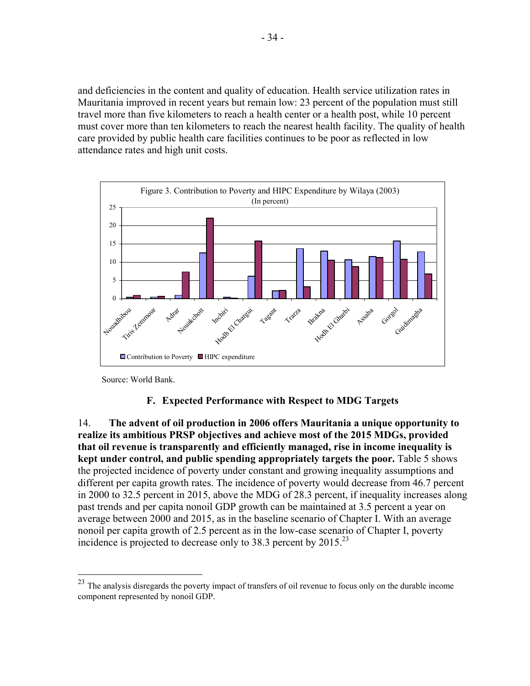and deficiencies in the content and quality of education. Health service utilization rates in Mauritania improved in recent years but remain low: 23 percent of the population must still travel more than five kilometers to reach a health center or a health post, while 10 percent must cover more than ten kilometers to reach the nearest health facility. The quality of health care provided by public health care facilities continues to be poor as reflected in low attendance rates and high unit costs.



Source: World Bank.

1

#### **F. Expected Performance with Respect to MDG Targets**

14. **The advent of oil production in 2006 offers Mauritania a unique opportunity to realize its ambitious PRSP objectives and achieve most of the 2015 MDGs, provided that oil revenue is transparently and efficiently managed, rise in income inequality is kept under control, and public spending appropriately targets the poor.** Table 5 shows the projected incidence of poverty under constant and growing inequality assumptions and different per capita growth rates. The incidence of poverty would decrease from 46.7 percent in 2000 to 32.5 percent in 2015, above the MDG of 28.3 percent, if inequality increases along past trends and per capita nonoil GDP growth can be maintained at 3.5 percent a year on average between 2000 and 2015, as in the baseline scenario of Chapter I. With an average nonoil per capita growth of 2.5 percent as in the low-case scenario of Chapter I, poverty incidence is projected to decrease only to 38.3 percent by  $2015^{23}$ 

 $^{23}$  The analysis disregards the poverty impact of transfers of oil revenue to focus only on the durable income component represented by nonoil GDP.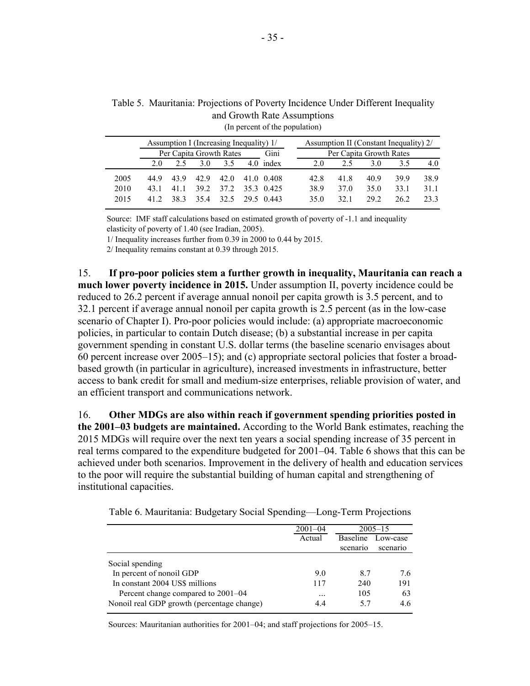|      | Assumption I (Increasing Inequality) 1/ |     |                           |      |  |             |  | Assumption II (Constant Inequality) 2/ |      |      |      |      |
|------|-----------------------------------------|-----|---------------------------|------|--|-------------|--|----------------------------------------|------|------|------|------|
|      | Per Capita Growth Rates                 |     |                           |      |  | Gini        |  | Per Capita Growth Rates                |      |      |      |      |
|      | 2.0                                     | 2.5 | 3.0                       | 3.5  |  | $4.0$ index |  | 2.0                                    | 2.5  | 3.0  | 3.5  | 4.0  |
| 2005 | 44.9                                    |     | 43.9 42.9                 | 42.0 |  | 41.0 0.408  |  | 42.8                                   | 41.8 | 40.9 | 399  | 38.9 |
| 2010 | 43 1                                    | 411 | 39 2                      | 37.2 |  | 35.3 0.425  |  | 38.9                                   | 37 O | 35.0 | 33.1 | 31 1 |
| 2015 | 412                                     |     | 38 3 35 4 32 5 29 5 0 443 |      |  |             |  | 35 O                                   | 32.1 | 29.2 | 26.2 | 23.3 |

Table 5. Mauritania: Projections of Poverty Incidence Under Different Inequality (In percent of the population) and Growth Rate Assumptions

Source: IMF staff calculations based on estimated growth of poverty of -1.1 and inequality elasticity of poverty of 1.40 (see Iradian, 2005).

1/ Inequality increases further from 0.39 in 2000 to 0.44 by 2015.

2/ Inequality remains constant at 0.39 through 2015.

15. **If pro-poor policies stem a further growth in inequality, Mauritania can reach a much lower poverty incidence in 2015.** Under assumption II, poverty incidence could be reduced to 26.2 percent if average annual nonoil per capita growth is 3.5 percent, and to 32.1 percent if average annual nonoil per capita growth is 2.5 percent (as in the low-case scenario of Chapter I). Pro-poor policies would include: (a) appropriate macroeconomic policies, in particular to contain Dutch disease; (b) a substantial increase in per capita government spending in constant U.S. dollar terms (the baseline scenario envisages about 60 percent increase over 2005–15); and (c) appropriate sectoral policies that foster a broadbased growth (in particular in agriculture), increased investments in infrastructure, better access to bank credit for small and medium-size enterprises, reliable provision of water, and an efficient transport and communications network.

16. **Other MDGs are also within reach if government spending priorities posted in the 2001–03 budgets are maintained.** According to the World Bank estimates, reaching the 2015 MDGs will require over the next ten years a social spending increase of 35 percent in real terms compared to the expenditure budgeted for 2001–04. Table 6 shows that this can be achieved under both scenarios. Improvement in the delivery of health and education services to the poor will require the substantial building of human capital and strengthening of institutional capacities.

|                                            | $2001 - 04$ | $2005 - 15$     |          |  |
|--------------------------------------------|-------------|-----------------|----------|--|
|                                            | Actual      | <b>Baseline</b> | Low-case |  |
|                                            |             | scenario        | scenario |  |
| Social spending                            |             |                 |          |  |
| In percent of nonoil GDP                   | 9.0         | 87              | 76       |  |
| In constant 2004 US\$ millions             | 117         | 240             | 191      |  |
| Percent change compared to 2001–04         | $\cdots$    | 105             | 63       |  |
| Nonoil real GDP growth (percentage change) | 44          | 57              | 4.6      |  |

Table 6. Mauritania: Budgetary Social Spending—Long-Term Projections

Sources: Mauritanian authorities for 2001–04; and staff projections for 2005–15.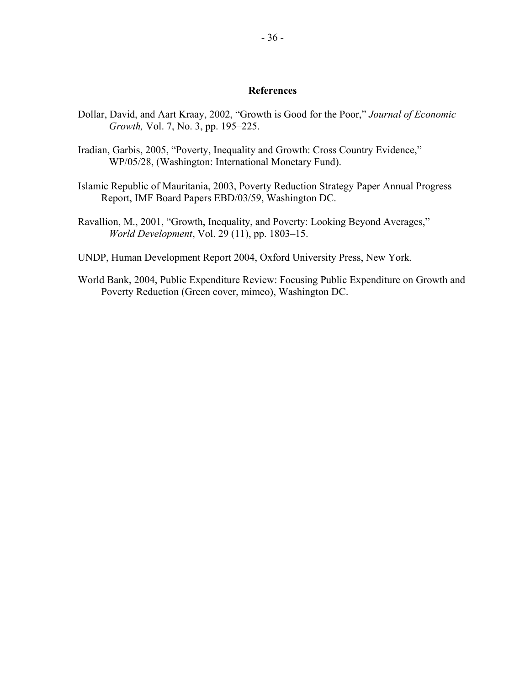#### **References**

- Dollar, David, and Aart Kraay, 2002, "Growth is Good for the Poor," *Journal of Economic Growth,* Vol. 7, No. 3, pp. 195–225.
- Iradian, Garbis, 2005, "Poverty, Inequality and Growth: Cross Country Evidence," WP/05/28, (Washington: International Monetary Fund).
- Islamic Republic of Mauritania, 2003, Poverty Reduction Strategy Paper Annual Progress Report, IMF Board Papers EBD/03/59, Washington DC.
- Ravallion, M., 2001, "Growth, Inequality, and Poverty: Looking Beyond Averages," *World Development*, Vol. 29 (11), pp. 1803–15.
- UNDP, Human Development Report 2004, Oxford University Press, New York.
- World Bank, 2004, Public Expenditure Review: Focusing Public Expenditure on Growth and Poverty Reduction (Green cover, mimeo), Washington DC.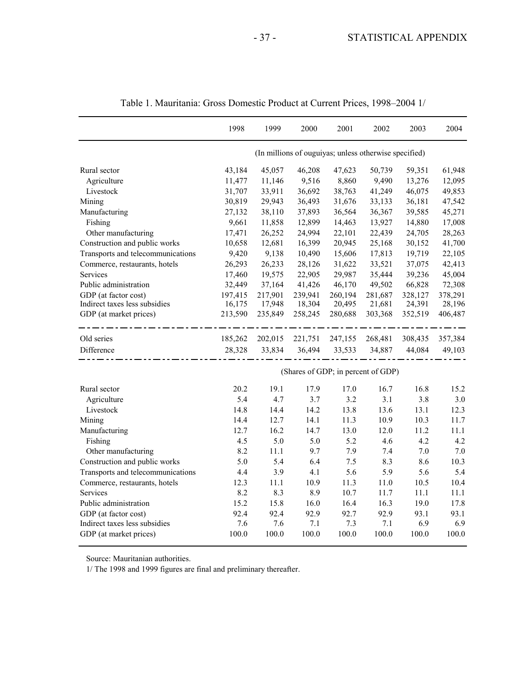|                                   | 1998    | 1999    | 2000                                                  | 2001    | 2002    | 2003    | 2004    |
|-----------------------------------|---------|---------|-------------------------------------------------------|---------|---------|---------|---------|
|                                   |         |         | (In millions of ouguiyas; unless otherwise specified) |         |         |         |         |
| Rural sector                      | 43,184  | 45,057  | 46,208                                                | 47,623  | 50,739  | 59,351  | 61,948  |
| Agriculture                       | 11,477  | 11,146  | 9,516                                                 | 8,860   | 9,490   | 13,276  | 12,095  |
| Livestock                         | 31,707  | 33,911  | 36,692                                                | 38,763  | 41,249  | 46,075  | 49,853  |
| Mining                            | 30,819  | 29,943  | 36,493                                                | 31,676  | 33,133  | 36,181  | 47,542  |
| Manufacturing                     | 27,132  | 38,110  | 37,893                                                | 36,564  | 36,367  | 39,585  | 45,271  |
| Fishing                           | 9,661   | 11,858  | 12,899                                                | 14,463  | 13,927  | 14,880  | 17,008  |
| Other manufacturing               | 17,471  | 26,252  | 24,994                                                | 22,101  | 22,439  | 24,705  | 28,263  |
| Construction and public works     | 10,658  | 12,681  | 16,399                                                | 20,945  | 25,168  | 30,152  | 41,700  |
| Transports and telecommunications | 9,420   | 9,138   | 10,490                                                | 15,606  | 17,813  | 19,719  | 22,105  |
| Commerce, restaurants, hotels     | 26,293  | 26,233  | 28,126                                                | 31,622  | 33,521  | 37,075  | 42,413  |
| Services                          | 17,460  | 19,575  | 22,905                                                | 29,987  | 35,444  | 39,236  | 45,004  |
| Public administration             | 32,449  | 37,164  | 41,426                                                | 46,170  | 49,502  | 66,828  | 72,308  |
| GDP (at factor cost)              | 197,415 | 217,901 | 239,941                                               | 260,194 | 281,687 | 328,127 | 378,291 |
| Indirect taxes less subsidies     | 16,175  | 17,948  | 18,304                                                | 20,495  | 21,681  | 24,391  | 28,196  |
| GDP (at market prices)            | 213,590 | 235,849 | 258,245                                               | 280,688 | 303,368 | 352,519 | 406,487 |
| Old series                        | 185,262 | 202,015 | 221,751                                               | 247,155 | 268,481 | 308,435 | 357,384 |
| Difference                        | 28,328  | 33,834  | 36,494                                                | 33,533  | 34,887  | 44,084  | 49,103  |
|                                   |         |         | (Shares of GDP; in percent of GDP)                    |         |         |         |         |
| Rural sector                      | 20.2    | 19.1    | 17.9                                                  | 17.0    | 16.7    | 16.8    | 15.2    |
| Agriculture                       | 5.4     | 4.7     | 3.7                                                   | 3.2     | 3.1     | 3.8     | 3.0     |
| Livestock                         | 14.8    | 14.4    | 14.2                                                  | 13.8    | 13.6    | 13.1    | 12.3    |
| Mining                            | 14.4    | 12.7    | 14.1                                                  | 11.3    | 10.9    | 10.3    | 11.7    |
| Manufacturing                     | 12.7    | 16.2    | 14.7                                                  | 13.0    | 12.0    | 11.2    | 11.1    |
| Fishing                           | 4.5     | 5.0     | 5.0                                                   | 5.2     | 4.6     | 4.2     | 4.2     |
| Other manufacturing               | 8.2     | 11.1    | 9.7                                                   | 7.9     | 7.4     | 7.0     | 7.0     |
| Construction and public works     | 5.0     | 5.4     | 6.4                                                   | 7.5     | 8.3     | 8.6     | 10.3    |
| Transports and telecommunications | 4.4     | 3.9     | 4.1                                                   | 5.6     | 5.9     | 5.6     | 5.4     |
| Commerce, restaurants, hotels     | 12.3    | 11.1    | 10.9                                                  | 11.3    | 11.0    | 10.5    | 10.4    |
| Services                          | 8.2     | 8.3     | 8.9                                                   | 10.7    | 11.7    | 11.1    | 11.1    |
| Public administration             | 15.2    | 15.8    | 16.0                                                  | 16.4    | 16.3    | 19.0    | 17.8    |
| GDP (at factor cost)              | 92.4    | 92.4    | 92.9                                                  | 92.7    | 92.9    | 93.1    | 93.1    |
| Indirect taxes less subsidies     | 7.6     | 7.6     | 7.1                                                   | 7.3     | 7.1     | 6.9     | 6.9     |
| GDP (at market prices)            | 100.0   | 100.0   | 100.0                                                 | 100.0   | 100.0   | 100.0   | 100.0   |

|  |  | Table 1. Mauritania: Gross Domestic Product at Current Prices, 1998–2004 1/ |  |
|--|--|-----------------------------------------------------------------------------|--|
|--|--|-----------------------------------------------------------------------------|--|

Source: Mauritanian authorities.

1/ The 1998 and 1999 figures are final and preliminary thereafter.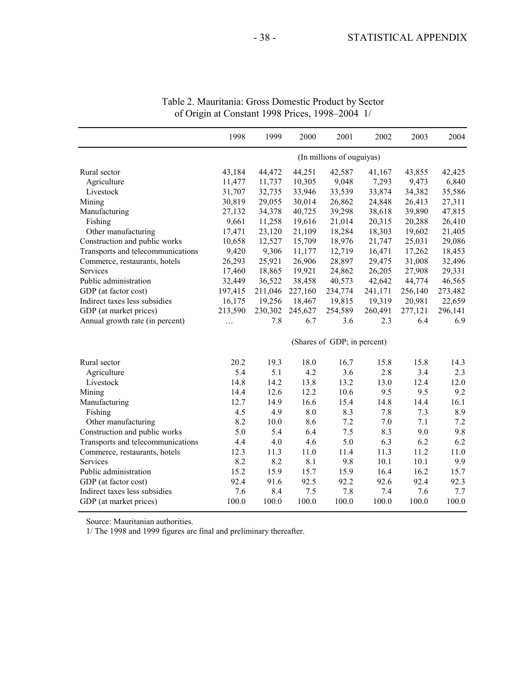|                                   | 1998    | 1999    | 2000    | 2001                        | 2002    | 2003    | 2004    |
|-----------------------------------|---------|---------|---------|-----------------------------|---------|---------|---------|
|                                   |         |         |         | (In millions of ouguiyas)   |         |         |         |
| Rural sector                      | 43,184  | 44,472  | 44,251  | 42,587                      | 41,167  | 43,855  | 42,425  |
| Agriculture                       | 11,477  | 11,737  | 10,305  | 9,048                       | 7,293   | 9,473   | 6,840   |
| Livestock                         | 31,707  | 32,735  | 33,946  | 33,539                      | 33,874  | 34,382  | 35,586  |
| Mining                            | 30,819  | 29,055  | 30,014  | 26,862                      | 24,848  | 26,413  | 27,311  |
| Manufacturing                     | 27,132  | 34,378  | 40,725  | 39,298                      | 38,618  | 39,890  | 47,815  |
| Fishing                           | 9,661   | 11,258  | 19,616  | 21,014                      | 20,315  | 20,288  | 26,410  |
| Other manufacturing               | 17,471  | 23,120  | 21,109  | 18,284                      | 18,303  | 19,602  | 21,405  |
| Construction and public works     | 10,658  | 12,527  | 15,709  | 18,976                      | 21,747  | 25,031  | 29,086  |
| Transports and telecommunications | 9,420   | 9,306   | 11,177  | 12,719                      | 16,471  | 17,262  | 18,453  |
| Commerce, restaurants, hotels     | 26,293  | 25,921  | 26,906  | 28,897                      | 29,475  | 31,008  | 32,496  |
| Services                          | 17,460  | 18,865  | 19,921  | 24,862                      | 26,205  | 27,908  | 29,331  |
| Public administration             | 32,449  | 36,522  | 38,458  | 40,573                      | 42,642  | 44,774  | 46,565  |
| GDP (at factor cost)              | 197,415 | 211,046 | 227,160 | 234,774                     | 241,171 | 256,140 | 273,482 |
| Indirect taxes less subsidies     | 16,175  | 19,256  | 18,467  | 19,815                      | 19,319  | 20,981  | 22,659  |
| GDP (at market prices)            | 213,590 | 230,302 | 245,627 | 254,589                     | 260,491 | 277,121 | 296,141 |
| Annual growth rate (in percent)   | .       | 7.8     | 6.7     | 3.6                         | 2.3     | 6.4     | 6.9     |
|                                   |         |         |         | (Shares of GDP; in percent) |         |         |         |
| Rural sector                      | 20.2    | 19.3    | 18.0    | 16.7                        | 15.8    | 15.8    | 14.3    |
| Agriculture                       | 5.4     | 5.1     | 4.2     | 3.6                         | 2.8     | 3.4     | 2.3     |
| Livestock                         | 14.8    | 14.2    | 13.8    | 13.2                        | 13.0    | 12.4    | 12.0    |
| Mining                            | 14.4    | 12.6    | 12.2    | 10.6                        | 9.5     | 9.5     | 9.2     |
| Manufacturing                     | 12.7    | 14.9    | 16.6    | 15.4                        | 14.8    | 14.4    | 16.1    |
| Fishing                           | 4.5     | 4.9     | 8.0     | 8.3                         | 7.8     | 7.3     | 8.9     |
| Other manufacturing               | 8.2     | 10.0    | 8.6     | 7.2                         | 7.0     | 7.1     | 7.2     |
| Construction and public works     | 5.0     | 5.4     | 6.4     | $7.5$                       | 8.3     | 9.0     | 9.8     |
| Transports and telecommunications | 4.4     | 4.0     | 4.6     | 5.0                         | 6.3     | 6.2     | 6.2     |
| Commerce, restaurants, hotels     | 12.3    | 11.3    | 11.0    | 11.4                        | 11.3    | 11.2    | 11.0    |
| Services                          | 8.2     | 8.2     | 8.1     | 9.8                         | 10.1    | 10.1    | 9.9     |
| Public administration             | 15.2    | 15.9    | 15.7    | 15.9                        | 16.4    | 16.2    | 15.7    |
| GDP (at factor cost)              | 92.4    | 91.6    | 92.5    | 92.2                        | 92.6    | 92.4    | 92.3    |
| Indirect taxes less subsidies     | 7.6     | 8.4     | 7.5     | 7.8                         | 7.4     | 7.6     | 7.7     |
| GDP (at market prices)            | 100.0   | 100.0   | 100.0   | 100.0                       | 100.0   | 100.0   | 100.0   |

Table 2. Mauritania: Gross Domestic Product by Sector of Origin at Constant 1998 Prices, 1998–2004 1/

Source: Mauritanian authorities.

1/ The 1998 and 1999 figures are final and preliminary thereafter.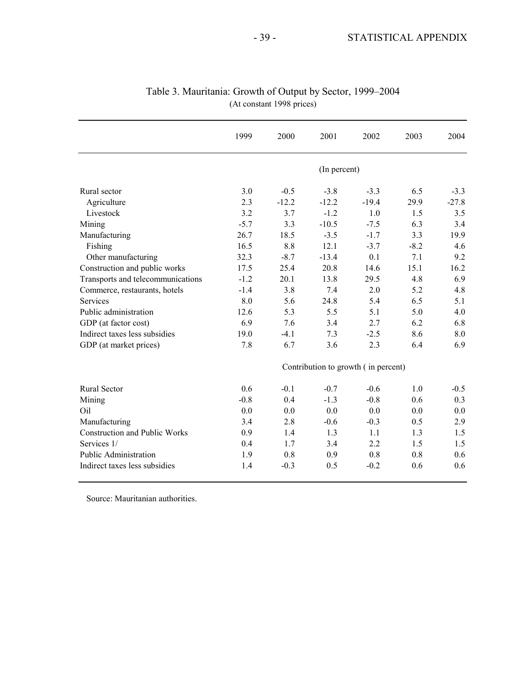|                                      | 1999   | 2000    | 2001         | 2002                                | 2003   | 2004    |
|--------------------------------------|--------|---------|--------------|-------------------------------------|--------|---------|
|                                      |        |         | (In percent) |                                     |        |         |
| Rural sector                         | 3.0    | $-0.5$  | $-3.8$       | $-3.3$                              | 6.5    | $-3.3$  |
| Agriculture                          | 2.3    | $-12.2$ | $-12.2$      | $-19.4$                             | 29.9   | $-27.8$ |
| Livestock                            | 3.2    | 3.7     | $-1.2$       | 1.0                                 | 1.5    | 3.5     |
| Mining                               | $-5.7$ | 3.3     | $-10.5$      | $-7.5$                              | 6.3    | 3.4     |
| Manufacturing                        | 26.7   | 18.5    | $-3.5$       | $-1.7$                              | 3.3    | 19.9    |
| Fishing                              | 16.5   | 8.8     | 12.1         | $-3.7$                              | $-8.2$ | 4.6     |
| Other manufacturing                  | 32.3   | $-8.7$  | $-13.4$      | 0.1                                 | 7.1    | 9.2     |
| Construction and public works        | 17.5   | 25.4    | 20.8         | 14.6                                | 15.1   | 16.2    |
| Transports and telecommunications    | $-1.2$ | 20.1    | 13.8         | 29.5                                | 4.8    | 6.9     |
| Commerce, restaurants, hotels        | $-1.4$ | 3.8     | 7.4          | 2.0                                 | 5.2    | 4.8     |
| Services                             | 8.0    | 5.6     | 24.8         | 5.4                                 | 6.5    | 5.1     |
| Public administration                | 12.6   | 5.3     | 5.5          | 5.1                                 | 5.0    | 4.0     |
| GDP (at factor cost)                 | 6.9    | 7.6     | 3.4          | 2.7                                 | 6.2    | 6.8     |
| Indirect taxes less subsidies        | 19.0   | $-4.1$  | 7.3          | $-2.5$                              | 8.6    | 8.0     |
| GDP (at market prices)               | 7.8    | 6.7     | 3.6          | 2.3                                 | 6.4    | 6.9     |
|                                      |        |         |              | Contribution to growth (in percent) |        |         |
| Rural Sector                         | 0.6    | $-0.1$  | $-0.7$       | $-0.6$                              | 1.0    | $-0.5$  |
| Mining                               | $-0.8$ | 0.4     | $-1.3$       | $-0.8$                              | 0.6    | 0.3     |
| Oil                                  | 0.0    | 0.0     | 0.0          | 0.0                                 | 0.0    | 0.0     |
| Manufacturing                        | 3.4    | 2.8     | $-0.6$       | $-0.3$                              | 0.5    | 2.9     |
| <b>Construction and Public Works</b> | 0.9    | 1.4     | 1.3          | 1.1                                 | 1.3    | 1.5     |
| Services 1/                          | 0.4    | 1.7     | 3.4          | 2.2                                 | 1.5    | 1.5     |
| <b>Public Administration</b>         | 1.9    | 0.8     | 0.9          | 0.8                                 | 0.8    | 0.6     |
| Indirect taxes less subsidies        | 1.4    | $-0.3$  | 0.5          | $-0.2$                              | 0.6    | 0.6     |

### Table 3. Mauritania: Growth of Output by Sector, 1999–2004 (At constant 1998 prices)

Source: Mauritanian authorities.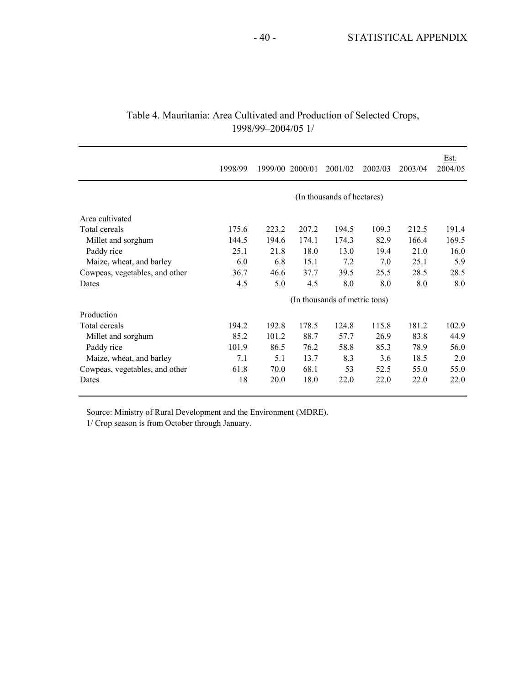|                                | 1998/99                       |       | 1999/00 2000/01 | 2001/02 | 2002/03 | 2003/04 | Est.<br>2004/05 |  |  |  |
|--------------------------------|-------------------------------|-------|-----------------|---------|---------|---------|-----------------|--|--|--|
|                                | (In thousands of hectares)    |       |                 |         |         |         |                 |  |  |  |
| Area cultivated                |                               |       |                 |         |         |         |                 |  |  |  |
| Total cereals                  | 175.6                         | 223.2 | 207.2           | 194.5   | 109.3   | 212.5   | 191.4           |  |  |  |
| Millet and sorghum             | 144.5                         | 194.6 | 174.1           | 174.3   | 82.9    | 166.4   | 169.5           |  |  |  |
| Paddy rice                     | 25.1                          | 21.8  | 18.0            | 13.0    | 19.4    | 21.0    | 16.0            |  |  |  |
| Maize, wheat, and barley       | 6.0                           | 6.8   | 15.1            | 7.2     | 7.0     | 25.1    | 5.9             |  |  |  |
| Cowpeas, vegetables, and other | 36.7                          | 46.6  | 37.7            | 39.5    | 25.5    | 28.5    | 28.5            |  |  |  |
| Dates                          | 4.5                           | 5.0   | 4.5             | 8.0     | 8.0     | 8.0     | 8.0             |  |  |  |
|                                | (In thousands of metric tons) |       |                 |         |         |         |                 |  |  |  |
| Production                     |                               |       |                 |         |         |         |                 |  |  |  |
| Total cereals                  | 194.2                         | 192.8 | 178.5           | 124.8   | 115.8   | 181.2   | 102.9           |  |  |  |
| Millet and sorghum             | 85.2                          | 101.2 | 88.7            | 57.7    | 26.9    | 83.8    | 44.9            |  |  |  |
| Paddy rice                     | 101.9                         | 86.5  | 76.2            | 58.8    | 85.3    | 78.9    | 56.0            |  |  |  |
| Maize, wheat, and barley       | 7.1                           | 5.1   | 13.7            | 8.3     | 3.6     | 18.5    | 2.0             |  |  |  |
| Cowpeas, vegetables, and other | 61.8                          | 70.0  | 68.1            | 53      | 52.5    | 55.0    | 55.0            |  |  |  |
| Dates                          | 18                            | 20.0  | 18.0            | 22.0    | 22.0    | 22.0    | 22.0            |  |  |  |

### Table 4. Mauritania: Area Cultivated and Production of Selected Crops, 1998/99–2004/05 1/

Source: Ministry of Rural Development and the Environment (MDRE).

1/ Crop season is from October through January.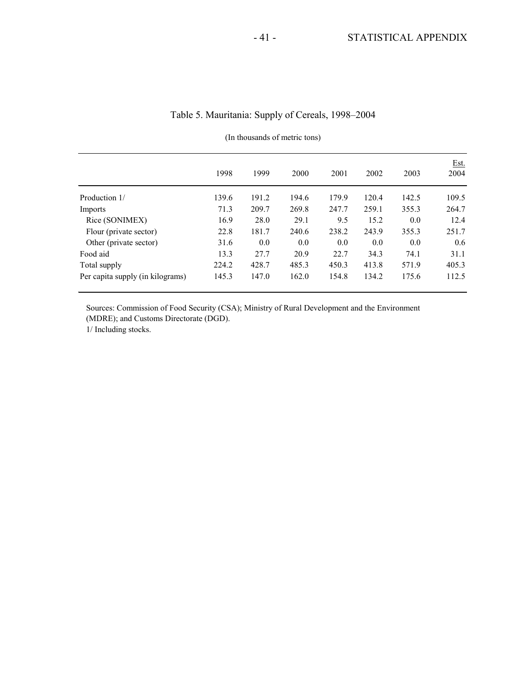|                                  | 1998  | 1999  | 2000  | 2001  | 2002  | 2003  | <u>Est.</u><br>2004 |
|----------------------------------|-------|-------|-------|-------|-------|-------|---------------------|
| Production 1/                    | 139.6 | 191.2 | 194.6 | 179.9 | 120.4 | 142.5 | 109.5               |
| Imports                          | 71.3  | 209.7 | 269.8 | 247.7 | 259.1 | 355.3 | 264.7               |
| Rice (SONIMEX)                   | 16.9  | 28.0  | 29.1  | 9.5   | 15.2  | 0.0   | 12.4                |
| Flour (private sector)           | 22.8  | 181.7 | 240.6 | 238.2 | 243.9 | 355.3 | 251.7               |
| Other (private sector)           | 31.6  | 0.0   | 0.0   | 0.0   | 0.0   | 0.0   | 0.6                 |
| Food aid                         | 13.3  | 27.7  | 20.9  | 22.7  | 34.3  | 74.1  | 31.1                |
| Total supply                     | 224.2 | 428.7 | 485.3 | 450.3 | 413.8 | 571.9 | 405.3               |
| Per capita supply (in kilograms) | 145.3 | 147.0 | 162.0 | 154.8 | 134.2 | 175.6 | 112.5               |

### Table 5. Mauritania: Supply of Cereals, 1998–2004

(In thousands of metric tons)

Sources: Commission of Food Security (CSA); Ministry of Rural Development and the Environment (MDRE); and Customs Directorate (DGD).

1/ Including stocks.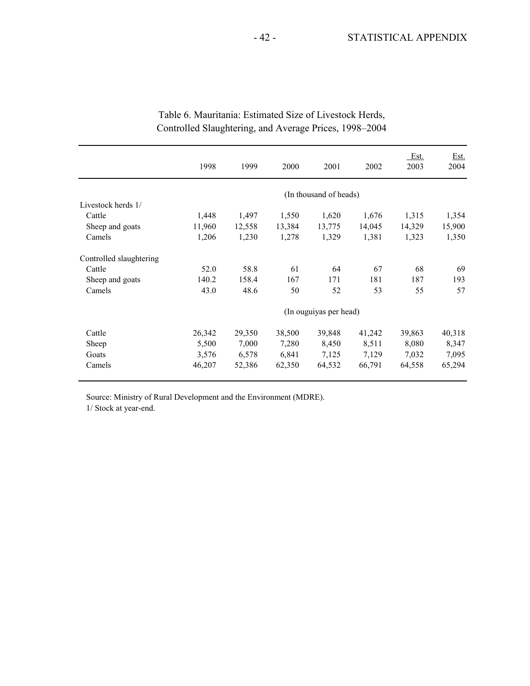|                         | 1998   | 1999   | 2000   | 2001                   | 2002   | Est.<br>2003 | Est.<br>2004 |
|-------------------------|--------|--------|--------|------------------------|--------|--------------|--------------|
|                         |        |        |        | (In thousand of heads) |        |              |              |
| Livestock herds 1/      |        |        |        |                        |        |              |              |
| Cattle                  | 1,448  | 1,497  | 1,550  | 1,620                  | 1,676  | 1,315        | 1,354        |
| Sheep and goats         | 11,960 | 12,558 | 13,384 | 13,775                 | 14,045 | 14,329       | 15,900       |
| Camels                  | 1,206  | 1,230  | 1,278  | 1,329                  | 1,381  | 1,323        | 1,350        |
| Controlled slaughtering |        |        |        |                        |        |              |              |
| Cattle                  | 52.0   | 58.8   | 61     | 64                     | 67     | 68           | 69           |
| Sheep and goats         | 140.2  | 158.4  | 167    | 171                    | 181    | 187          | 193          |
| Camels                  | 43.0   | 48.6   | 50     | 52                     | 53     | 55           | 57           |
|                         |        |        |        | (In ouguiyas per head) |        |              |              |
| Cattle                  | 26,342 | 29,350 | 38,500 | 39,848                 | 41,242 | 39,863       | 40,318       |
| Sheep                   | 5,500  | 7,000  | 7,280  | 8,450                  | 8,511  | 8,080        | 8,347        |
| Goats                   | 3,576  | 6,578  | 6,841  | 7,125                  | 7,129  | 7,032        | 7,095        |
| Camels                  | 46,207 | 52,386 | 62,350 | 64,532                 | 66,791 | 64,558       | 65,294       |

## Table 6. Mauritania: Estimated Size of Livestock Herds, Controlled Slaughtering, and Average Prices, 1998–2004

Source: Ministry of Rural Development and the Environment (MDRE).

1/ Stock at year-end.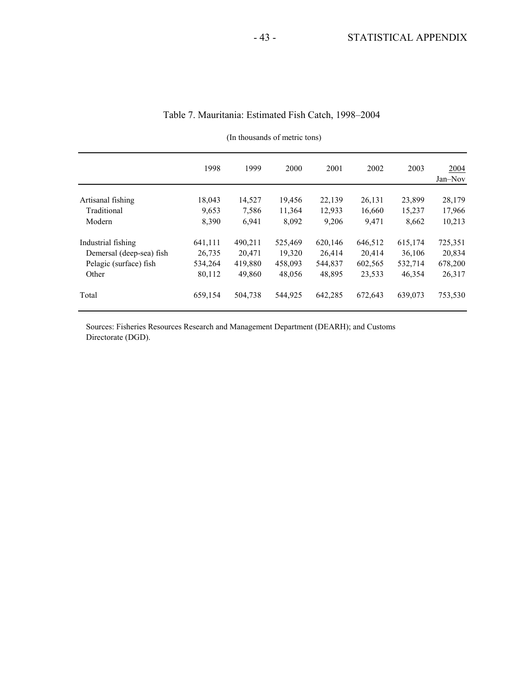|                          | 1998    | 1999    | 2000    | 2001    | 2002    | 2003    | 2004<br>Jan-Nov |
|--------------------------|---------|---------|---------|---------|---------|---------|-----------------|
| Artisanal fishing        | 18,043  | 14,527  | 19,456  | 22,139  | 26,131  | 23,899  | 28,179          |
| Traditional              | 9,653   | 7.586   | 11,364  | 12,933  | 16,660  | 15,237  | 17,966          |
| Modern                   | 8,390   | 6,941   | 8,092   | 9,206   | 9,471   | 8,662   | 10,213          |
| Industrial fishing       | 641,111 | 490,211 | 525,469 | 620,146 | 646,512 | 615,174 | 725,351         |
| Demersal (deep-sea) fish | 26,735  | 20.471  | 19,320  | 26,414  | 20.414  | 36,106  | 20,834          |
| Pelagic (surface) fish   | 534,264 | 419,880 | 458,093 | 544,837 | 602,565 | 532,714 | 678,200         |
| Other                    | 80,112  | 49,860  | 48,056  | 48,895  | 23,533  | 46,354  | 26,317          |
| Total                    | 659,154 | 504,738 | 544,925 | 642,285 | 672,643 | 639,073 | 753,530         |

### Table 7. Mauritania: Estimated Fish Catch, 1998–2004

(In thousands of metric tons)

Sources: Fisheries Resources Research and Management Department (DEARH); and Customs Directorate (DGD).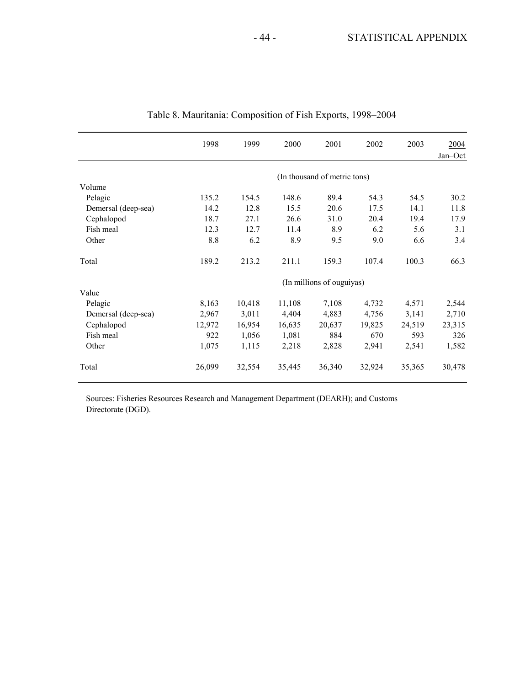|                     | 1998                      | 1999   | 2000   | 2001                         | 2002   | 2003   | 2004<br>Jan-Oct |  |  |
|---------------------|---------------------------|--------|--------|------------------------------|--------|--------|-----------------|--|--|
|                     |                           |        |        | (In thousand of metric tons) |        |        |                 |  |  |
| Volume              |                           |        |        |                              |        |        |                 |  |  |
| Pelagic             | 135.2                     | 154.5  | 148.6  | 89.4                         | 54.3   | 54.5   | 30.2            |  |  |
| Demersal (deep-sea) | 14.2                      | 12.8   | 15.5   | 20.6                         | 17.5   | 14.1   | 11.8            |  |  |
| Cephalopod          | 18.7                      | 27.1   | 26.6   | 31.0                         | 20.4   | 19.4   | 17.9            |  |  |
| Fish meal           | 12.3                      | 12.7   | 11.4   | 8.9                          | 6.2    | 5.6    | 3.1             |  |  |
| Other               | 8.8                       | 6.2    | 8.9    | 9.5                          | 9.0    | 6.6    | 3.4             |  |  |
| Total               | 189.2                     | 213.2  | 211.1  | 159.3                        | 107.4  | 100.3  | 66.3            |  |  |
|                     | (In millions of ouguiyas) |        |        |                              |        |        |                 |  |  |
| Value               |                           |        |        |                              |        |        |                 |  |  |
| Pelagic             | 8,163                     | 10,418 | 11,108 | 7,108                        | 4,732  | 4,571  | 2,544           |  |  |
| Demersal (deep-sea) | 2,967                     | 3,011  | 4,404  | 4,883                        | 4,756  | 3,141  | 2,710           |  |  |
| Cephalopod          | 12,972                    | 16,954 | 16,635 | 20,637                       | 19,825 | 24,519 | 23,315          |  |  |
| Fish meal           | 922                       | 1,056  | 1,081  | 884                          | 670    | 593    | 326             |  |  |
| Other               | 1,075                     | 1,115  | 2,218  | 2,828                        | 2,941  | 2,541  | 1,582           |  |  |
| Total               | 26,099                    | 32,554 | 35,445 | 36,340                       | 32,924 | 35,365 | 30,478          |  |  |

Table 8. Mauritania: Composition of Fish Exports, 1998–2004

Sources: Fisheries Resources Research and Management Department (DEARH); and Customs Directorate (DGD).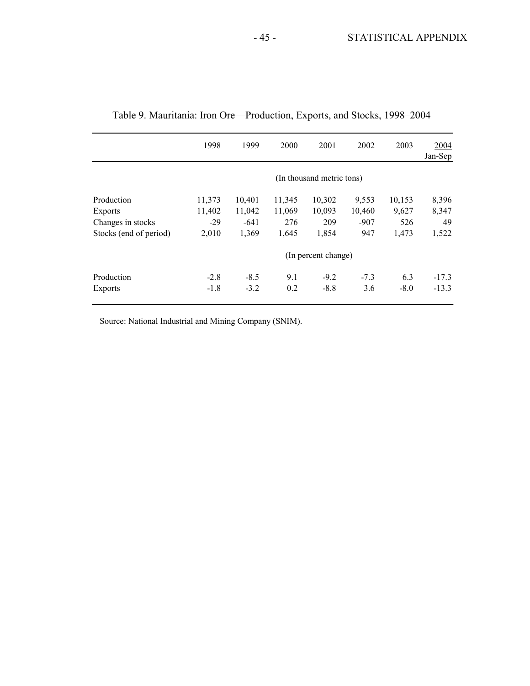|                        | 1998                      | 1999   | 2000   | 2001   | 2002   | 2003   | 2004<br>Jan-Sep |  |  |  |
|------------------------|---------------------------|--------|--------|--------|--------|--------|-----------------|--|--|--|
|                        | (In thousand metric tons) |        |        |        |        |        |                 |  |  |  |
| Production             | 11,373                    | 10,401 | 11,345 | 10,302 | 9,553  | 10,153 | 8,396           |  |  |  |
| Exports                | 11,402                    | 11,042 | 11,069 | 10,093 | 10,460 | 9,627  | 8,347           |  |  |  |
| Changes in stocks      | $-29$                     | $-641$ | 276    | 209    | $-907$ | 526    | 49              |  |  |  |
| Stocks (end of period) | 2,010                     | 1,369  | 1,645  | 1,854  | 947    | 1,473  | 1,522           |  |  |  |
|                        | (In percent change)       |        |        |        |        |        |                 |  |  |  |
| Production             | $-2.8$                    | $-8.5$ | 9.1    | $-9.2$ | $-7.3$ | 6.3    | $-17.3$         |  |  |  |
| Exports                | $-1.8$                    | $-3.2$ | 0.2    | $-8.8$ | 3.6    | $-8.0$ | $-13.3$         |  |  |  |

|  | Table 9. Mauritania: Iron Ore-Production, Exports, and Stocks, 1998-2004 |  |  |
|--|--------------------------------------------------------------------------|--|--|
|  |                                                                          |  |  |

Source: National Industrial and Mining Company (SNIM).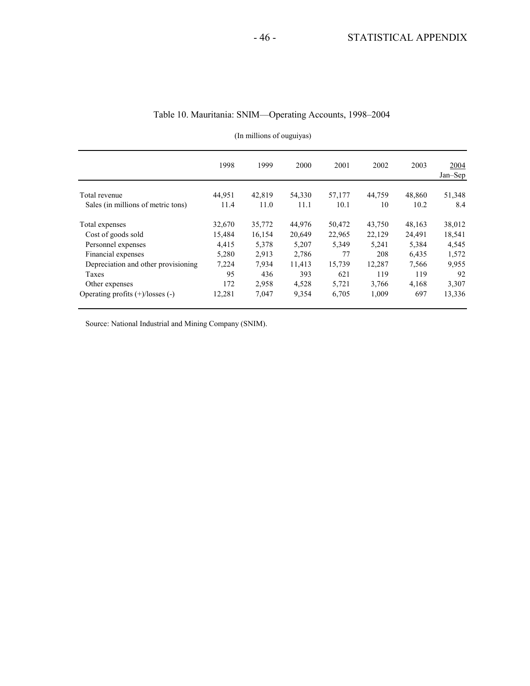|                                       | 1998   | 1999   | 2000   | 2001   | 2002   | 2003   | 2004<br>Jan-Sep |
|---------------------------------------|--------|--------|--------|--------|--------|--------|-----------------|
| Total revenue                         | 44,951 | 42,819 | 54,330 | 57,177 | 44,759 | 48,860 | 51,348          |
| Sales (in millions of metric tons)    | 11.4   | 11.0   | 11.1   | 10.1   | 10     | 10.2   | 8.4             |
| Total expenses                        | 32,670 | 35,772 | 44,976 | 50,472 | 43.750 | 48,163 | 38,012          |
| Cost of goods sold                    | 15,484 | 16,154 | 20,649 | 22,965 | 22,129 | 24,491 | 18,541          |
| Personnel expenses                    | 4,415  | 5,378  | 5,207  | 5,349  | 5,241  | 5,384  | 4,545           |
| Financial expenses                    | 5,280  | 2,913  | 2,786  | 77     | 208    | 6,435  | 1,572           |
| Depreciation and other provisioning   | 7,224  | 7,934  | 11,413 | 15,739 | 12,287 | 7,566  | 9,955           |
| Taxes                                 | 95     | 436    | 393    | 621    | 119    | 119    | 92              |
| Other expenses                        | 172    | 2,958  | 4,528  | 5,721  | 3,766  | 4,168  | 3,307           |
| Operating profits $(+)/$ losses $(-)$ | 12,281 | 7,047  | 9,354  | 6,705  | 1,009  | 697    | 13,336          |

### Table 10. Mauritania: SNIM—Operating Accounts, 1998–2004

(In millions of ouguiyas)

Source: National Industrial and Mining Company (SNIM).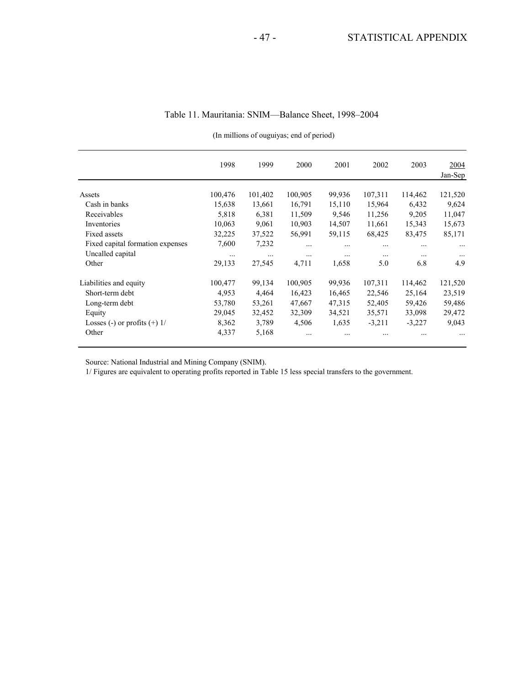(In millions of ouguiyas; end of period)

|                                  | 1998     | 1999     | 2000     | 2001     | 2002     | 2003     | 2004<br>Jan-Sep |
|----------------------------------|----------|----------|----------|----------|----------|----------|-----------------|
| Assets                           | 100,476  | 101,402  | 100,905  | 99,936   | 107,311  | 114,462  | 121,520         |
| Cash in banks                    | 15,638   | 13,661   | 16,791   | 15,110   | 15,964   | 6,432    | 9,624           |
| Receivables                      | 5,818    | 6,381    | 11,509   | 9,546    | 11,256   | 9,205    | 11,047          |
| Inventories                      | 10,063   | 9,061    | 10,903   | 14,507   | 11,661   | 15,343   | 15,673          |
| Fixed assets                     | 32,225   | 37,522   | 56,991   | 59,115   | 68,425   | 83,475   | 85,171          |
| Fixed capital formation expenses | 7,600    | 7,232    |          |          |          | $\cdots$ | $\cdots$        |
| Uncalled capital                 | $\cdots$ | $\cdots$ | $\cdots$ | $\cdots$ |          | $\cdots$ | $\cdots$        |
| Other                            | 29,133   | 27,545   | 4,711    | 1,658    | 5.0      | 6.8      | 4.9             |
| Liabilities and equity           | 100,477  | 99,134   | 100,905  | 99,936   | 107,311  | 114,462  | 121,520         |
| Short-term debt                  | 4,953    | 4,464    | 16,423   | 16,465   | 22,546   | 25,164   | 23,519          |
| Long-term debt                   | 53,780   | 53,261   | 47,667   | 47,315   | 52,405   | 59,426   | 59,486          |
| Equity                           | 29,045   | 32,452   | 32,309   | 34,521   | 35,571   | 33,098   | 29,472          |
| Losses (-) or profits $(+)$ 1/   | 8,362    | 3,789    | 4,506    | 1,635    | $-3,211$ | $-3,227$ | 9,043           |
| Other                            | 4,337    | 5,168    |          |          |          |          | $\cdots$        |

Source: National Industrial and Mining Company (SNIM).

1/ Figures are equivalent to operating profits reported in Table 15 less special transfers to the government.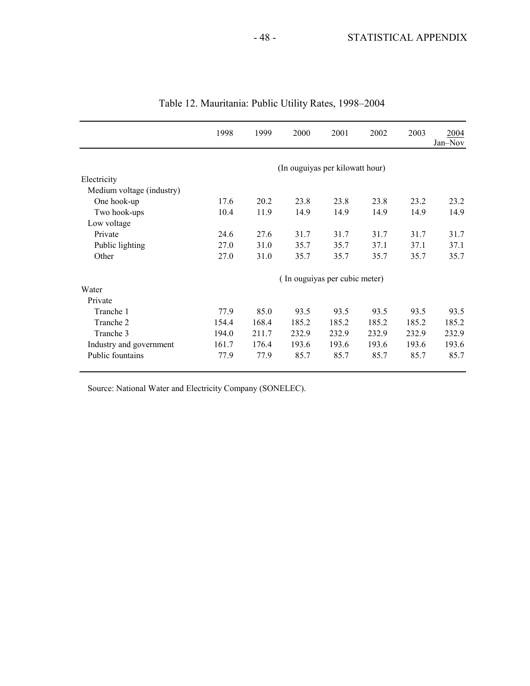|                           | 1998                          | 1999  | 2000                            | 2001  | 2002  | 2003  | 2004<br>Jan-Nov |  |  |  |  |
|---------------------------|-------------------------------|-------|---------------------------------|-------|-------|-------|-----------------|--|--|--|--|
|                           |                               |       | (In ouguiyas per kilowatt hour) |       |       |       |                 |  |  |  |  |
| Electricity               |                               |       |                                 |       |       |       |                 |  |  |  |  |
| Medium voltage (industry) |                               |       |                                 |       |       |       |                 |  |  |  |  |
| One hook-up               | 17.6                          | 20.2  | 23.8                            | 23.8  | 23.8  | 23.2  | 23.2            |  |  |  |  |
| Two hook-ups              | 10.4                          | 11.9  | 14.9                            | 14.9  | 14.9  | 14.9  | 14.9            |  |  |  |  |
| Low voltage               |                               |       |                                 |       |       |       |                 |  |  |  |  |
| Private                   | 24.6                          | 27.6  | 31.7                            | 31.7  | 31.7  | 31.7  | 31.7            |  |  |  |  |
| Public lighting           | 27.0                          | 31.0  | 35.7                            | 35.7  | 37.1  | 37.1  | 37.1            |  |  |  |  |
| Other                     | 27.0                          | 31.0  | 35.7                            | 35.7  | 35.7  | 35.7  | 35.7            |  |  |  |  |
|                           | (In ouguiyas per cubic meter) |       |                                 |       |       |       |                 |  |  |  |  |
| Water                     |                               |       |                                 |       |       |       |                 |  |  |  |  |
| Private                   |                               |       |                                 |       |       |       |                 |  |  |  |  |
| Tranche 1                 | 77.9                          | 85.0  | 93.5                            | 93.5  | 93.5  | 93.5  | 93.5            |  |  |  |  |
| Tranche 2                 | 154.4                         | 168.4 | 185.2                           | 185.2 | 185.2 | 185.2 | 185.2           |  |  |  |  |
| Tranche 3                 | 194.0                         | 211.7 | 232.9                           | 232.9 | 232.9 | 232.9 | 232.9           |  |  |  |  |
| Industry and government   | 161.7                         | 176.4 | 193.6                           | 193.6 | 193.6 | 193.6 | 193.6           |  |  |  |  |
| Public fountains          | 77.9                          | 77.9  | 85.7                            | 85.7  | 85.7  | 85.7  | 85.7            |  |  |  |  |

| Table 12. Mauritania: Public Utility Rates, 1998-2004 |  |  |  |  |  |
|-------------------------------------------------------|--|--|--|--|--|
|-------------------------------------------------------|--|--|--|--|--|

Source: National Water and Electricity Company (SONELEC).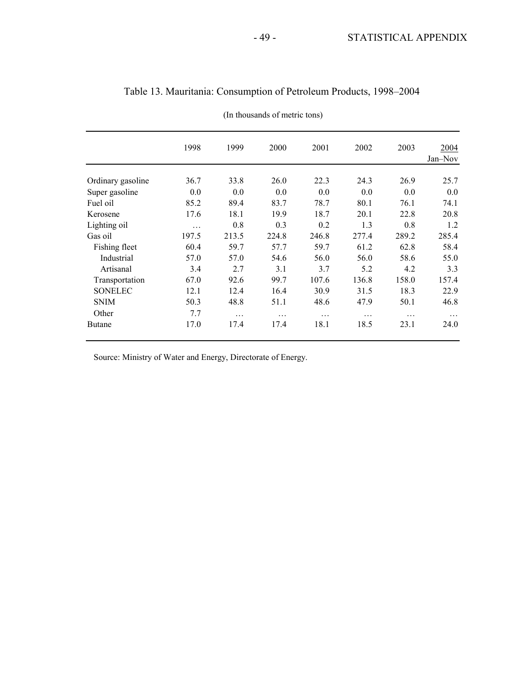|                   | 1998  | 1999  | 2000  | 2001  | 2002  | 2003  | 2004<br>Jan-Nov |
|-------------------|-------|-------|-------|-------|-------|-------|-----------------|
|                   |       |       |       |       |       |       |                 |
| Ordinary gasoline | 36.7  | 33.8  | 26.0  | 22.3  | 24.3  | 26.9  | 25.7            |
| Super gasoline    | 0.0   | 0.0   | 0.0   | 0.0   | 0.0   | 0.0   | 0.0             |
| Fuel oil          | 85.2  | 89.4  | 83.7  | 78.7  | 80.1  | 76.1  | 74.1            |
| Kerosene          | 17.6  | 18.1  | 19.9  | 18.7  | 20.1  | 22.8  | 20.8            |
| Lighting oil      | .     | 0.8   | 0.3   | 0.2   | 1.3   | 0.8   | 1.2             |
| Gas oil           | 197.5 | 213.5 | 224.8 | 246.8 | 277.4 | 289.2 | 285.4           |
| Fishing fleet     | 60.4  | 59.7  | 57.7  | 59.7  | 61.2  | 62.8  | 58.4            |
| Industrial        | 57.0  | 57.0  | 54.6  | 56.0  | 56.0  | 58.6  | 55.0            |
| Artisanal         | 3.4   | 2.7   | 3.1   | 3.7   | 5.2   | 4.2   | 3.3             |
| Transportation    | 67.0  | 92.6  | 99.7  | 107.6 | 136.8 | 158.0 | 157.4           |
| <b>SONELEC</b>    | 12.1  | 12.4  | 16.4  | 30.9  | 31.5  | 18.3  | 22.9            |
| <b>SNIM</b>       | 50.3  | 48.8  | 51.1  | 48.6  | 47.9  | 50.1  | 46.8            |
| Other             | 7.7   | .     | .     | .     | .     | .     | .               |
| <b>Butane</b>     | 17.0  | 17.4  | 17.4  | 18.1  | 18.5  | 23.1  | 24.0            |

| Table 13. Mauritania: Consumption of Petroleum Products, 1998–2004 |  |  |  |  |
|--------------------------------------------------------------------|--|--|--|--|
|--------------------------------------------------------------------|--|--|--|--|

(In thousands of metric tons)

Source: Ministry of Water and Energy, Directorate of Energy.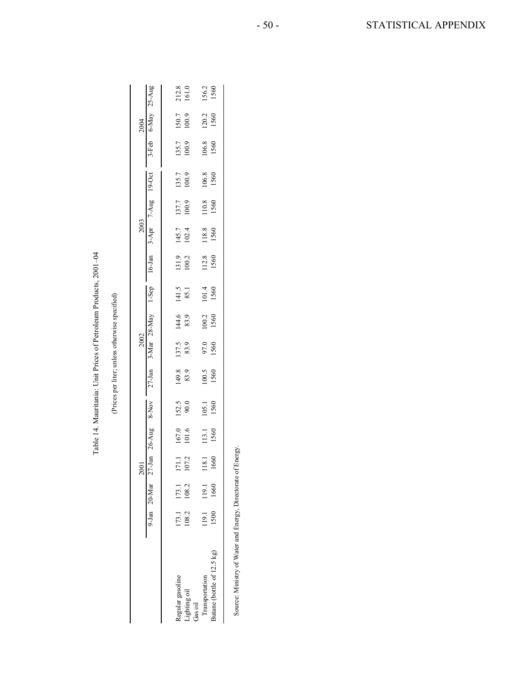|                                                             |       |       |                | Table 14. Mauritania: Unit Prices of Petroleum Products, 2001-04 |                 |                                                |               |                          |               |                |                          |                |                                                                                                       |                |                          |                |
|-------------------------------------------------------------|-------|-------|----------------|------------------------------------------------------------------|-----------------|------------------------------------------------|---------------|--------------------------|---------------|----------------|--------------------------|----------------|-------------------------------------------------------------------------------------------------------|----------------|--------------------------|----------------|
|                                                             |       |       |                |                                                                  |                 | (Prices per liter; unless otherwise specified) |               |                          |               |                |                          |                |                                                                                                       |                |                          |                |
|                                                             |       |       | 2001           |                                                                  |                 |                                                | 2002          |                          |               |                | 2003                     |                |                                                                                                       |                | 2004                     |                |
|                                                             |       |       |                |                                                                  |                 |                                                |               |                          |               |                |                          |                | guA-25 ya 20-Mar 27-Jun 26-Aug 8-Nov 27-Jan 3-Mar 28-May 1-Sep 16-Jan 3-Apr 7-Aug 19-0er e-May 25-Aug |                |                          |                |
|                                                             |       |       |                |                                                                  |                 |                                                |               |                          |               |                |                          |                |                                                                                                       |                |                          |                |
| Regular gasoline                                            | 173.1 | 173.1 |                |                                                                  |                 |                                                |               | 144.6 141.5<br>83.9 85.1 |               |                |                          | 137.7<br>100.9 | 135.7                                                                                                 |                |                          |                |
| lighting oil<br>Gas oil                                     | 108.2 | 108.2 | 171.1<br>107.2 | $167.0$<br>101.6                                                 | $152.5$<br>90.0 | 149.8<br>83.9                                  | 137.5<br>83.9 |                          |               | 131.9<br>100.2 | 145.7<br>102.4           |                | 100.9                                                                                                 | 135.7<br>100.9 | 150.7<br>100.9           | 212.8<br>161.0 |
| Transportation                                              | 19.1  | 119.1 |                | 18.1 113.1                                                       | 105.1           |                                                |               |                          |               |                |                          |                | 106.8                                                                                                 |                |                          |                |
| Butane (bottle of 12.5 kg)                                  | 1500  | 1660  | 1660           | 1560                                                             | 1560            | 100.5<br>1560                                  | 97.0<br>1560  | $100.2$<br>$1560$        | 101.4<br>1560 |                | 112.8 118.8<br>1560 1560 | 110.8<br>1560  | 1560                                                                                                  |                | 106.8 120.2<br>1560 1560 | 156.2<br>1560  |
|                                                             |       |       |                |                                                                  |                 |                                                |               |                          |               |                |                          |                |                                                                                                       |                |                          |                |
| Source: Ministry of Water and Energy, Directorate of Energy |       |       |                |                                                                  |                 |                                                |               |                          |               |                |                          |                |                                                                                                       |                |                          |                |
|                                                             |       |       |                |                                                                  |                 |                                                |               |                          |               |                |                          |                |                                                                                                       |                |                          |                |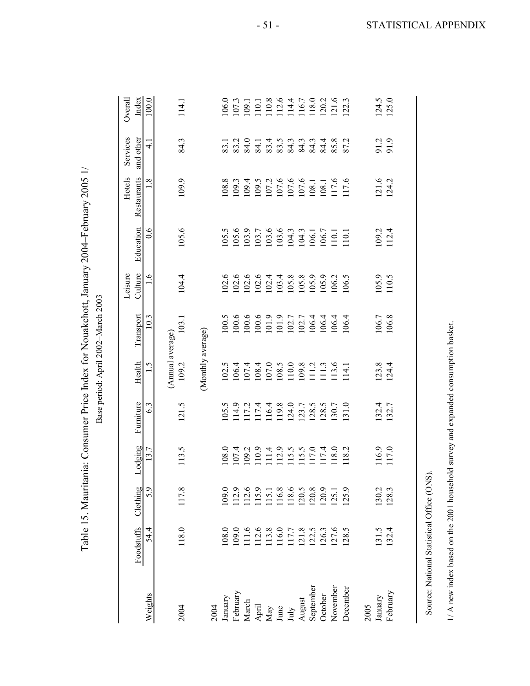| l |
|---|
|   |
|   |
|   |
|   |

|                 |                                                                                    |                 |                 |                 |                           |                   | Leisure                  |                               | Hotels             | Services                   | Overall        |
|-----------------|------------------------------------------------------------------------------------|-----------------|-----------------|-----------------|---------------------------|-------------------|--------------------------|-------------------------------|--------------------|----------------------------|----------------|
| Weights         | Foodstuffs<br>54.4                                                                 | Clothing<br>5.9 | Lodging<br>13.7 | Furniture<br>63 | Health<br>$\overline{S}$  | Transport<br>10.3 | Culture<br>$\frac{6}{1}$ | Education<br>$\overline{0.6}$ | Restaurants<br>1.8 | and other<br>$\frac{1}{4}$ | Index<br>100.0 |
| 2004            | 118.0                                                                              | 117.8           | 113.5           | 121.5           | (Annual average)<br>109.2 | 103.1             | 104.4                    | 105.6                         | 109.9              | 84.3                       | 114.1          |
|                 |                                                                                    |                 |                 |                 | (Monthly average)         |                   |                          |                               |                    |                            |                |
| January<br>2004 | 108.0                                                                              | 109.0           | 108.0           | 105.5           | 102.5                     | 00.5              | 102.6                    | 105.5                         | 108.8              | 83.1                       | 106.0          |
| February        | 109.0                                                                              | 112.9           | 107.4           | 114.9           | 106.4                     | 100.6             | 102.6                    | 105.6                         | 109.3              | 83.2                       | 107.3          |
| March           | 111.6                                                                              | 112.6           | 109.2           | 117.2           | 107.4                     | 100.6             | 102.6                    | 103.9                         | 109.4              | 84.0                       | 109.1          |
| April           | 112.6                                                                              | 115.9           | 110.9           | 117.4           | 108.4                     | 100.6             | 102.6                    | 103.7                         | 109.5              | 84.1                       | 110.1          |
| May             | 113.8                                                                              | 115.1           | 111.4           | 116.4           | 107.0                     | $101.9$           | 102.4                    | 103.6                         | 107.2              |                            |                |
| June            | 116.0                                                                              | 116.8           | 112.9           | 119.8           | 108.5                     | 101.9             | 103.4                    | 103.6                         | 107.6              | 83.4<br>83.43<br>84.3      | 110.8<br>112.6 |
| $\rm{July}$     | 117.7                                                                              | 118.6           | 115.5           | 124.0           | 110.0                     | 102.7             | 105.8                    | 104.3                         | 107.6              |                            | 114.4          |
| August          | 121.8                                                                              | 120.5           | 115.5           | 123.7           | 109.8                     | 102.7             | 105.8                    | 104.3                         | 107.6              |                            | 116.7          |
| September       | 122.5                                                                              | 120.8           | 117.0           | 128.5           | 111.2                     | 106.4             | 105.9                    | 106.1                         | 108.1              |                            | 118.0          |
| October         | 126.3                                                                              | 120.9           | 117.4           | 128.5           | 111.3                     | .06.4             | 105.9                    | 106.7                         | 108.1              | 84.                        | 120.2          |
| November        | 127.6                                                                              | 125.1           | 118.0           | 130.7           | 113.6                     | 106.4             | 106.2                    | 110.1                         | 117.6              |                            | 121.6          |
| December        | 128.5                                                                              | 125.9           | 118.2           | 131.0           | 114.1                     | 106.4             | 106.5                    | 110.1                         | 117.6              | $\sim$<br>87.              | 122.3          |
| 2005            |                                                                                    |                 |                 |                 |                           |                   |                          |                               |                    |                            |                |
| January         | 131.5                                                                              | 130.2           | 116.9           | 132.4           | $123.8$<br>$124.4$        | 106.7             | 105.9                    | 109.2                         | 12.6               | 91.9                       | 124.5          |
| February        | 132.4                                                                              | 128.3           | 117.0           | 132.7           |                           | 106.8             | 110.5                    | 112.4                         | 124.2              |                            | 125.0          |
|                 |                                                                                    |                 |                 |                 |                           |                   |                          |                               |                    |                            |                |
|                 | Source: National Statistical Office (ON                                            |                 | $\widehat{S}$ . |                 |                           |                   |                          |                               |                    |                            |                |
|                 |                                                                                    |                 |                 |                 |                           |                   |                          |                               |                    |                            |                |
|                 | 1/ A new index based on the 2001 household survey and expanded consumption basket. |                 |                 |                 |                           |                   |                          |                               |                    |                            |                |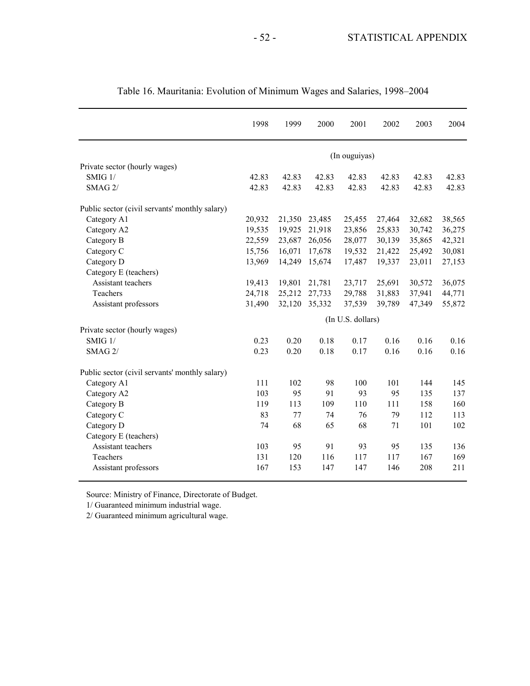|                                                | 1998   | 1999   | 2000   | 2001              | 2002   | 2003   | 2004   |
|------------------------------------------------|--------|--------|--------|-------------------|--------|--------|--------|
|                                                |        |        |        | (In ouguiyas)     |        |        |        |
| Private sector (hourly wages)                  |        |        |        |                   |        |        |        |
| SMIG 1/                                        | 42.83  | 42.83  | 42.83  | 42.83             | 42.83  | 42.83  | 42.83  |
| SMAG 2/                                        | 42.83  | 42.83  | 42.83  | 42.83             | 42.83  | 42.83  | 42.83  |
| Public sector (civil servants' monthly salary) |        |        |        |                   |        |        |        |
| Category A1                                    | 20,932 | 21,350 | 23,485 | 25,455            | 27,464 | 32,682 | 38,565 |
| Category A2                                    | 19,535 | 19,925 | 21,918 | 23,856            | 25,833 | 30,742 | 36,275 |
| Category B                                     | 22,559 | 23,687 | 26,056 | 28,077            | 30,139 | 35,865 | 42,321 |
| Category C                                     | 15,756 | 16,071 | 17,678 | 19,532            | 21,422 | 25,492 | 30,081 |
| Category D                                     | 13,969 | 14,249 | 15,674 | 17,487            | 19,337 | 23,011 | 27,153 |
| Category E (teachers)                          |        |        |        |                   |        |        |        |
| Assistant teachers                             | 19,413 | 19,801 | 21,781 | 23,717            | 25,691 | 30,572 | 36,075 |
| Teachers                                       | 24,718 | 25,212 | 27,733 | 29,788            | 31,883 | 37,941 | 44,771 |
| Assistant professors                           | 31,490 | 32,120 | 35,332 | 37,539            | 39,789 | 47,349 | 55,872 |
|                                                |        |        |        | (In U.S. dollars) |        |        |        |
| Private sector (hourly wages)                  |        |        |        |                   |        |        |        |
| SMIG 1/                                        | 0.23   | 0.20   | 0.18   | 0.17              | 0.16   | 0.16   | 0.16   |
| SMAG 2/                                        | 0.23   | 0.20   | 0.18   | 0.17              | 0.16   | 0.16   | 0.16   |
| Public sector (civil servants' monthly salary) |        |        |        |                   |        |        |        |
| Category A1                                    | 111    | 102    | 98     | 100               | 101    | 144    | 145    |
| Category A2                                    | 103    | 95     | 91     | 93                | 95     | 135    | 137    |
| Category B                                     | 119    | 113    | 109    | 110               | 111    | 158    | 160    |
| Category C                                     | 83     | 77     | 74     | 76                | 79     | 112    | 113    |
| Category D                                     | 74     | 68     | 65     | 68                | 71     | 101    | 102    |
| Category E (teachers)                          |        |        |        |                   |        |        |        |
| Assistant teachers                             | 103    | 95     | 91     | 93                | 95     | 135    | 136    |
| Teachers                                       | 131    | 120    | 116    | 117               | 117    | 167    | 169    |
| Assistant professors                           | 167    | 153    | 147    | 147               | 146    | 208    | 211    |

Table 16. Mauritania: Evolution of Minimum Wages and Salaries, 1998–2004

Source: Ministry of Finance, Directorate of Budget.

1/ Guaranteed minimum industrial wage.

2/ Guaranteed minimum agricultural wage.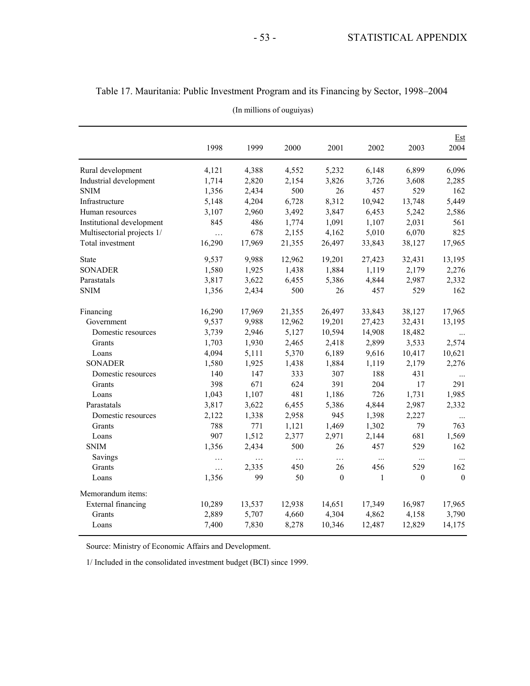|                            | 1998     | 1999     | 2000     | 2001             | 2002     | 2003     | Est<br>2004 |
|----------------------------|----------|----------|----------|------------------|----------|----------|-------------|
| Rural development          | 4,121    | 4,388    | 4,552    | 5,232            | 6,148    | 6,899    | 6,096       |
| Industrial development     | 1,714    | 2,820    | 2,154    | 3,826            | 3,726    | 3,608    | 2,285       |
| <b>SNIM</b>                | 1,356    | 2,434    | 500      | 26               | 457      | 529      | 162         |
| Infrastructure             | 5,148    | 4,204    | 6,728    | 8,312            | 10,942   | 13,748   | 5,449       |
| Human resources            | 3,107    | 2,960    | 3,492    | 3,847            | 6,453    | 5,242    | 2,586       |
| Institutional development  | 845      | 486      | 1,774    | 1,091            | 1,107    | 2,031    | 561         |
| Multisectorial projects 1/ | $\cdots$ | 678      | 2,155    | 4,162            | 5,010    | 6,070    | 825         |
| Total investment           | 16,290   | 17,969   | 21,355   | 26,497           | 33,843   | 38,127   | 17,965      |
| <b>State</b>               | 9,537    | 9,988    | 12,962   | 19,201           | 27,423   | 32,431   | 13,195      |
| <b>SONADER</b>             | 1,580    | 1,925    | 1,438    | 1,884            | 1,119    | 2,179    | 2,276       |
| Parastatals                | 3,817    | 3,622    | 6,455    | 5,386            | 4,844    | 2,987    | 2,332       |
| <b>SNIM</b>                | 1,356    | 2,434    | 500      | 26               | 457      | 529      | 162         |
| Financing                  | 16,290   | 17,969   | 21,355   | 26,497           | 33,843   | 38,127   | 17,965      |
| Government                 | 9,537    | 9,988    | 12,962   | 19,201           | 27,423   | 32,431   | 13,195      |
| Domestic resources         | 3,739    | 2,946    | 5,127    | 10,594           | 14,908   | 18,482   | $\cdots$    |
| Grants                     | 1,703    | 1,930    | 2,465    | 2,418            | 2,899    | 3,533    | 2,574       |
| Loans                      | 4,094    | 5,111    | 5,370    | 6,189            | 9,616    | 10,417   | 10,621      |
| <b>SONADER</b>             | 1,580    | 1,925    | 1,438    | 1,884            | 1,119    | 2,179    | 2,276       |
| Domestic resources         | 140      | 147      | 333      | 307              | 188      | 431      | $\ldots$    |
| Grants                     | 398      | 671      | 624      | 391              | 204      | 17       | 291         |
| Loans                      | 1,043    | 1,107    | 481      | 1,186            | 726      | 1,731    | 1,985       |
| Parastatals                | 3,817    | 3,622    | 6,455    | 5,386            | 4,844    | 2,987    | 2,332       |
| Domestic resources         | 2,122    | 1,338    | 2,958    | 945              | 1,398    | 2,227    | $\ldots$    |
| Grants                     | 788      | 771      | 1,121    | 1,469            | 1,302    | 79       | 763         |
| Loans                      | 907      | 1,512    | 2,377    | 2,971            | 2,144    | 681      | 1,569       |
| <b>SNIM</b>                | 1,356    | 2,434    | 500      | 26               | 457      | 529      | 162         |
| Savings                    | .        | $\cdots$ | $\ldots$ | .                | $\cdots$ | $\ldots$ | $\cdots$    |
| Grants                     | .        | 2,335    | 450      | 26               | 456      | 529      | 162         |
| Loans                      | 1,356    | 99       | 50       | $\boldsymbol{0}$ | 1        | $\theta$ | $\theta$    |
| Memorandum items:          |          |          |          |                  |          |          |             |
| External financing         | 10,289   | 13,537   | 12,938   | 14,651           | 17,349   | 16,987   | 17,965      |
| Grants                     | 2,889    | 5,707    | 4,660    | 4,304            | 4,862    | 4,158    | 3,790       |
| Loans                      | 7,400    | 7,830    | 8,278    | 10,346           | 12,487   | 12,829   | 14,175      |

(In millions of ouguiyas) Table 17. Mauritania: Public Investment Program and its Financing by Sector, 1998–2004

Source: Ministry of Economic Affairs and Development.

1/ Included in the consolidated investment budget (BCI) since 1999.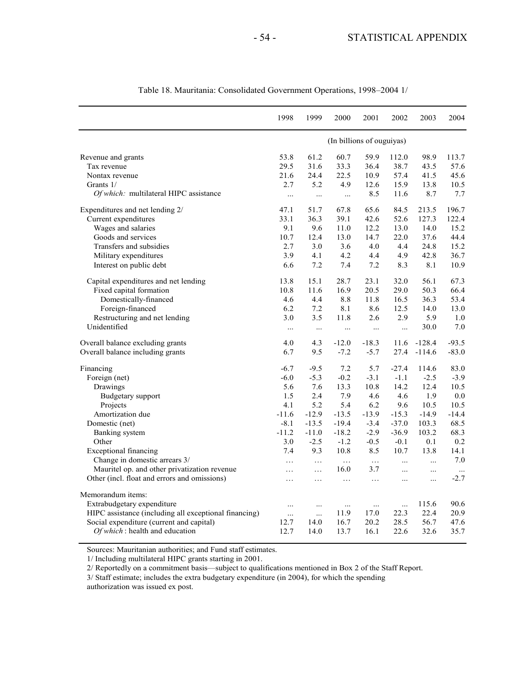|                                                       | 1998     | 1999      | 2000                      | 2001     | 2002       | 2003      | 2004     |
|-------------------------------------------------------|----------|-----------|---------------------------|----------|------------|-----------|----------|
|                                                       |          |           | (In billions of ouguiyas) |          |            |           |          |
| Revenue and grants                                    | 53.8     | 61.2      | 60.7                      | 59.9     | 112.0      | 98.9      | 113.7    |
| Tax revenue                                           | 29.5     | 31.6      | 33.3                      | 36.4     | 38.7       | 43.5      | 57.6     |
| Nontax revenue                                        | 21.6     | 24.4      | 22.5                      | 10.9     | 57.4       | 41.5      | 45.6     |
| Grants 1/                                             | 2.7      | 5.2       | 4.9                       | 12.6     | 15.9       | 13.8      | 10.5     |
| Of which: multilateral HIPC assistance                | $\cdots$ | $\ldots$  | $\ldots$                  | 8.5      | 11.6       | 8.7       | 7.7      |
| Expenditures and net lending 2/                       | 47.1     | 51.7      | 67.8                      | 65.6     | 84.5       | 213.5     | 196.7    |
| Current expenditures                                  | 33.1     | 36.3      | 39.1                      | 42.6     | 52.6       | 127.3     | 122.4    |
| Wages and salaries                                    | 9.1      | 9.6       | 11.0                      | 12.2     | 13.0       | 14.0      | 15.2     |
| Goods and services                                    | 10.7     | 12.4      | 13.0                      | 14.7     | 22.0       | 37.6      | 44.4     |
| Transfers and subsidies                               | 2.7      | 3.0       | 3.6                       | 4.0      | 4.4        | 24.8      | 15.2     |
| Military expenditures                                 | 3.9      | 4.1       | 4.2                       | 4.4      | 4.9        | 42.8      | 36.7     |
| Interest on public debt                               | 6.6      | 7.2       | 7.4                       | 7.2      | 8.3        | 8.1       | 10.9     |
| Capital expenditures and net lending                  | 13.8     | 15.1      | 28.7                      | 23.1     | 32.0       | 56.1      | 67.3     |
| Fixed capital formation                               | 10.8     | 11.6      | 16.9                      | 20.5     | 29.0       | 50.3      | 66.4     |
| Domestically-financed                                 | 4.6      | 4.4       | 8.8                       | 11.8     | 16.5       | 36.3      | 53.4     |
| Foreign-financed                                      | 6.2      | 7.2       | 8.1                       | 8.6      | 12.5       | 14.0      | 13.0     |
| Restructuring and net lending                         | 3.0      | 3.5       | 11.8                      | 2.6      | 2.9        | 5.9       | 1.0      |
| Unidentified                                          | $\ldots$ | $\ldots$  | $\ldots$                  | $\ddots$ | $\ddots$   | 30.0      | 7.0      |
| Overall balance excluding grants                      | 4.0      | 4.3       | $-12.0$                   | $-18.3$  | 11.6       | $-128.4$  | $-93.5$  |
| Overall balance including grants                      | 6.7      | 9.5       | $-7.2$                    | $-5.7$   | 27.4       | $-114.6$  | $-83.0$  |
| Financing                                             | $-6.7$   | $-9.5$    | 7.2                       | 5.7      | $-27.4$    | 114.6     | 83.0     |
| Foreign (net)                                         | $-6.0$   | $-5.3$    | $-0.2$                    | $-3.1$   | $-1.1$     | $-2.5$    | $-3.9$   |
| Drawings                                              | 5.6      | 7.6       | 13.3                      | 10.8     | 14.2       | 12.4      | 10.5     |
| Budgetary support                                     | 1.5      | 2.4       | 7.9                       | 4.6      | 4.6        | 1.9       | 0.0      |
| Projects                                              | 4.1      | 5.2       | 5.4                       | 6.2      | 9.6        | 10.5      | 10.5     |
| Amortization due                                      | $-11.6$  | $-12.9$   | $-13.5$                   | $-13.9$  | $-15.3$    | $-14.9$   | $-14.4$  |
| Domestic (net)                                        | $-8.1$   | $-13.5$   | $-19.4$                   | $-3.4$   | $-37.0$    | 103.3     | 68.5     |
| Banking system                                        | $-11.2$  | $-11.0$   | $-18.2$                   | $-2.9$   | $-36.9$    | 103.2     | 68.3     |
| Other                                                 | 3.0      | $-2.5$    | $-1.2$                    | $-0.5$   | $-0.1$     | 0.1       | 0.2      |
| <b>Exceptional financing</b>                          | 7.4      | 9.3       | 10.8                      | 8.5      | 10.7       | 13.8      | 14.1     |
| Change in domestic arrears 3/                         | $\cdots$ | $\cdots$  | $\ldots$                  | $\ldots$ | $\dddotsc$ | $\ddotsc$ | 7.0      |
| Mauritel op. and other privatization revenue          | .        | $\cdots$  | 16.0                      | 3.7      | $\ddots$   | $\cdots$  | $\ddots$ |
| Other (incl. float and errors and omissions)          | .        | $\ldots$  | $\ldots$                  | $\ldots$ | $\cdots$   | $\cdots$  | $-2.7$   |
| Memorandum items:                                     |          |           |                           |          |            |           |          |
| Extrabudgetary expenditure                            |          | $\ddotsc$ | $\cdots$                  | $\cdots$ | $\cdots$   | 115.6     | 90.6     |
| HIPC assistance (including all exceptional financing) | $\ldots$ | $\cdots$  | 11.9                      | 17.0     | 22.3       | 22.4      | 20.9     |
| Social expenditure (current and capital)              | 12.7     | 14.0      | 16.7                      | 20.2     | 28.5       | 56.7      | 47.6     |
| Of which: health and education                        | 12.7     | 14.0      | 13.7                      | 16.1     | 22.6       | 32.6      | 35.7     |

Table 18. Mauritania: Consolidated Government Operations, 1998–2004 1/

Sources: Mauritanian authorities; and Fund staff estimates.

1/ Including multilateral HIPC grants starting in 2001.

2/ Reportedly on a commitment basis—subject to qualifications mentioned in Box 2 of the Staff Report.

3/ Staff estimate; includes the extra budgetary expenditure (in 2004), for which the spending

authorization was issued ex post.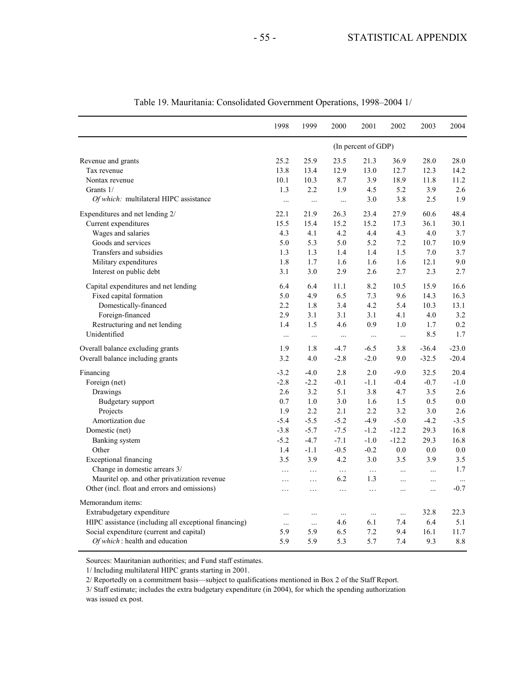|                                                                                                                                                                                        | 1998                               | 1999                               | 2000                          | 2001                          | 2002                          | 2003                       | 2004                       |
|----------------------------------------------------------------------------------------------------------------------------------------------------------------------------------------|------------------------------------|------------------------------------|-------------------------------|-------------------------------|-------------------------------|----------------------------|----------------------------|
|                                                                                                                                                                                        |                                    |                                    |                               | (In percent of GDP)           |                               |                            |                            |
| Revenue and grants                                                                                                                                                                     | 25.2                               | 25.9                               | 23.5                          | 21.3                          | 36.9                          | 28.0                       | 28.0                       |
| Tax revenue                                                                                                                                                                            | 13.8                               | 13.4                               | 12.9                          | 13.0                          | 12.7                          | 12.3                       | 14.2                       |
| Nontax revenue                                                                                                                                                                         | 10.1                               | 10.3                               | 8.7                           | 3.9                           | 18.9                          | 11.8                       | 11.2                       |
| Grants 1/                                                                                                                                                                              | 1.3                                | 2.2                                | 1.9                           | 4.5                           | 5.2                           | 3.9                        | 2.6                        |
| Of which: multilateral HIPC assistance                                                                                                                                                 | $\cdots$                           | $\cdots$                           | $\cdots$                      | 3.0                           | 3.8                           | 2.5                        | 1.9                        |
| Expenditures and net lending 2/                                                                                                                                                        | 22.1                               | 21.9                               | 26.3                          | 23.4                          | 27.9                          | 60.6                       | 48.4                       |
| Current expenditures                                                                                                                                                                   | 15.5                               | 15.4                               | 15.2                          | 15.2                          | 17.3                          | 36.1                       | 30.1                       |
| Wages and salaries                                                                                                                                                                     | 4.3                                | 4.1                                | 4.2                           | 4.4                           | 4.3                           | 4.0                        | 3.7                        |
| Goods and services                                                                                                                                                                     | 5.0                                | 5.3                                | 5.0                           | 5.2                           | 7.2                           | 10.7                       | 10.9                       |
| Transfers and subsidies                                                                                                                                                                | 1.3                                | 1.3                                | 1.4                           | 1.4                           | 1.5                           | 7.0                        | 3.7                        |
| Military expenditures                                                                                                                                                                  | 1.8                                | 1.7                                | 1.6                           | 1.6                           | 1.6                           | 12.1                       | 9.0                        |
| Interest on public debt                                                                                                                                                                | 3.1                                | 3.0                                | 2.9                           | 2.6                           | 2.7                           | 2.3                        | 2.7                        |
| Capital expenditures and net lending                                                                                                                                                   | 6.4                                | 6.4                                | 11.1                          | 8.2                           | 10.5                          | 15.9                       | 16.6                       |
| Fixed capital formation                                                                                                                                                                | 5.0                                | 4.9                                | 6.5                           | 7.3                           | 9.6                           | 14.3                       | 16.3                       |
| Domestically-financed                                                                                                                                                                  | 2.2                                | 1.8                                | 3.4                           | 4.2                           | 5.4                           | 10.3                       | 13.1                       |
| Foreign-financed                                                                                                                                                                       | 2.9                                | 3.1                                | 3.1                           | 3.1                           | 4.1                           | 4.0                        | 3.2                        |
| Restructuring and net lending                                                                                                                                                          | 1.4                                | 1.5                                | 4.6                           | 0.9                           | 1.0                           | 1.7                        | 0.2                        |
| Unidentified                                                                                                                                                                           | $\ddots$                           | $\ldots$                           | $\cdots$                      | $\cdots$                      | $\cdots$                      | 8.5                        | 1.7                        |
| Overall balance excluding grants                                                                                                                                                       | 1.9                                | 1.8                                | $-4.7$                        | $-6.5$                        | 3.8                           | $-36.4$                    | $-23.0$                    |
| Overall balance including grants                                                                                                                                                       | 3.2                                | 4.0                                | $-2.8$                        | $-2.0$                        | 9.0                           | $-32.5$                    | $-20.4$                    |
| Financing                                                                                                                                                                              | $-3.2$                             | $-4.0$                             | 2.8                           | 2.0                           | $-9.0$                        | 32.5                       | 20.4                       |
| Foreign (net)                                                                                                                                                                          | $-2.8$                             | $-2.2$                             | $-0.1$                        | $-1.1$                        | $-0.4$                        | $-0.7$                     | $-1.0$                     |
| Drawings                                                                                                                                                                               | 2.6                                | 3.2                                | 5.1                           | 3.8                           | 4.7                           | 3.5                        | 2.6                        |
| <b>Budgetary</b> support                                                                                                                                                               | 0.7                                | 1.0                                | 3.0                           | 1.6                           | 1.5                           | 0.5                        | 0.0                        |
| Projects                                                                                                                                                                               | 1.9                                | 2.2                                | 2.1                           | 2.2                           | 3.2                           | 3.0                        | 2.6                        |
| Amortization due                                                                                                                                                                       | $-5.4$                             | $-5.5$                             | $-5.2$                        | $-4.9$                        | $-5.0$                        | $-4.2$                     | $-3.5$                     |
| Domestic (net)                                                                                                                                                                         | $-3.8$                             | $-5.7$                             | $-7.5$                        | $-1.2$                        | $-12.2$                       | 29.3                       | 16.8                       |
| Banking system                                                                                                                                                                         | $-5.2$                             | $-4.7$                             | $-7.1$                        | $-1.0$                        | $-12.2$                       | 29.3                       | 16.8                       |
| Other                                                                                                                                                                                  | 1.4                                | $-1.1$                             | $-0.5$                        | $-0.2$                        | 0.0                           | 0.0                        | 0.0                        |
| <b>Exceptional financing</b>                                                                                                                                                           | 3.5                                | 3.9                                | 4.2                           | 3.0                           | 3.5                           | 3.9                        | $3.5$                      |
| Change in domestic arrears 3/                                                                                                                                                          | $\ldots$                           | $\cdots$                           | $\ldots$                      | $\ldots$                      | $\cdots$                      | $\cdots$                   | 1.7                        |
| Mauritel op. and other privatization revenue                                                                                                                                           | .                                  | $\ldots$                           | 6.2                           | 1.3                           | $\cdots$                      | $\cdots$                   | $\ldots$                   |
| Other (incl. float and errors and omissions)                                                                                                                                           | .                                  | $\cdots$                           | $\ldots$                      | $\ldots$                      | $\cdots$                      | $\ldots$                   | $-0.7$                     |
| Memorandum items:<br>Extrabudgetary expenditure<br>HIPC assistance (including all exceptional financing)<br>Social expenditure (current and capital)<br>Of which: health and education | $\ldots$<br>$\ldots$<br>5.9<br>5.9 | $\cdots$<br>$\cdots$<br>5.9<br>5.9 | $\cdots$<br>4.6<br>6.5<br>5.3 | $\ldots$<br>6.1<br>7.2<br>5.7 | $\cdots$<br>7.4<br>9.4<br>7.4 | 32.8<br>6.4<br>16.1<br>9.3 | 22.3<br>5.1<br>11.7<br>8.8 |

| Table 19. Mauritania: Consolidated Government Operations, 1998-2004 1/ |  |
|------------------------------------------------------------------------|--|
|------------------------------------------------------------------------|--|

Sources: Mauritanian authorities; and Fund staff estimates.

1/ Including multilateral HIPC grants starting in 2001.

2/ Reportedly on a commitment basis—subject to qualifications mentioned in Box 2 of the Staff Report.

3/ Staff estimate; includes the extra budgetary expenditure (in 2004), for which the spending authorization was issued ex post.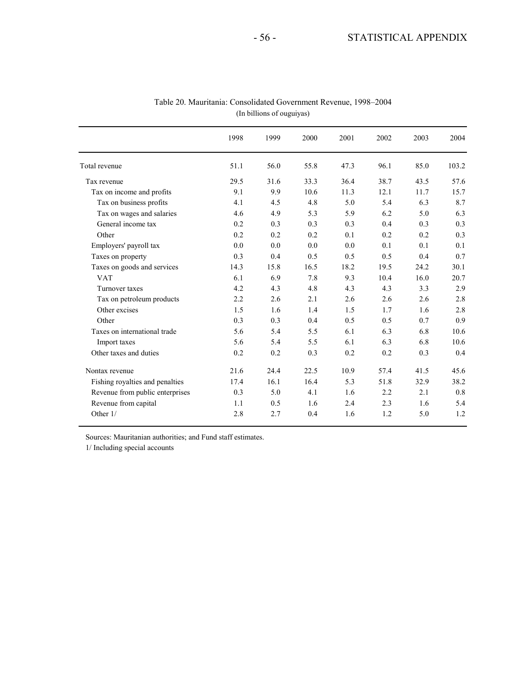|                                 | 1998 | 1999 | 2000 | 2001 | 2002 | 2003 | 2004  |
|---------------------------------|------|------|------|------|------|------|-------|
| Total revenue                   | 51.1 | 56.0 | 55.8 | 47.3 | 96.1 | 85.0 | 103.2 |
| Tax revenue                     | 29.5 | 31.6 | 33.3 | 36.4 | 38.7 | 43.5 | 57.6  |
| Tax on income and profits       | 9.1  | 9.9  | 10.6 | 11.3 | 12.1 | 11.7 | 15.7  |
| Tax on business profits         | 4.1  | 4.5  | 4.8  | 5.0  | 5.4  | 6.3  | 8.7   |
| Tax on wages and salaries       | 4.6  | 4.9  | 5.3  | 5.9  | 6.2  | 5.0  | 6.3   |
| General income tax              | 0.2  | 0.3  | 0.3  | 0.3  | 0.4  | 0.3  | 0.3   |
| Other                           | 0.2  | 0.2  | 0.2  | 0.1  | 0.2  | 0.2  | 0.3   |
| Employers' payroll tax          | 0.0  | 0.0  | 0.0  | 0.0  | 0.1  | 0.1  | 0.1   |
| Taxes on property               | 0.3  | 0.4  | 0.5  | 0.5  | 0.5  | 0.4  | 0.7   |
| Taxes on goods and services     | 14.3 | 15.8 | 16.5 | 18.2 | 19.5 | 24.2 | 30.1  |
| <b>VAT</b>                      | 6.1  | 6.9  | 7.8  | 9.3  | 10.4 | 16.0 | 20.7  |
| Turnover taxes                  | 4.2  | 4.3  | 4.8  | 4.3  | 4.3  | 3.3  | 2.9   |
| Tax on petroleum products       | 2.2  | 2.6  | 2.1  | 2.6  | 2.6  | 2.6  | 2.8   |
| Other excises                   | 1.5  | 1.6  | 1.4  | 1.5  | 1.7  | 1.6  | 2.8   |
| Other                           | 0.3  | 0.3  | 0.4  | 0.5  | 0.5  | 0.7  | 0.9   |
| Taxes on international trade    | 5.6  | 5.4  | 5.5  | 6.1  | 6.3  | 6.8  | 10.6  |
| Import taxes                    | 5.6  | 5.4  | 5.5  | 6.1  | 6.3  | 6.8  | 10.6  |
| Other taxes and duties          | 0.2  | 0.2  | 0.3  | 0.2  | 0.2  | 0.3  | 0.4   |
| Nontax revenue                  | 21.6 | 24.4 | 22.5 | 10.9 | 57.4 | 41.5 | 45.6  |
| Fishing royalties and penalties | 17.4 | 16.1 | 16.4 | 5.3  | 51.8 | 32.9 | 38.2  |
| Revenue from public enterprises | 0.3  | 5.0  | 4.1  | 1.6  | 2.2  | 2.1  | 0.8   |
| Revenue from capital            | 1.1  | 0.5  | 1.6  | 2.4  | 2.3  | 1.6  | 5.4   |
| Other 1/                        | 2.8  | 2.7  | 0.4  | 1.6  | 1.2  | 5.0  | 1.2   |

Table 20. Mauritania: Consolidated Government Revenue, 1998–2004 (In billions of ouguiyas)

Sources: Mauritanian authorities; and Fund staff estimates.

1/ Including special accounts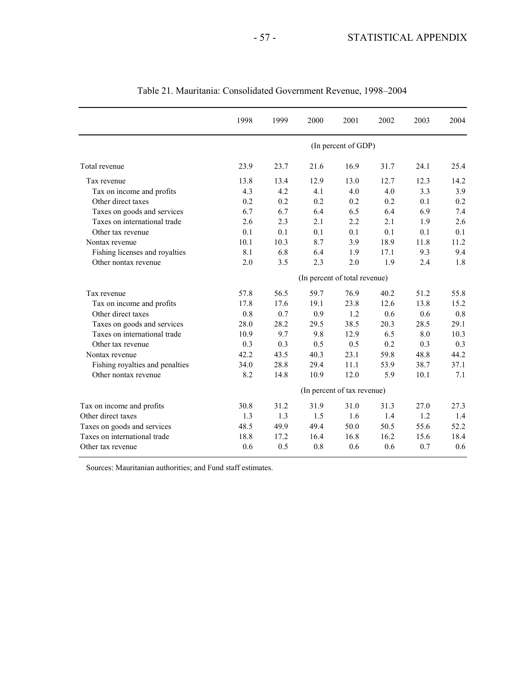|                                 | 1998                          | 1999 | 2000 | 2001                        | 2002 | 2003 | 2004 |
|---------------------------------|-------------------------------|------|------|-----------------------------|------|------|------|
|                                 |                               |      |      | (In percent of GDP)         |      |      |      |
| Total revenue                   | 23.9                          | 23.7 | 21.6 | 16.9                        | 31.7 | 24.1 | 25.4 |
| Tax revenue                     | 13.8                          | 13.4 | 12.9 | 13.0                        | 12.7 | 12.3 | 14.2 |
| Tax on income and profits       | 4.3                           | 4.2  | 4.1  | 4.0                         | 4.0  | 3.3  | 3.9  |
| Other direct taxes              | 0.2                           | 0.2  | 0.2  | 0.2                         | 0.2  | 0.1  | 0.2  |
| Taxes on goods and services     | 6.7                           | 6.7  | 6.4  | 6.5                         | 6.4  | 6.9  | 7.4  |
| Taxes on international trade    | 2.6                           | 2.3  | 2.1  | 2.2                         | 2.1  | 1.9  | 2.6  |
| Other tax revenue               | 0.1                           | 0.1  | 0.1  | 0.1                         | 0.1  | 0.1  | 0.1  |
| Nontax revenue                  | 10.1                          | 10.3 | 8.7  | 3.9                         | 18.9 | 11.8 | 11.2 |
| Fishing licenses and royalties  | 8.1                           | 6.8  | 6.4  | 1.9                         | 17.1 | 9.3  | 9.4  |
| Other nontax revenue            | 2.0                           | 3.5  | 2.3  | 2.0                         | 1.9  | 2.4  | 1.8  |
|                                 | (In percent of total revenue) |      |      |                             |      |      |      |
| Tax revenue                     | 57.8                          | 56.5 | 59.7 | 76.9                        | 40.2 | 51.2 | 55.8 |
| Tax on income and profits       | 17.8                          | 17.6 | 19.1 | 23.8                        | 12.6 | 13.8 | 15.2 |
| Other direct taxes              | 0.8                           | 0.7  | 0.9  | 1.2                         | 0.6  | 0.6  | 0.8  |
| Taxes on goods and services     | 28.0                          | 28.2 | 29.5 | 38.5                        | 20.3 | 28.5 | 29.1 |
| Taxes on international trade    | 10.9                          | 9.7  | 9.8  | 12.9                        | 6.5  | 8.0  | 10.3 |
| Other tax revenue               | 0.3                           | 0.3  | 0.5  | 0.5                         | 0.2  | 0.3  | 0.3  |
| Nontax revenue                  | 42.2                          | 43.5 | 40.3 | 23.1                        | 59.8 | 48.8 | 44.2 |
| Fishing royalties and penalties | 34.0                          | 28.8 | 29.4 | 11.1                        | 53.9 | 38.7 | 37.1 |
| Other nontax revenue            | 8.2                           | 14.8 | 10.9 | 12.0                        | 5.9  | 10.1 | 7.1  |
|                                 |                               |      |      | (In percent of tax revenue) |      |      |      |
| Tax on income and profits       | 30.8                          | 31.2 | 31.9 | 31.0                        | 31.3 | 27.0 | 27.3 |
| Other direct taxes              | 1.3                           | 1.3  | 1.5  | 1.6                         | 1.4  | 1.2  | 1.4  |
| Taxes on goods and services     | 48.5                          | 49.9 | 49.4 | 50.0                        | 50.5 | 55.6 | 52.2 |
| Taxes on international trade    | 18.8                          | 17.2 | 16.4 | 16.8                        | 16.2 | 15.6 | 18.4 |
| Other tax revenue               | 0.6                           | 0.5  | 0.8  | 0.6                         | 0.6  | 0.7  | 0.6  |

### Table 21. Mauritania: Consolidated Government Revenue, 1998–2004

Sources: Mauritanian authorities; and Fund staff estimates.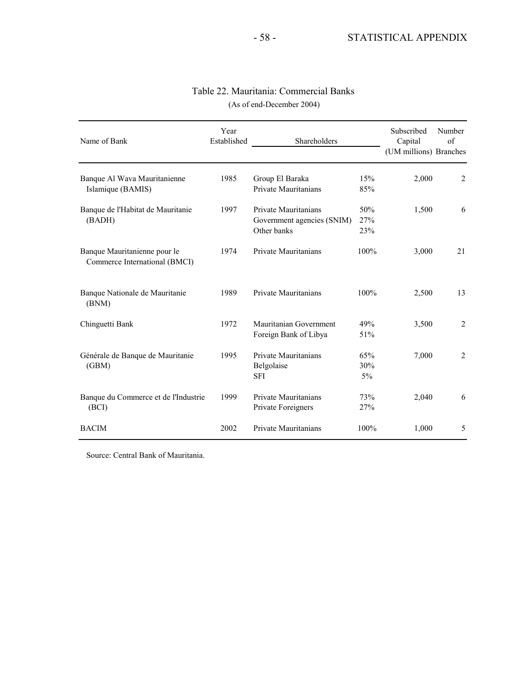| Name of Bank                                                  | Year<br>Established | Shareholders                                                      |                   | Subscribed<br>Capital<br>(UM millions) Branches | Number<br>of     |
|---------------------------------------------------------------|---------------------|-------------------------------------------------------------------|-------------------|-------------------------------------------------|------------------|
| Banque Al Wava Mauritanienne<br>Islamique (BAMIS)             | 1985                | Group El Baraka<br>Private Mauritanians                           | 15%<br>85%        | 2,000                                           | 2                |
| Banque de l'Habitat de Mauritanie<br>(BADH)                   | 1997                | Private Mauritanians<br>Government agencies (SNIM)<br>Other banks | 50%<br>27%<br>23% | 1,500                                           | 6                |
| Banque Mauritanienne pour le<br>Commerce International (BMCI) | 1974                | Private Mauritanians                                              | 100%              | 3,000                                           | 21               |
| Banque Nationale de Mauritanie<br>(BNM)                       | 1989                | Private Mauritanians                                              | 100%              | 2,500                                           | 13               |
| Chinguetti Bank                                               | 1972                | Mauritanian Government<br>Foreign Bank of Libya                   | 49%<br>51%        | 3,500                                           | $\boldsymbol{2}$ |
| Générale de Banque de Mauritanie<br>(GBM)                     | 1995                | Private Mauritanians<br>Belgolaise<br><b>SFI</b>                  | 65%<br>30%<br>5%  | 7,000                                           | $\overline{2}$   |
| Banque du Commerce et de l'Industrie<br>(BCI)                 | 1999                | Private Mauritanians<br>Private Foreigners                        | 73%<br>27%        | 2,040                                           | 6                |
| <b>BACIM</b>                                                  | 2002                | Private Mauritanians                                              | 100%              | 1,000                                           | 5                |

### Table 22. Mauritania: Commercial Banks (As of end-December 2004)

Source: Central Bank of Mauritania.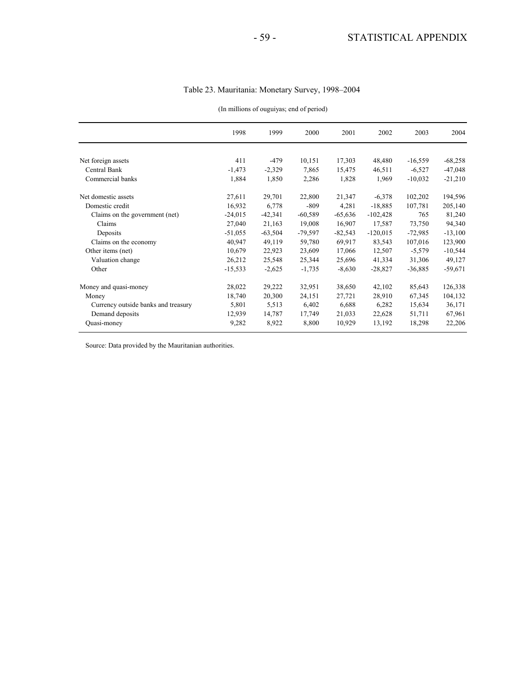| Table 23. Mauritania: Monetary Survey, 1998-2004 |
|--------------------------------------------------|
|--------------------------------------------------|

|                                     | 1998      | 1999      | 2000      | 2001      | 2002       | 2003      | 2004      |
|-------------------------------------|-----------|-----------|-----------|-----------|------------|-----------|-----------|
|                                     |           |           |           |           |            |           |           |
| Net foreign assets                  | 411       | $-479$    | 10,151    | 17,303    | 48,480     | $-16,559$ | $-68,258$ |
| Central Bank                        | $-1,473$  | $-2,329$  | 7,865     | 15,475    | 46,511     | $-6,527$  | $-47,048$ |
| Commercial banks                    | 1,884     | 1,850     | 2,286     | 1,828     | 1,969      | $-10,032$ | $-21,210$ |
| Net domestic assets                 | 27,611    | 29,701    | 22,800    | 21,347    | $-6,378$   | 102,202   | 194,596   |
| Domestic credit                     | 16,932    | 6,778     | $-809$    | 4,281     | $-18,885$  | 107,781   | 205,140   |
| Claims on the government (net)      | $-24,015$ | $-42,341$ | $-60,589$ | $-65,636$ | $-102,428$ | 765       | 81,240    |
| Claims                              | 27,040    | 21,163    | 19,008    | 16,907    | 17,587     | 73,750    | 94,340    |
| Deposits                            | $-51,055$ | $-63,504$ | $-79,597$ | $-82,543$ | $-120,015$ | $-72,985$ | $-13,100$ |
| Claims on the economy               | 40,947    | 49,119    | 59,780    | 69,917    | 83,543     | 107,016   | 123,900   |
| Other items (net)                   | 10,679    | 22,923    | 23,609    | 17,066    | 12,507     | $-5,579$  | $-10,544$ |
| Valuation change                    | 26,212    | 25,548    | 25,344    | 25,696    | 41,334     | 31,306    | 49,127    |
| Other                               | $-15,533$ | $-2,625$  | $-1,735$  | $-8,630$  | $-28,827$  | $-36,885$ | $-59,671$ |
| Money and quasi-money               | 28,022    | 29,222    | 32,951    | 38,650    | 42,102     | 85,643    | 126,338   |
| Money                               | 18,740    | 20,300    | 24,151    | 27,721    | 28,910     | 67,345    | 104,132   |
| Currency outside banks and treasury | 5,801     | 5,513     | 6,402     | 6,688     | 6,282      | 15,634    | 36,171    |
| Demand deposits                     | 12,939    | 14,787    | 17,749    | 21,033    | 22,628     | 51,711    | 67,961    |
| Quasi-money                         | 9,282     | 8,922     | 8,800     | 10,929    | 13,192     | 18,298    | 22,206    |

#### (In millions of ouguiyas; end of period)

Source: Data provided by the Mauritanian authorities.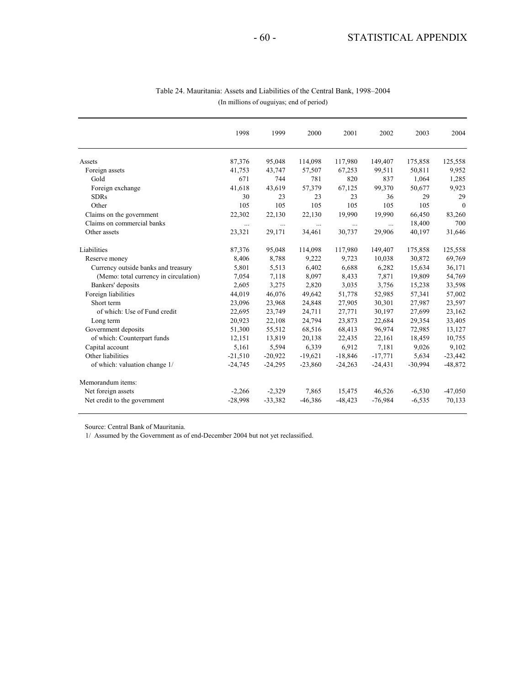|                                       | 1998      | 1999      | 2000      | 2001      | 2002      | 2003      | 2004           |
|---------------------------------------|-----------|-----------|-----------|-----------|-----------|-----------|----------------|
| Assets                                | 87,376    | 95,048    | 114,098   | 117,980   | 149,407   | 175,858   | 125,558        |
| Foreign assets                        | 41,753    | 43,747    | 57,507    | 67,253    | 99,511    | 50,811    | 9,952          |
| Gold                                  | 671       | 744       | 781       | 820       | 837       | 1,064     | 1,285          |
| Foreign exchange                      | 41,618    | 43,619    | 57,379    | 67,125    | 99,370    | 50,677    | 9,923          |
| <b>SDRs</b>                           | 30        | 23        | 23        | 23        | 36        | 29        | 29             |
| Other                                 | 105       | 105       | 105       | 105       | 105       | 105       | $\overline{0}$ |
| Claims on the government              | 22,302    | 22,130    | 22,130    | 19,990    | 19,990    | 66,450    | 83,260         |
| Claims on commercial banks            | $\ldots$  | $\cdots$  | $\cdots$  | $\cdots$  | $\cdots$  | 18,400    | 700            |
| Other assets                          | 23,321    | 29,171    | 34,461    | 30,737    | 29,906    | 40,197    | 31,646         |
| Liabilities                           | 87,376    | 95,048    | 114,098   | 117,980   | 149,407   | 175,858   | 125,558        |
| Reserve money                         | 8,406     | 8,788     | 9,222     | 9,723     | 10,038    | 30,872    | 69,769         |
| Currency outside banks and treasury   | 5,801     | 5,513     | 6,402     | 6,688     | 6,282     | 15,634    | 36,171         |
| (Memo: total currency in circulation) | 7,054     | 7,118     | 8,097     | 8,433     | 7,871     | 19,809    | 54,769         |
| Bankers' deposits                     | 2,605     | 3,275     | 2,820     | 3,035     | 3,756     | 15,238    | 33,598         |
| Foreign liabilities                   | 44,019    | 46,076    | 49,642    | 51,778    | 52,985    | 57,341    | 57,002         |
| Short term                            | 23,096    | 23,968    | 24,848    | 27,905    | 30,301    | 27,987    | 23,597         |
| of which: Use of Fund credit          | 22,695    | 23,749    | 24,711    | 27,771    | 30,197    | 27,699    | 23,162         |
| Long term                             | 20,923    | 22,108    | 24,794    | 23,873    | 22,684    | 29,354    | 33,405         |
| Government deposits                   | 51,300    | 55,512    | 68,516    | 68,413    | 96,974    | 72,985    | 13,127         |
| of which: Counterpart funds           | 12,151    | 13,819    | 20,138    | 22,435    | 22,161    | 18,459    | 10,755         |
| Capital account                       | 5,161     | 5,594     | 6,339     | 6,912     | 7,181     | 9,026     | 9,102          |
| Other liabilities                     | $-21,510$ | $-20,922$ | $-19,621$ | $-18,846$ | $-17,771$ | 5,634     | $-23,442$      |
| of which: valuation change 1/         | $-24,745$ | $-24,295$ | $-23,860$ | $-24,263$ | $-24,431$ | $-30,994$ | $-48,872$      |
| Memorandum items:                     |           |           |           |           |           |           |                |
| Net foreign assets                    | $-2,266$  | $-2,329$  | 7,865     | 15,475    | 46,526    | $-6,530$  | $-47,050$      |
| Net credit to the government          | $-28,998$ | $-33,382$ | $-46,386$ | $-48,423$ | $-76.984$ | $-6,535$  | 70,133         |

#### (In millions of ouguiyas; end of period) Table 24. Mauritania: Assets and Liabilities of the Central Bank, 1998–2004

Source: Central Bank of Mauritania.

1/ Assumed by the Government as of end-December 2004 but not yet reclassified.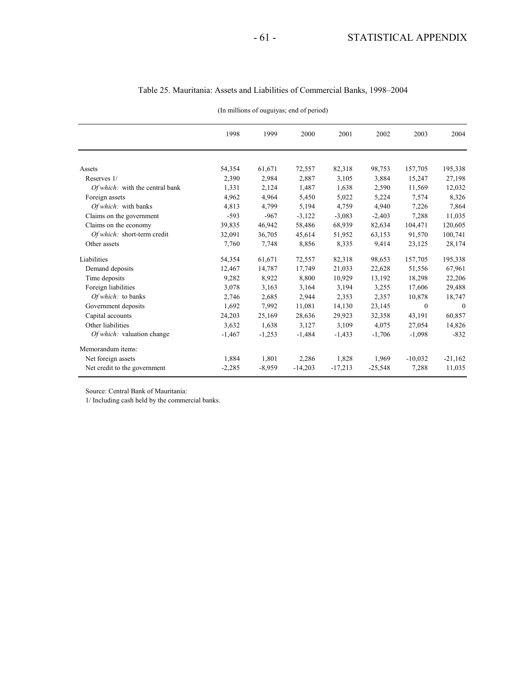|                                 | 1998     | 1999     | 2000      | 2001      | 2002      | 2003      | 2004      |
|---------------------------------|----------|----------|-----------|-----------|-----------|-----------|-----------|
|                                 |          |          |           |           |           |           |           |
| Assets                          | 54,354   | 61,671   | 72,557    | 82,318    | 98,753    | 157,705   | 195,338   |
| Reserves 1/                     | 2,390    | 2,984    | 2,887     | 3,105     | 3,884     | 15,247    | 27,198    |
| Of which: with the central bank | 1,331    | 2,124    | 1,487     | 1,638     | 2,590     | 11,569    | 12,032    |
| Foreign assets                  | 4,962    | 4,964    | 5,450     | 5,022     | 5,224     | 7,574     | 8,326     |
| Of which: with banks            | 4,813    | 4,799    | 5,194     | 4,759     | 4,940     | 7,226     | 7,864     |
| Claims on the government        | $-593$   | $-967$   | $-3,122$  | $-3,083$  | $-2,403$  | 7,288     | 11,035    |
| Claims on the economy           | 39,835   | 46,942   | 58,486    | 68,939    | 82,634    | 104,471   | 120,605   |
| Of which: short-term credit     | 32,091   | 36,705   | 45,614    | 51,952    | 63,153    | 91,570    | 100,741   |
| Other assets                    | 7,760    | 7,748    | 8,856     | 8,335     | 9,414     | 23,125    | 28,174    |
| Liabilities                     | 54,354   | 61,671   | 72,557    | 82,318    | 98,653    | 157,705   | 195,338   |
| Demand deposits                 | 12,467   | 14,787   | 17,749    | 21,033    | 22,628    | 51,556    | 67,961    |
| Time deposits                   | 9,282    | 8,922    | 8,800     | 10,929    | 13,192    | 18,298    | 22,206    |
| Foreign liabilities             | 3,078    | 3,163    | 3,164     | 3,194     | 3,255     | 17,606    | 29,488    |
| Of which: to banks              | 2,746    | 2,685    | 2,944     | 2,353     | 2,357     | 10,878    | 18,747    |
| Government deposits             | 1,692    | 7,992    | 11,081    | 14,130    | 23,145    | $\theta$  | $\theta$  |
| Capital accounts                | 24,203   | 25,169   | 28,636    | 29,923    | 32,358    | 43,191    | 60,857    |
| Other liabilities               | 3,632    | 1,638    | 3,127     | 3,109     | 4,075     | 27,054    | 14,826    |
| Of which: valuation change      | $-1,467$ | $-1,253$ | $-1,484$  | $-1,433$  | $-1,706$  | $-1,098$  | $-832$    |
| Memorandum items:               |          |          |           |           |           |           |           |
| Net foreign assets              | 1,884    | 1,801    | 2,286     | 1,828     | 1,969     | $-10,032$ | $-21,162$ |
| Net credit to the government    | $-2,285$ | $-8,959$ | $-14,203$ | $-17,213$ | $-25,548$ | 7,288     | 11,035    |

#### Table 25. Mauritania: Assets and Liabilities of Commercial Banks, 1998–2004

(In millions of ouguiyas; end of period)

Source: Central Bank of Mauritania:

1/ Including cash held by the commercial banks.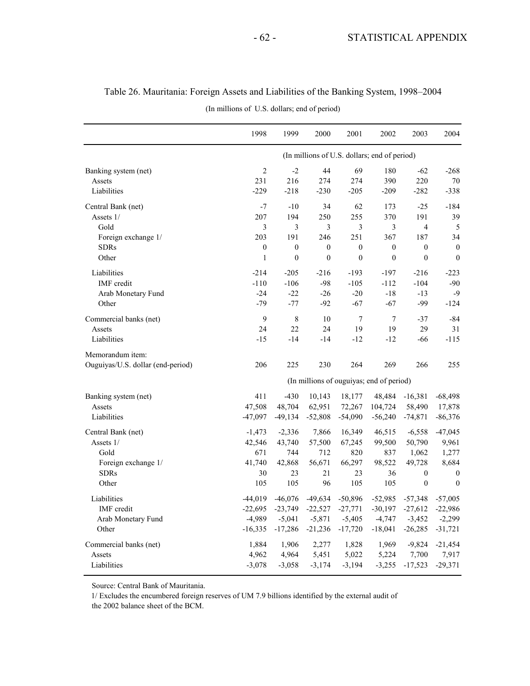|                                   | 1998           | 1999             | 2000             | 2001             | 2002                                         | 2003             | 2004             |
|-----------------------------------|----------------|------------------|------------------|------------------|----------------------------------------------|------------------|------------------|
|                                   |                |                  |                  |                  | (In millions of U.S. dollars; end of period) |                  |                  |
| Banking system (net)              | $\overline{2}$ | $-2$             | 44               | 69               | 180                                          | $-62$            | $-268$           |
| Assets                            | 231            | 216              | 274              | 274              | 390                                          | 220              | 70               |
| Liabilities                       | $-229$         | $-218$           | $-230$           | $-205$           | $-209$                                       | $-282$           | $-338$           |
| Central Bank (net)                | $-7$           | $-10$            | 34               | 62               | 173                                          | $-25$            | $-184$           |
| Assets 1/                         | 207            | 194              | 250              | 255              | 370                                          | 191              | 39               |
| Gold                              | 3              | 3                | 3                | $\overline{3}$   | 3                                            | $\overline{4}$   | 5                |
| Foreign exchange 1/               | 203            | 191              | 246              | 251              | 367                                          | 187              | 34               |
| <b>SDRs</b>                       | $\mathbf{0}$   | $\boldsymbol{0}$ | $\boldsymbol{0}$ | $\boldsymbol{0}$ | $\boldsymbol{0}$                             | $\boldsymbol{0}$ | $\boldsymbol{0}$ |
| Other                             | $\mathbf{1}$   | $\boldsymbol{0}$ | $\boldsymbol{0}$ | $\boldsymbol{0}$ | $\boldsymbol{0}$                             | $\mathbf{0}$     | $\mathbf{0}$     |
| Liabilities                       | $-214$         | $-205$           | $-216$           | $-193$           | $-197$                                       | $-216$           | $-223$           |
| IMF credit                        | $-110$         | $-106$           | $-98$            | $-105$           | $-112$                                       | $-104$           | $-90$            |
| Arab Monetary Fund                | $-24$          | $-22$            | $-26$            | $-20$            | $-18$                                        | $-13$            | $-9$             |
| Other                             | $-79$          | $-77$            | $-92$            | $-67$            | $-67$                                        | -99              | -124             |
| Commercial banks (net)            | 9              | $\,8\,$          | 10               | 7                | $\tau$                                       | $-37$            | $-84$            |
| Assets                            | 24             | 22               | 24               | 19               | 19                                           | 29               | 31               |
| Liabilities                       | $-15$          | $-14$            | $-14$            | $-12$            | $-12$                                        | -66              | $-115$           |
| Memorandum item:                  |                |                  |                  |                  |                                              |                  |                  |
| Ouguiyas/U.S. dollar (end-period) | 206            | 225              | 230              | 264              | 269                                          | 266              | 255              |
|                                   |                |                  |                  |                  | (In millions of ouguiyas; end of period)     |                  |                  |
| Banking system (net)              | 411            | $-430$           | 10,143           | 18,177           | 48,484                                       | $-16,381$        | $-68,498$        |
| Assets                            | 47,508         | 48,704           | 62,951           | 72,267           | 104,724                                      | 58,490           | 17,878           |
| Liabilities                       | $-47.097$      | $-49,134$        | $-52,808$        | $-54,090$        | $-56,240$                                    | $-74,871$        | $-86,376$        |
| Central Bank (net)                | $-1,473$       | $-2,336$         | 7,866            | 16,349           | 46,515                                       | $-6,558$         | $-47,045$        |
| Assets 1/                         | 42,546         | 43,740           | 57,500           | 67,245           | 99,500                                       | 50,790           | 9,961            |
| Gold                              | 671            | 744              | 712              | 820              | 837                                          | 1,062            | 1,277            |
| Foreign exchange 1/               | 41,740         | 42,868           | 56,671           | 66,297           | 98,522                                       | 49,728           | 8,684            |
| <b>SDRs</b>                       | 30             | 23               | 21               | 23               | 36                                           | $\boldsymbol{0}$ | $\boldsymbol{0}$ |
| Other                             | 105            | 105              | 96               | 105              | 105                                          | $\boldsymbol{0}$ | $\mathbf{0}$     |
| Liabilities                       | $-44,019$      | $-46,076$        | $-49,634$        | $-50,896$        | $-52,985$                                    | $-57,348$        | $-57,005$        |
| IMF credit                        | $-22,695$      | $-23,749$        | $-22,527$        | $-27,771$        | $-30,197$                                    | $-27,612$        | $-22,986$        |
| Arab Monetary Fund                | $-4,989$       | $-5,041$         | $-5,871$         | $-5,405$         | $-4,747$                                     | $-3,452$         | $-2,299$         |
| Other                             | $-16,335$      | $-17,286$        | $-21,236$        | $-17,720$        | $-18,041$                                    | $-26,285$        | $-31,721$        |
| Commercial banks (net)            | 1,884          | 1,906            | 2,277            | 1,828            | 1,969                                        | $-9,824$         | $-21,454$        |
| Assets                            | 4,962          | 4,964            | 5,451            | 5,022            | 5,224                                        | 7,700            | 7,917            |
| Liabilities                       | $-3,078$       | $-3,058$         | $-3,174$         | $-3,194$         | $-3,255$                                     | $-17,523$        | $-29,371$        |

# Table 26. Mauritania: Foreign Assets and Liabilities of the Banking System, 1998–2004

(In millions of U.S. dollars; end of period)

Source: Central Bank of Mauritania.

the 2002 balance sheet of the BCM. 1/ Excludes the encumbered foreign reserves of UM 7.9 billions identified by the external audit of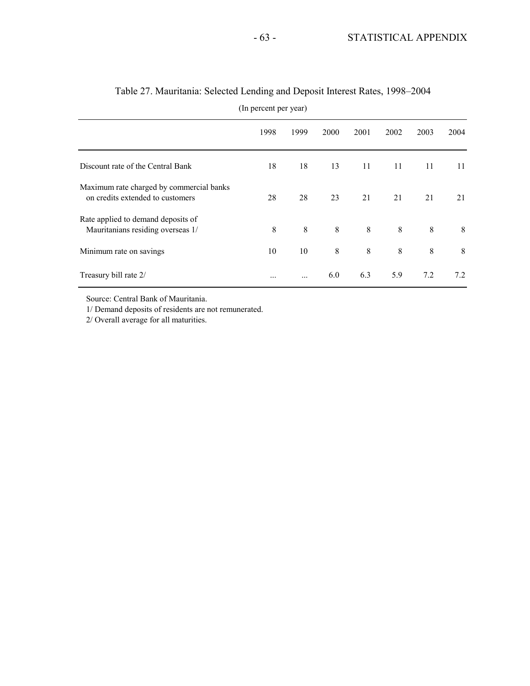|                                                                              | 1998 | 1999 | 2000 | 2001 | 2002 | 2003 | 2004 |
|------------------------------------------------------------------------------|------|------|------|------|------|------|------|
|                                                                              |      |      |      |      |      |      |      |
| Discount rate of the Central Bank                                            | 18   | 18   | 13   | 11   | 11   | 11   | 11   |
| Maximum rate charged by commercial banks<br>on credits extended to customers | 28   | 28   | 23   | 21   | 21   | 21   | 21   |
| Rate applied to demand deposits of<br>Mauritanians residing overseas 1/      | 8    | 8    | 8    | 8    | 8    | 8    | 8    |
| Minimum rate on savings                                                      | 10   | 10   | 8    | 8    | 8    | 8    | 8    |
| Treasury bill rate 2/                                                        |      |      | 6.0  | 6.3  | 5.9  | 7.2  | 7.2  |

# Table 27. Mauritania: Selected Lending and Deposit Interest Rates, 1998–2004

(In percent per year)

Source: Central Bank of Mauritania.

1/ Demand deposits of residents are not remunerated.

2/ Overall average for all maturities.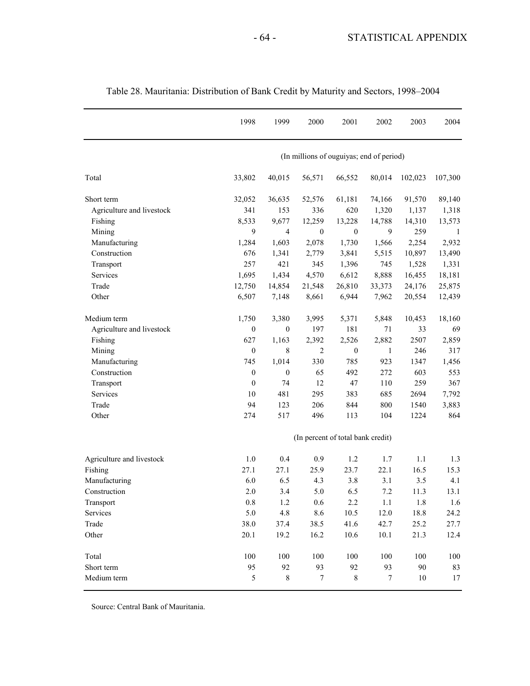|                           | 1998             | 1999             | 2000                                     | 2001             | 2002             | 2003    | 2004    |
|---------------------------|------------------|------------------|------------------------------------------|------------------|------------------|---------|---------|
|                           |                  |                  | (In millions of ouguiyas; end of period) |                  |                  |         |         |
| Total                     | 33,802           | 40,015           | 56,571                                   | 66,552           | 80,014           | 102,023 | 107,300 |
| Short term                | 32,052           | 36,635           | 52,576                                   | 61,181           | 74,166           | 91,570  | 89,140  |
| Agriculture and livestock | 341              | 153              | 336                                      | 620              | 1,320            | 1,137   | 1,318   |
| Fishing                   | 8,533            | 9,677            | 12,259                                   | 13,228           | 14,788           | 14,310  | 13,573  |
| Mining                    | 9                | 4                | $\boldsymbol{0}$                         | $\boldsymbol{0}$ | 9                | 259     | 1       |
| Manufacturing             | 1,284            | 1,603            | 2,078                                    | 1,730            | 1,566            | 2,254   | 2,932   |
| Construction              | 676              | 1,341            | 2,779                                    | 3,841            | 5,515            | 10,897  | 13,490  |
| Transport                 | 257              | 421              | 345                                      | 1,396            | 745              | 1,528   | 1,331   |
| Services                  | 1,695            | 1,434            | 4,570                                    | 6,612            | 8,888            | 16,455  | 18,181  |
| Trade                     | 12,750           | 14,854           | 21,548                                   | 26,810           | 33,373           | 24,176  | 25,875  |
| Other                     | 6,507            | 7,148            | 8,661                                    | 6,944            | 7,962            | 20,554  | 12,439  |
| Medium term               | 1,750            | 3,380            | 3,995                                    | 5,371            | 5,848            | 10,453  | 18,160  |
| Agriculture and livestock | $\boldsymbol{0}$ | 0                | 197                                      | 181              | 71               | 33      | 69      |
| Fishing                   | 627              | 1,163            | 2,392                                    | 2,526            | 2,882            | 2507    | 2,859   |
| Mining                    | $\boldsymbol{0}$ | 8                | $\overline{2}$                           | $\boldsymbol{0}$ | 1                | 246     | 317     |
| Manufacturing             | 745              | 1,014            | 330                                      | 785              | 923              | 1347    | 1,456   |
| Construction              | $\boldsymbol{0}$ | $\boldsymbol{0}$ | 65                                       | 492              | 272              | 603     | 553     |
| Transport                 | $\boldsymbol{0}$ | 74               | 12                                       | 47               | 110              | 259     | 367     |
| Services                  | 10               | 481              | 295                                      | 383              | 685              | 2694    | 7,792   |
| Trade                     | 94               | 123              | 206                                      | 844              | 800              | 1540    | 3,883   |
| Other                     | 274              | 517              | 496                                      | 113              | 104              | 1224    | 864     |
|                           |                  |                  | (In percent of total bank credit)        |                  |                  |         |         |
| Agriculture and livestock | 1.0              | 0.4              | 0.9                                      | 1.2              | 1.7              | 1.1     | 1.3     |
| Fishing                   | 27.1             | 27.1             | 25.9                                     | 23.7             | 22.1             | 16.5    | 15.3    |
| Manufacturing             | 6.0              | 6.5              | 4.3                                      | 3.8              | 3.1              | 3.5     | 4.1     |
| Construction              | $2.0\,$          | 3.4              | 5.0                                      | 6.5              | 7.2              | 11.3    | 13.1    |
| Transport                 | 0.8              | 1.2              | 0.6                                      | 2.2              | 1.1              | 1.8     | 1.6     |
| Services                  | 5.0              | $4.8\,$          | 8.6                                      | 10.5             | 12.0             | 18.8    | 24.2    |
| Trade                     | 38.0             | 37.4             | 38.5                                     | 41.6             | 42.7             | 25.2    | 27.7    |
| Other                     | 20.1             | 19.2             | 16.2                                     | 10.6             | 10.1             | 21.3    | 12.4    |
| Total                     | 100              | 100              | 100                                      | 100              | 100              | 100     | 100     |
| Short term                | 95               | 92               | 93                                       | 92               | 93               | 90      | 83      |
| Medium term               | 5                | 8                | 7                                        | $\,8\,$          | $\boldsymbol{7}$ | $10\,$  | 17      |

## Table 28. Mauritania: Distribution of Bank Credit by Maturity and Sectors, 1998–2004

Source: Central Bank of Mauritania.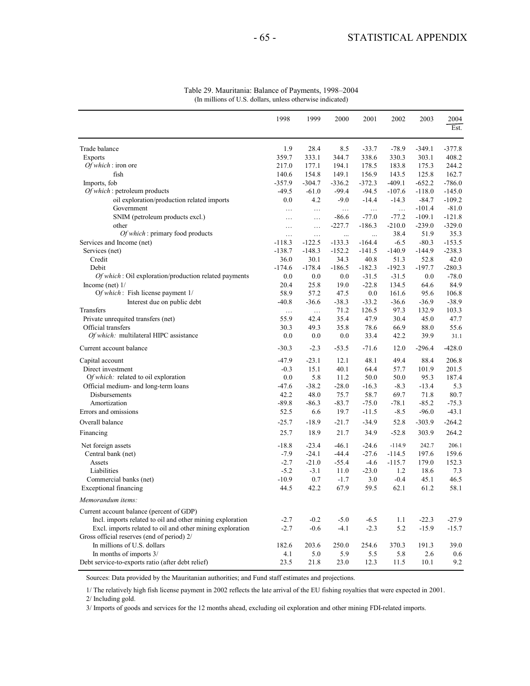|                                                           | 1998     | 1999     | 2000     | 2001     | 2002     | 2003     | 2004<br>Est. |
|-----------------------------------------------------------|----------|----------|----------|----------|----------|----------|--------------|
| Trade balance                                             | 1.9      | 28.4     | 8.5      | $-33.7$  | $-78.9$  | $-349.1$ | $-377.8$     |
| <b>Exports</b>                                            | 359.7    | 333.1    | 344.7    | 338.6    | 330.3    | 303.1    | 408.2        |
| $Of which:$ iron ore                                      | 217.0    | 177.1    | 194.1    | 178.5    | 183.8    | 175.3    | 244.2        |
| fish                                                      | 140.6    | 154.8    | 149.1    | 156.9    | 143.5    | 125.8    | 162.7        |
| Imports, fob                                              | $-357.9$ | $-304.7$ | $-336.2$ | $-372.3$ | $-409.1$ | $-652.2$ | $-786.0$     |
| Of which: petroleum products                              | $-49.5$  | $-61.0$  | $-99.4$  | $-94.5$  | $-107.6$ | $-118.0$ | $-145.0$     |
| oil exploration/production related imports                | 0.0      | 4.2      | $-9.0$   | $-14.4$  | $-14.3$  | $-84.7$  | $-109.2$     |
| Government                                                | $\ldots$ | $\ldots$ | $\ldots$ | $\ldots$ | $\cdots$ | $-101.4$ | $-81.0$      |
| SNIM (petroleum products excl.)                           | $\ldots$ | $\cdots$ | $-86.6$  | $-77.0$  | $-77.2$  | $-109.1$ | $-121.8$     |
| other                                                     | $\ldots$ | $\ldots$ | $-227.7$ | $-186.3$ | $-210.0$ | $-239.0$ | $-329.0$     |
| Of which: primary food products                           | $\ldots$ | $\ldots$ | $\ldots$ | $\cdots$ | 38.4     | 51.9     | 35.3         |
| Services and Income (net)                                 | $-118.3$ | $-122.5$ | $-133.3$ | $-164.4$ | $-6.5$   | $-80.3$  | $-153.5$     |
| Services (net)                                            | $-138.7$ | $-148.3$ | $-152.2$ | $-141.5$ | $-140.9$ | $-144.9$ | $-238.3$     |
| Credit                                                    | 36.0     | 30.1     | 34.3     | 40.8     | 51.3     | 52.8     | 42.0         |
| Debit                                                     | $-174.6$ | $-178.4$ | $-186.5$ | $-182.3$ | $-192.3$ | $-197.7$ | $-280.3$     |
| Of which: Oil exploration/production related payments     | 0.0      | 0.0      | 0.0      | $-31.5$  | $-31.5$  | 0.0      | $-78.0$      |
| Income (net) $1/$                                         | 20.4     | 25.8     | 19.0     | $-22.8$  | 134.5    | 64.6     | 84.9         |
| Of which: Fish license payment 1/                         | 58.9     | 57.2     | 47.5     | 0.0      | 161.6    | 95.6     | 106.8        |
| Interest due on public debt                               | $-40.8$  | $-36.6$  | $-38.3$  | $-33.2$  | $-36.6$  | $-36.9$  | $-38.9$      |
| Transfers                                                 | $\ldots$ | $\ldots$ | 71.2     | 126.5    | 97.3     | 132.9    | 103.3        |
| Private unrequited transfers (net)                        | 55.9     | 42.4     | 35.4     | 47.9     | 30.4     | 45.0     | 47.7         |
| Official transfers                                        | 30.3     | 49.3     | 35.8     | 78.6     | 66.9     | 88.0     | 55.6         |
| Of which: multilateral HIPC assistance                    | 0.0      | 0.0      | 0.0      | 33.4     | 42.2     | 39.9     | 31.1         |
| Current account balance                                   | $-30.3$  | $-2.3$   | $-53.5$  | $-71.6$  | 12.0     | $-296.4$ | $-428.0$     |
| Capital account                                           | $-47.9$  | $-23.1$  | 12.1     | 48.1     | 49.4     | 88.4     | 206.8        |
| Direct investment                                         | $-0.3$   | 15.1     | 40.1     | 64.4     | 57.7     | 101.9    | 201.5        |
| Of which: related to oil exploration                      | 0.0      | 5.8      | 11.2     | 50.0     | 50.0     | 95.3     | 187.4        |
| Official medium- and long-term loans                      | $-47.6$  | $-38.2$  | $-28.0$  | $-16.3$  | $-8.3$   | $-13.4$  | 5.3          |
| Disbursements                                             | 42.2     | 48.0     | 75.7     | 58.7     | 69.7     | 71.8     | 80.7         |
| Amortization                                              | $-89.8$  | $-86.3$  | $-83.7$  | $-75.0$  | $-78.1$  | $-85.2$  | $-75.3$      |
| Errors and omissions                                      | 52.5     | 6.6      | 19.7     | $-11.5$  | $-8.5$   | $-96.0$  | $-43.1$      |
| Overall balance                                           | $-25.7$  | $-18.9$  | $-21.7$  | $-34.9$  | 52.8     | $-303.9$ | $-264.2$     |
| Financing                                                 | 25.7     | 18.9     | 21.7     | 34.9     | $-52.8$  | 303.9    | 264.2        |
| Net foreign assets                                        | $-18.8$  | $-23.4$  | $-46.1$  | $-24.6$  | $-114.9$ | 242.7    | 206.1        |
| Central bank (net)                                        | $-7.9$   | $-24.1$  | $-44.4$  | $-27.6$  | $-114.5$ | 197.6    | 159.6        |
| Assets                                                    | $-2.7$   | $-21.0$  | $-55.4$  | $-4.6$   | $-115.7$ | 179.0    | 152.3        |
| Liabilities                                               | $-5.2$   | $-3.1$   | 11.0     | $-23.0$  | 1.2      | 18.6     | 7.3          |
| Commercial banks (net)                                    | $-10.9$  | 0.7      | $-1.7$   | 3.0      | $-0.4$   | 45.1     | 46.5         |
| Exceptional financing                                     | 44.5     | 42.2     | 67.9     | 59.5     | 62.1     | 61.2     | 58.1         |
| Memorandum items:                                         |          |          |          |          |          |          |              |
| Current account balance (percent of GDP)                  |          |          |          |          |          |          |              |
| Incl. imports related to oil and other mining exploration | $-2.7$   | $-0.2$   | $-5.0$   | $-6.5$   | 1.1      | $-22.3$  | $-27.9$      |
| Excl. imports related to oil and other mining exploration | $-2.7$   | $-0.6$   | $-4.1$   | $-2.3$   | 5.2      | $-15.9$  | $-15.7$      |
| Gross official reserves (end of period) 2/                |          |          |          |          |          |          |              |
| In millions of U.S. dollars                               | 182.6    | 203.6    | 250.0    | 254.6    | 370.3    | 191.3    | 39.0         |
| In months of imports 3/                                   | 4.1      | 5.0      | 5.9      | 5.5      | 5.8      | 2.6      | 0.6          |
| Debt service-to-exports ratio (after debt relief)         | 23.5     | 21.8     | 23.0     | 12.3     | 11.5     | 10.1     | 9.2          |

#### Table 29. Mauritania: Balance of Payments, 1998–2004 (In millions of U.S. dollars, unless otherwise indicated)

Sources: Data provided by the Mauritanian authorities; and Fund staff estimates and projections.

1/ The relatively high fish license payment in 2002 reflects the late arrival of the EU fishing royalties that were expected in 2001. 2/ Including gold.

3/ Imports of goods and services for the 12 months ahead, excluding oil exploration and other mining FDI-related imports.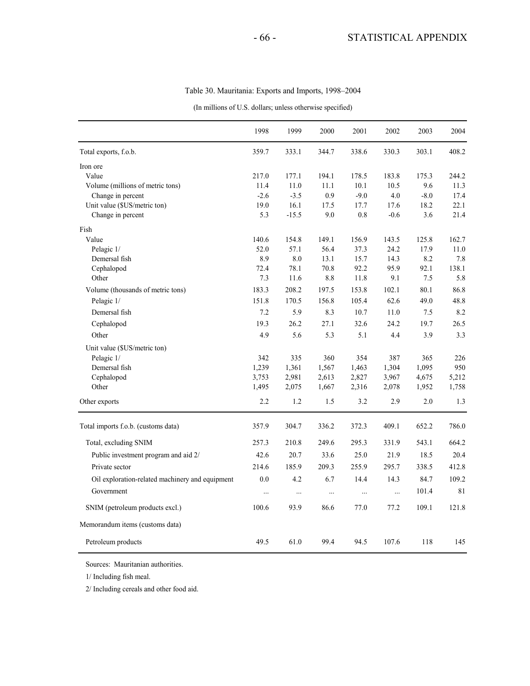#### Table 30. Mauritania: Exports and Imports, 1998–2004

(In millions of U.S. dollars; unless otherwise specified)

|                                                 | 1998     | 1999     | 2000     | 2001     | 2002     | 2003   | 2004  |
|-------------------------------------------------|----------|----------|----------|----------|----------|--------|-------|
| Total exports, f.o.b.                           | 359.7    | 333.1    | 344.7    | 338.6    | 330.3    | 303.1  | 408.2 |
| Iron ore                                        |          |          |          |          |          |        |       |
| Value                                           | 217.0    | 177.1    | 194.1    | 178.5    | 183.8    | 175.3  | 244.2 |
| Volume (millions of metric tons)                | 11.4     | $11.0$   | 11.1     | 10.1     | 10.5     | 9.6    | 11.3  |
| Change in percent                               | $-2.6$   | $-3.5$   | 0.9      | $-9.0$   | 4.0      | $-8.0$ | 17.4  |
| Unit value (\$US/metric ton)                    | 19.0     | 16.1     | 17.5     | 17.7     | 17.6     | 18.2   | 22.1  |
| Change in percent                               | 5.3      | $-15.5$  | 9.0      | 0.8      | $-0.6$   | 3.6    | 21.4  |
| Fish                                            |          |          |          |          |          |        |       |
| Value                                           | 140.6    | 154.8    | 149.1    | 156.9    | 143.5    | 125.8  | 162.7 |
| Pelagic 1/                                      | 52.0     | 57.1     | 56.4     | 37.3     | 24.2     | 17.9   | 11.0  |
| Demersal fish                                   | 8.9      | 8.0      | 13.1     | 15.7     | 14.3     | 8.2    | 7.8   |
| Cephalopod                                      | 72.4     | 78.1     | 70.8     | 92.2     | 95.9     | 92.1   | 138.1 |
| Other                                           | 7.3      | 11.6     | 8.8      | 11.8     | 9.1      | 7.5    | 5.8   |
| Volume (thousands of metric tons)               | 183.3    | 208.2    | 197.5    | 153.8    | 102.1    | 80.1   | 86.8  |
| Pelagic 1/                                      | 151.8    | 170.5    | 156.8    | 105.4    | 62.6     | 49.0   | 48.8  |
| Demersal fish                                   | 7.2      | 5.9      | 8.3      | 10.7     | 11.0     | 7.5    | 8.2   |
| Cephalopod                                      | 19.3     | 26.2     | 27.1     | 32.6     | 24.2     | 19.7   | 26.5  |
| Other                                           | 4.9      | 5.6      | 5.3      | 5.1      | 4.4      | 3.9    | 3.3   |
| Unit value (\$US/metric ton)                    |          |          |          |          |          |        |       |
| Pelagic 1/                                      | 342      | 335      | 360      | 354      | 387      | 365    | 226   |
| Demersal fish                                   | 1,239    | 1,361    | 1,567    | 1,463    | 1,304    | 1,095  | 950   |
| Cephalopod                                      | 3,753    | 2,981    | 2,613    | 2,827    | 3,967    | 4,675  | 5,212 |
| Other                                           | 1,495    | 2,075    | 1,667    | 2,316    | 2,078    | 1,952  | 1,758 |
| Other exports                                   | 2.2      | 1.2      | 1.5      | 3.2      | 2.9      | 2.0    | 1.3   |
| Total imports f.o.b. (customs data)             | 357.9    | 304.7    | 336.2    | 372.3    | 409.1    | 652.2  | 786.0 |
| Total, excluding SNIM                           | 257.3    | 210.8    | 249.6    | 295.3    | 331.9    | 543.1  | 664.2 |
| Public investment program and aid 2/            | 42.6     | 20.7     | 33.6     | 25.0     | 21.9     | 18.5   | 20.4  |
| Private sector                                  | 214.6    | 185.9    | 209.3    | 255.9    | 295.7    | 338.5  | 412.8 |
|                                                 |          |          |          |          |          |        |       |
| Oil exploration-related machinery and equipment | 0.0      | 4.2      | 6.7      | 14.4     | 14.3     | 84.7   | 109.2 |
| Government                                      | $\cdots$ | $\cdots$ | $\ldots$ | $\ldots$ | $\ldots$ | 101.4  | 81    |
| SNIM (petroleum products excl.)                 | 100.6    | 93.9     | 86.6     | 77.0     | 77.2     | 109.1  | 121.8 |
| Memorandum items (customs data)                 |          |          |          |          |          |        |       |
| Petroleum products                              | 49.5     | 61.0     | 99.4     | 94.5     | 107.6    | 118    | 145   |

Sources: Mauritanian authorities.

1/ Including fish meal.

2/ Including cereals and other food aid.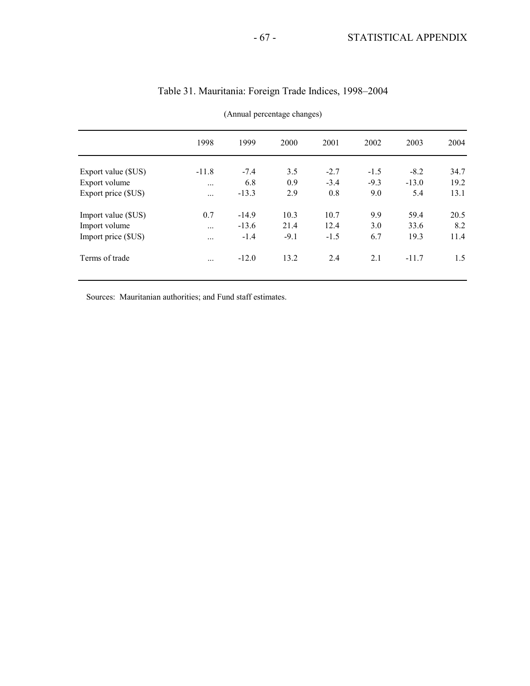|                     | 1998     | 1999    | 2000   | 2001   | 2002   | 2003    | 2004 |
|---------------------|----------|---------|--------|--------|--------|---------|------|
| Export value (\$US) | $-11.8$  | $-7.4$  | 3.5    | $-2.7$ | $-1.5$ | $-8.2$  | 34.7 |
| Export volume       | $\cdots$ | 6.8     | 0.9    | $-3.4$ | $-9.3$ | $-13.0$ | 19.2 |
| Export price (\$US) | $\cdots$ | $-13.3$ | 2.9    | 0.8    | 9.0    | 5.4     | 13.1 |
| Import value (\$US) | 0.7      | $-14.9$ | 10.3   | 10.7   | 9.9    | 59.4    | 20.5 |
| Import volume       | $\cdots$ | $-13.6$ | 21.4   | 12.4   | 3.0    | 33.6    | 8.2  |
| Import price (\$US) |          | $-1.4$  | $-9.1$ | $-1.5$ | 6.7    | 19.3    | 11.4 |
| Terms of trade      |          | $-12.0$ | 13.2   | 2.4    | 2.1    | $-11.7$ | 1.5  |
|                     |          |         |        |        |        |         |      |

## Table 31. Mauritania: Foreign Trade Indices, 1998–2004

(Annual percentage changes)

Sources: Mauritanian authorities; and Fund staff estimates.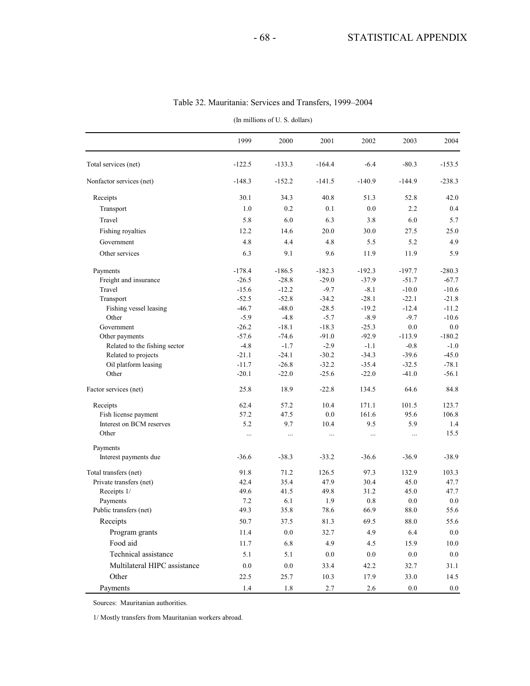| (In millions of U.S. dollars)               |                    |                    |                    |                    |                    |                    |  |  |  |  |  |
|---------------------------------------------|--------------------|--------------------|--------------------|--------------------|--------------------|--------------------|--|--|--|--|--|
|                                             | 1999               | 2000               | 2001               | 2002               | 2003               | 2004               |  |  |  |  |  |
| Total services (net)                        | $-122.5$           | $-133.3$           | $-164.4$           | $-6.4$             | $-80.3$            | $-153.5$           |  |  |  |  |  |
| Nonfactor services (net)                    | $-148.3$           | $-152.2$           | $-141.5$           | $-140.9$           | $-144.9$           | $-238.3$           |  |  |  |  |  |
| Receipts                                    | 30.1               | 34.3               | 40.8               | 51.3               | 52.8               | 42.0               |  |  |  |  |  |
| Transport                                   | 1.0                | 0.2                | 0.1                | 0.0                | $2.2\,$            | 0.4                |  |  |  |  |  |
| Travel                                      | 5.8                | 6.0                | 6.3                | 3.8                | 6.0                | 5.7                |  |  |  |  |  |
| Fishing royalties                           | 12.2               | 14.6               | 20.0               | 30.0               | 27.5               | 25.0               |  |  |  |  |  |
| Government                                  | 4.8                | 4.4                | 4.8                | 5.5                | 5.2                | 4.9                |  |  |  |  |  |
| Other services                              | 6.3                | 9.1                | 9.6                | 11.9               | 11.9               | 5.9                |  |  |  |  |  |
| Payments                                    | $-178.4$           | $-186.5$           | $-182.3$           | $-192.3$           | $-197.7$           | $-280.3$           |  |  |  |  |  |
| Freight and insurance                       | $-26.5$            | $-28.8$            | $-29.0$            | $-37.9$            | $-51.7$            | $-67.7$            |  |  |  |  |  |
| Travel                                      | $-15.6$            | $-12.2$            | $-9.7$             | $-8.1$             | $-10.0$            | $-10.6$            |  |  |  |  |  |
| Transport                                   | $-52.5$            | $-52.8$            | $-34.2$            | $-28.1$            | $-22.1$            | $-21.8$            |  |  |  |  |  |
| Fishing vessel leasing                      | $-46.7$            | $-48.0$            | $-28.5$            | $-19.2$            | $-12.4$            | $-11.2$            |  |  |  |  |  |
| Other                                       | $-5.9$             | $-4.8$             | $-5.7$             | $-8.9$             | $-9.7$             | $-10.6$            |  |  |  |  |  |
| Government                                  | $-26.2$            | $-18.1$            | $-18.3$            | $-25.3$            | 0.0                | $0.0\,$            |  |  |  |  |  |
| Other payments                              | $-57.6$            | $-74.6$            | $-91.0$            | $-92.9$            | $-113.9$           | $-180.2$           |  |  |  |  |  |
| Related to the fishing sector               | $-4.8$             | $-1.7$             | $-2.9$             | $-1.1$             | $-0.8$             | $-1.0$             |  |  |  |  |  |
| Related to projects<br>Oil platform leasing | $-21.1$<br>$-11.7$ | $-24.1$<br>$-26.8$ | $-30.2$<br>$-32.2$ | $-34.3$<br>$-35.4$ | $-39.6$<br>$-32.5$ | $-45.0$<br>$-78.1$ |  |  |  |  |  |
| Other                                       | $-20.1$            | $-22.0$            | $-25.6$            | $-22.0$            | $-41.0$            | $-56.1$            |  |  |  |  |  |
| Factor services (net)                       | 25.8               | 18.9               | $-22.8$            | 134.5              | 64.6               | 84.8               |  |  |  |  |  |
| Receipts                                    | 62.4               | 57.2               | 10.4               | 171.1              | 101.5              | 123.7              |  |  |  |  |  |
| Fish license payment                        | 57.2               | 47.5               | 0.0                | 161.6              | 95.6               | 106.8              |  |  |  |  |  |
| Interest on BCM reserves                    | 5.2                | 9.7                | 10.4               | 9.5                | 5.9                | 1.4                |  |  |  |  |  |
| Other                                       | $\cdots$           |                    | $\cdots$           | $\cdots$           | $\cdots$           | 15.5               |  |  |  |  |  |
| Payments                                    |                    |                    |                    |                    |                    |                    |  |  |  |  |  |
| Interest payments due                       | $-36.6$            | $-38.3$            | $-33.2$            | $-36.6$            | $-36.9$            | $-38.9$            |  |  |  |  |  |
| Total transfers (net)                       | 91.8               | 71.2               | 126.5              | 97.3               | 132.9              | 103.3              |  |  |  |  |  |
| Private transfers (net)                     | 42.4               | 35.4               | 47.9               | 30.4               | 45.0               | 47.7               |  |  |  |  |  |
| Receipts 1/                                 | 49.6               | 41.5               | 49.8               | 31.2               | 45.0               | 47.7               |  |  |  |  |  |
| Payments                                    | $7.2\,$            | 6.1                | 1.9                | 0.8                | 0.0                | 0.0                |  |  |  |  |  |
| Public transfers (net)                      | 49.3               | 35.8               | 78.6               | 66.9               | 88.0               | 55.6               |  |  |  |  |  |
| Receipts                                    | 50.7               | 37.5               | 81.3               | 69.5               | $88.0\,$           | 55.6               |  |  |  |  |  |
| Program grants                              | 11.4               | $0.0\,$            | 32.7               | 4.9                | 6.4                | $0.0\,$            |  |  |  |  |  |
| Food aid                                    | 11.7               | 6.8                | 4.9                | 4.5                | 15.9               | 10.0               |  |  |  |  |  |
| Technical assistance                        | $5.1\,$            | 5.1                | $0.0\,$            | $0.0\,$            | $0.0\,$            | $0.0\,$            |  |  |  |  |  |
| Multilateral HIPC assistance                | $0.0\,$            | 0.0                | 33.4               | 42.2               | 32.7               | 31.1               |  |  |  |  |  |
| Other                                       | 22.5               | 25.7               | 10.3               | 17.9               | 33.0               | 14.5               |  |  |  |  |  |
| Payments                                    | $1.4$              | 1.8                | 2.7                | $2.6\,$            | $0.0\,$            | $0.0\,$            |  |  |  |  |  |

### Table 32. Mauritania: Services and Transfers, 1999–2004

Sources: Mauritanian authorities.

1/ Mostly transfers from Mauritanian workers abroad.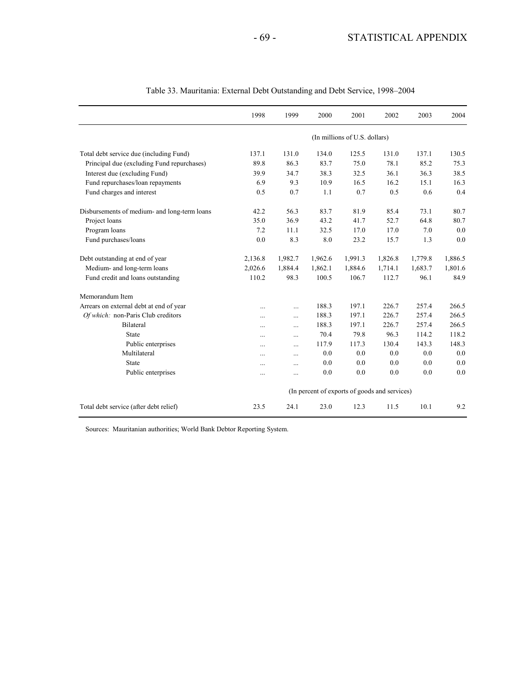|                                              | 1998                          | 1999                                          | 2000    | 2001    | 2002    | 2003    | 2004    |  |  |
|----------------------------------------------|-------------------------------|-----------------------------------------------|---------|---------|---------|---------|---------|--|--|
|                                              | (In millions of U.S. dollars) |                                               |         |         |         |         |         |  |  |
| Total debt service due (including Fund)      | 137.1                         | 131.0                                         | 134.0   | 125.5   | 131.0   | 137.1   | 130.5   |  |  |
| Principal due (excluding Fund repurchases)   | 89.8                          | 86.3                                          | 83.7    | 75.0    | 78.1    | 85.2    | 75.3    |  |  |
| Interest due (excluding Fund)                | 39.9                          | 34.7                                          | 38.3    | 32.5    | 36.1    | 36.3    | 38.5    |  |  |
| Fund repurchases/loan repayments             | 6.9                           | 9.3                                           | 10.9    | 16.5    | 16.2    | 15.1    | 16.3    |  |  |
| Fund charges and interest                    | 0.5                           | 0.7                                           | 1.1     | 0.7     | 0.5     | 0.6     | 0.4     |  |  |
| Disbursements of medium- and long-term loans | 42.2                          | 56.3                                          | 83.7    | 81.9    | 85.4    | 73.1    | 80.7    |  |  |
| Project loans                                | 35.0                          | 36.9                                          | 43.2    | 41.7    | 52.7    | 64.8    | 80.7    |  |  |
| Program loans                                | 7.2                           | 11.1                                          | 32.5    | 17.0    | 17.0    | 7.0     | 0.0     |  |  |
| Fund purchases/loans                         | 0.0                           | 8.3                                           | 8.0     | 23.2    | 15.7    | 1.3     | 0.0     |  |  |
| Debt outstanding at end of year              | 2,136.8                       | 1,982.7                                       | 1,962.6 | 1,991.3 | 1,826.8 | 1,779.8 | 1,886.5 |  |  |
| Medium- and long-term loans                  | 2,026.6                       | 1,884.4                                       | 1,862.1 | 1,884.6 | 1,714.1 | 1,683.7 | 1,801.6 |  |  |
| Fund credit and loans outstanding            | 110.2                         | 98.3                                          | 100.5   | 106.7   | 112.7   | 96.1    | 84.9    |  |  |
| Memorandum Item                              |                               |                                               |         |         |         |         |         |  |  |
| Arrears on external debt at end of year      |                               | $\cdots$                                      | 188.3   | 197.1   | 226.7   | 257.4   | 266.5   |  |  |
| Of which: non-Paris Club creditors           | $\ddotsc$                     | $\cdots$                                      | 188.3   | 197.1   | 226.7   | 257.4   | 266.5   |  |  |
| Bilateral                                    |                               | $\cdots$                                      | 188.3   | 197.1   | 226.7   | 257.4   | 266.5   |  |  |
| State                                        |                               | $\cdots$                                      | 70.4    | 79.8    | 96.3    | 114.2   | 118.2   |  |  |
| Public enterprises                           | $\cdots$                      | $\cdots$                                      | 117.9   | 117.3   | 130.4   | 143.3   | 148.3   |  |  |
| Multilateral                                 | $\ddotsc$                     | $\cdots$                                      | 0.0     | 0.0     | 0.0     | 0.0     | 0.0     |  |  |
| State                                        | $\ddotsc$                     | $\cdots$                                      | 0.0     | 0.0     | 0.0     | 0.0     | 0.0     |  |  |
| Public enterprises                           | $\ddotsc$                     | $\cdots$                                      | 0.0     | 0.0     | 0.0     | 0.0     | 0.0     |  |  |
|                                              |                               | (In percent of exports of goods and services) |         |         |         |         |         |  |  |
| Total debt service (after debt relief)       | 23.5                          | 24.1                                          | 23.0    | 12.3    | 11.5    | 10.1    | 9.2     |  |  |

#### Table 33. Mauritania: External Debt Outstanding and Debt Service, 1998–2004

Sources: Mauritanian authorities; World Bank Debtor Reporting System.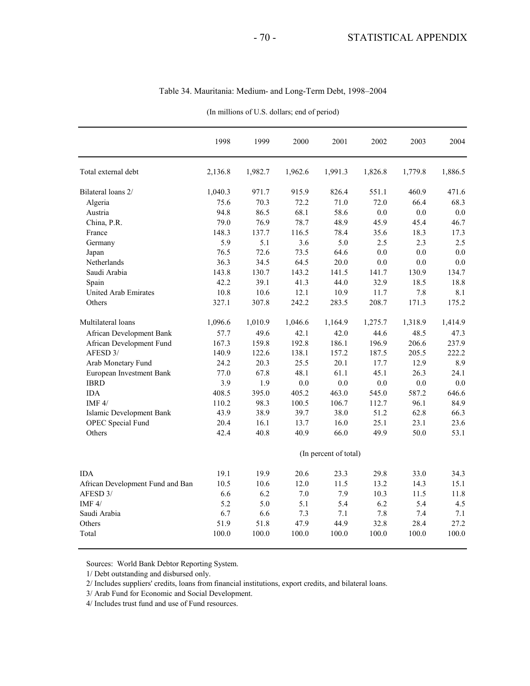|                                  | 1998                  | 1999    | 2000    | 2001    | 2002    | 2003    | 2004    |  |
|----------------------------------|-----------------------|---------|---------|---------|---------|---------|---------|--|
| Total external debt              | 2,136.8               | 1,982.7 | 1,962.6 | 1,991.3 | 1,826.8 | 1,779.8 | 1.886.5 |  |
| Bilateral loans 2/               | 1,040.3               | 971.7   | 915.9   | 826.4   | 551.1   | 460.9   | 471.6   |  |
| Algeria                          | 75.6                  | 70.3    | 72.2    | 71.0    | 72.0    | 66.4    | 68.3    |  |
| Austria                          | 94.8                  | 86.5    | 68.1    | 58.6    | 0.0     | 0.0     | 0.0     |  |
| China, P.R.                      | 79.0                  | 76.9    | 78.7    | 48.9    | 45.9    | 45.4    | 46.7    |  |
| France                           | 148.3                 | 137.7   | 116.5   | 78.4    | 35.6    | 18.3    | 17.3    |  |
| Germany                          | 5.9                   | 5.1     | 3.6     | 5.0     | 2.5     | 2.3     | 2.5     |  |
| Japan                            | 76.5                  | 72.6    | 73.5    | 64.6    | 0.0     | 0.0     | 0.0     |  |
| Netherlands                      | 36.3                  | 34.5    | 64.5    | 20.0    | 0.0     | 0.0     | 0.0     |  |
| Saudi Arabia                     | 143.8                 | 130.7   | 143.2   | 141.5   | 141.7   | 130.9   | 134.7   |  |
| Spain                            | 42.2                  | 39.1    | 41.3    | 44.0    | 32.9    | 18.5    | 18.8    |  |
| <b>United Arab Emirates</b>      | 10.8                  | 10.6    | 12.1    | 10.9    | 11.7    | 7.8     | 8.1     |  |
| Others                           | 327.1                 | 307.8   | 242.2   | 283.5   | 208.7   | 171.3   | 175.2   |  |
| Multilateral loans               | 1,096.6               | 1,010.9 | 1,046.6 | 1,164.9 | 1,275.7 | 1,318.9 | 1,414.9 |  |
| African Development Bank         | 57.7                  | 49.6    | 42.1    | 42.0    | 44.6    | 48.5    | 47.3    |  |
| African Development Fund         | 167.3                 | 159.8   | 192.8   | 186.1   | 196.9   | 206.6   | 237.9   |  |
| AFESD 3/                         | 140.9                 | 122.6   | 138.1   | 157.2   | 187.5   | 205.5   | 222.2   |  |
| Arab Monetary Fund               | 24.2                  | 20.3    | 25.5    | 20.1    | 17.7    | 12.9    | 8.9     |  |
| European Investment Bank         | 77.0                  | 67.8    | 48.1    | 61.1    | 45.1    | 26.3    | 24.1    |  |
| <b>IBRD</b>                      | 3.9                   | 1.9     | 0.0     | 0.0     | 0.0     | 0.0     | 0.0     |  |
| <b>IDA</b>                       | 408.5                 | 395.0   | 405.2   | 463.0   | 545.0   | 587.2   | 646.6   |  |
| IMF $4/$                         | 110.2                 | 98.3    | 100.5   | 106.7   | 112.7   | 96.1    | 84.9    |  |
| Islamic Development Bank         | 43.9                  | 38.9    | 39.7    | 38.0    | 51.2    | 62.8    | 66.3    |  |
| <b>OPEC</b> Special Fund         | 20.4                  | 16.1    | 13.7    | 16.0    | 25.1    | 23.1    | 23.6    |  |
| Others                           | 42.4                  | 40.8    | 40.9    | 66.0    | 49.9    | 50.0    | 53.1    |  |
|                                  | (In percent of total) |         |         |         |         |         |         |  |
| IDA                              | 19.1                  | 19.9    | 20.6    | 23.3    | 29.8    | 33.0    | 34.3    |  |
| African Development Fund and Ban | 10.5                  | 10.6    | 12.0    | 11.5    | 13.2    | 14.3    | 15.1    |  |
| AFESD 3/                         | 6.6                   | 6.2     | 7.0     | 7.9     | 10.3    | 11.5    | 11.8    |  |
| IMF $4/$                         | 5.2                   | 5.0     | 5.1     | 5.4     | 6.2     | 5.4     | 4.5     |  |
| Saudi Arabia                     | 6.7                   | 6.6     | 7.3     | 7.1     | 7.8     | 7.4     | 7.1     |  |
| Others                           | 51.9                  | 51.8    | 47.9    | 44.9    | 32.8    | 28.4    | 27.2    |  |
| Total                            | 100.0                 | 100.0   | 100.0   | 100.0   | 100.0   | 100.0   | 100.0   |  |

Table 34. Mauritania: Medium- and Long-Term Debt, 1998–2004

(In millions of U.S. dollars; end of period)

Sources: World Bank Debtor Reporting System.

1/ Debt outstanding and disbursed only.

2/ Includes suppliers' credits, loans from financial institutions, export credits, and bilateral loans.

3/ Arab Fund for Economic and Social Development.

4/ Includes trust fund and use of Fund resources.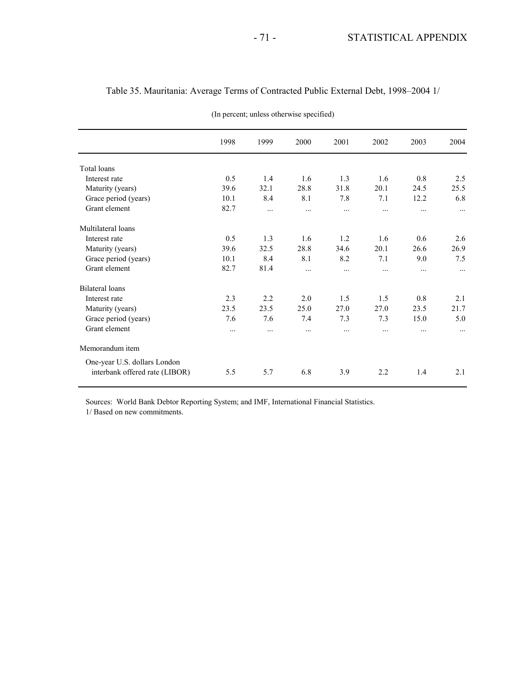|                                | 1998     | 1999     | 2000     | 2001     | 2002     | 2003     | 2004     |
|--------------------------------|----------|----------|----------|----------|----------|----------|----------|
| <b>Total loans</b>             |          |          |          |          |          |          |          |
| Interest rate                  | 0.5      | 1.4      | 1.6      | 1.3      | 1.6      | 0.8      | 2.5      |
| Maturity (years)               | 39.6     | 32.1     | 28.8     | 31.8     | 20.1     | 24.5     | 25.5     |
| Grace period (years)           | 10.1     | 8.4      | 8.1      | 7.8      | 7.1      | 12.2     | 6.8      |
| Grant element                  | 82.7     | $\cdots$ | .        | $\cdots$ | $\cdots$ | $\cdots$ | $\cdots$ |
| Multilateral loans             |          |          |          |          |          |          |          |
| Interest rate                  | 0.5      | 1.3      | 1.6      | 1.2      | 1.6      | 0.6      | 2.6      |
| Maturity (years)               | 39.6     | 32.5     | 28.8     | 34.6     | 20.1     | 26.6     | 26.9     |
| Grace period (years)           | 10.1     | 8.4      | 8.1      | 8.2      | 7.1      | 9.0      | 7.5      |
| Grant element                  | 82.7     | 81.4     | $\cdots$ | $\cdots$ |          | $\cdots$ | $\cdots$ |
| <b>Bilateral</b> loans         |          |          |          |          |          |          |          |
| Interest rate                  | 2.3      | 2.2      | 2.0      | 1.5      | 1.5      | 0.8      | 2.1      |
| Maturity (years)               | 23.5     | 23.5     | 25.0     | 27.0     | 27.0     | 23.5     | 21.7     |
| Grace period (years)           | 7.6      | 7.6      | 7.4      | 7.3      | 7.3      | 15.0     | 5.0      |
| Grant element                  | $\cdots$ | .        | $\cdots$ | $\cdots$ | $\cdots$ | $\cdots$ | $\cdots$ |
| Memorandum item                |          |          |          |          |          |          |          |
| One-year U.S. dollars London   |          |          |          |          |          |          |          |
| interbank offered rate (LIBOR) | 5.5      | 5.7      | 6.8      | 3.9      | 2.2      | 1.4      | 2.1      |

### Table 35. Mauritania: Average Terms of Contracted Public External Debt, 1998–2004 1/

(In percent; unless otherwise specified)

Sources: World Bank Debtor Reporting System; and IMF, International Financial Statistics. 1/ Based on new commitments.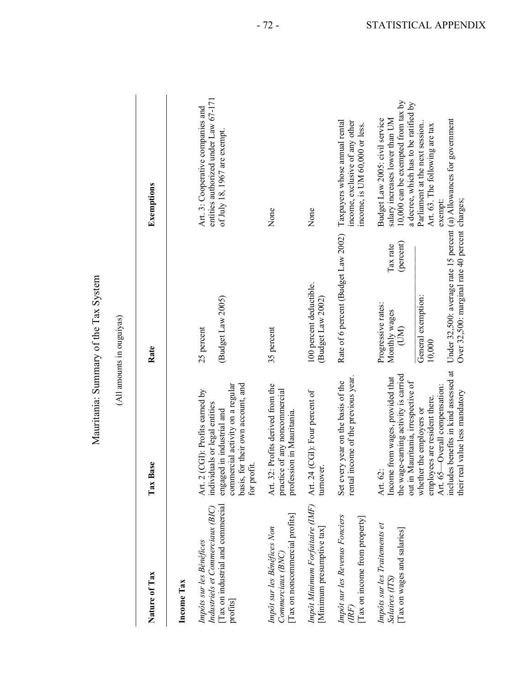| i                    |
|----------------------|
| Ć                    |
| $\overline{ax}$<br>F |
|                      |
|                      |
| ummary of the        |
|                      |
| lauritania:          |
|                      |

|                                                                                                              |                                                                                                                                                                                       | Mauritania: Summary of the Tax System                                                               |                                                                                                                                                 |
|--------------------------------------------------------------------------------------------------------------|---------------------------------------------------------------------------------------------------------------------------------------------------------------------------------------|-----------------------------------------------------------------------------------------------------|-------------------------------------------------------------------------------------------------------------------------------------------------|
|                                                                                                              |                                                                                                                                                                                       | (All amounts in ouguiyas)                                                                           |                                                                                                                                                 |
| Nature of Tax                                                                                                | Tax Base                                                                                                                                                                              | Rate                                                                                                | Exemptions                                                                                                                                      |
| Income Tax                                                                                                   |                                                                                                                                                                                       |                                                                                                     |                                                                                                                                                 |
| Tax on industrial and commercial<br>Industriels et Commerciaux (BIC)<br>Impôts sur les Bénéfices<br>profits] | basis, for their own account, and<br>commercial activity on a regular<br>Art. 2 (CGI): Profits earned by<br>individuals or legal entities<br>engaged in industrial and<br>for profit. | Budget Law 2005)<br>25 percent                                                                      | entities authorized under Law 67-171<br>Art. 3: Cooperative companies and<br>of July 18, 1967 are exempt.                                       |
| Tax on noncommercial profits<br>Impôt sur les Bénéfices Non<br>Commerciaux (BNC)                             | Profits derived from the<br>practice of any noncommercial<br>profession in Mauritania.<br>Art. 32:                                                                                    | 35 percent                                                                                          | None                                                                                                                                            |
| Impôt Minimum Forfaitaire (IMF)<br>Minimum presumptive tax                                                   | Art. 24 (CGI): Four percent of<br>turnover                                                                                                                                            | 100 percent deductible.<br>(Budget Law 2002)                                                        | None                                                                                                                                            |
| Impôt sur les Revenus Fonciers<br>Tax on income from property<br>(IRF)                                       | rental income of the previous year.<br>Set every year on the basis of the                                                                                                             | Rate of 6 percent (Budget Law 2002)                                                                 | Taxpayers whose annual rental<br>income, exclusive of any other<br>income, is UM 60,000 or less.                                                |
| Impôts sur les Traitements et<br>Tax on wages and salaries<br>Salaires (ITS)                                 | the wage-earning activity is carried<br>out in Mauritania, irrespective of<br>Income from wages, provided that<br>Art. 62:                                                            | (percent)<br>Tax rate<br>Progressive rates:<br>Monthly wages<br>(DM)                                | 10,000 can be exempted from tax by<br>a decree, which has to be ratified by<br>salary increases lower than UM<br>Budget Law 2005: civil service |
|                                                                                                              | includes benefits in kind assessed at<br>Art. 65-Overall compensation:<br>employees are resident there.<br>whether the employers or                                                   | Under 32,500: average rate 15 percent (a) Allowances for government<br>General exemption:<br>10,000 | Art. 63. The following are tax<br>Parliament at the next session<br>exempt:                                                                     |
|                                                                                                              | their real value less mandatory                                                                                                                                                       | Over 32,500: marginal rate 40 percent charges;                                                      |                                                                                                                                                 |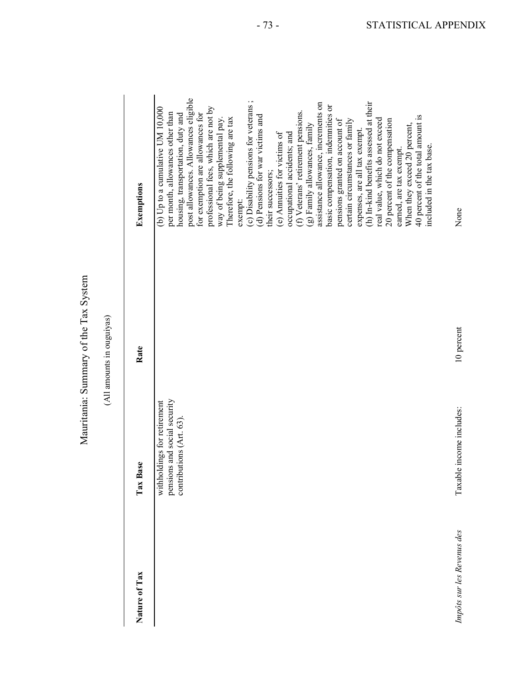|                            |                                                                                        | Mauritania: Summary of the Tax System<br>(All amounts in ouguiyas) |                                                                                                                                                                                                                                                                                                                                                                                                                                                                                                                                                                                                                                                                                                                                                                                                                                                                                                                                                       |
|----------------------------|----------------------------------------------------------------------------------------|--------------------------------------------------------------------|-------------------------------------------------------------------------------------------------------------------------------------------------------------------------------------------------------------------------------------------------------------------------------------------------------------------------------------------------------------------------------------------------------------------------------------------------------------------------------------------------------------------------------------------------------------------------------------------------------------------------------------------------------------------------------------------------------------------------------------------------------------------------------------------------------------------------------------------------------------------------------------------------------------------------------------------------------|
| Nature of Tax              | Tax Base                                                                               | Rate                                                               | Exemptions                                                                                                                                                                                                                                                                                                                                                                                                                                                                                                                                                                                                                                                                                                                                                                                                                                                                                                                                            |
|                            | pensions and social security<br>withholdings for retirement<br>contributions (Art. 63) |                                                                    | post allowances. Allowances eligible<br>(c) Disability pensions for veterans;<br>(h) In-kind benefits assessed at their<br>assistance allowance, increments on<br>basic compensation, indemnities or<br>(b) Up to a cumulative UM 10,000<br>professional fees, which are not by<br>(f) Veterans' retirement pensions.<br>per month, allowances other than<br>for exemption are allowances for<br>housing, transportation, duty and<br>(d) Pensions for war victims and<br>40 percent of the total amount is<br>Therefore, the following are tax<br>real value, which do not exceed<br>pensions granted on account of<br>certain circumstances or family<br>20 percent of the compensation<br>way of being supplemental pay<br>(g) Family allowances, family<br>When they exceed 20 percent,<br>expenses, are all tax exempt.<br>occupational accidents; and<br>(e) Amuities for victims of<br>earned, are tax exempt.<br>their successors;<br>exempt: |
| Impôts sur les Revenus des | Taxable income includes:                                                               | 10 percent                                                         | included in the tax base.<br>None                                                                                                                                                                                                                                                                                                                                                                                                                                                                                                                                                                                                                                                                                                                                                                                                                                                                                                                     |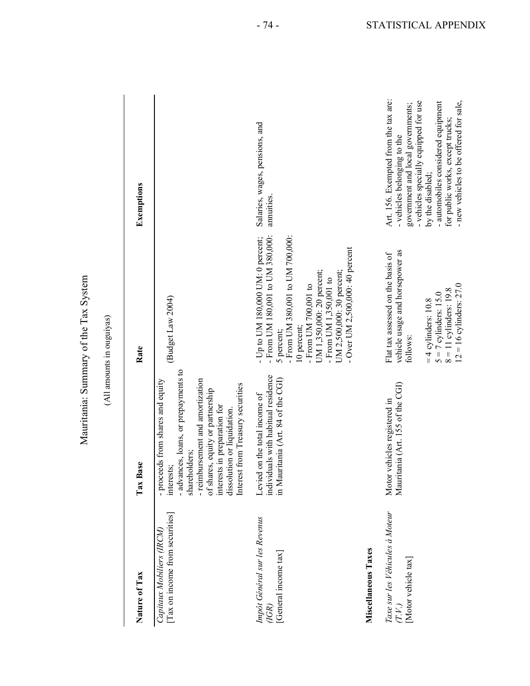| $\frac{1}{2}$         |
|-----------------------|
| $T_{\text{AX}}$       |
|                       |
| . The view of the re- |
|                       |
|                       |

|                                                                  |                                                                                                                                                                                                                                                                                      | Mauritania: Summary of the Tax System<br>(All amounts in ouguiyas)                                                                                                                                                                                                                      |                                                                                                                                                                                                                                                                                           |
|------------------------------------------------------------------|--------------------------------------------------------------------------------------------------------------------------------------------------------------------------------------------------------------------------------------------------------------------------------------|-----------------------------------------------------------------------------------------------------------------------------------------------------------------------------------------------------------------------------------------------------------------------------------------|-------------------------------------------------------------------------------------------------------------------------------------------------------------------------------------------------------------------------------------------------------------------------------------------|
| Nature of Tax                                                    | Tax Base                                                                                                                                                                                                                                                                             | Rate                                                                                                                                                                                                                                                                                    | Exemptions                                                                                                                                                                                                                                                                                |
| [Tax on income from securities]<br>Capitaux Mobiliers (IRCM)     | - advances, loans, or prepayments to<br>- reimbursement and amortization<br>- proceeds from shares and equity<br>Interest from Treasury securities<br>of shares, equity or partnership<br>interests in preparation for<br>dissolution or liquidation.<br>shareholders;<br>interests; | (Budget Law 2004)                                                                                                                                                                                                                                                                       |                                                                                                                                                                                                                                                                                           |
| Impôt Général sur les Revenus<br>[General income tax]<br>(IGR)   | individuals with habitual residence<br>in Mauritania (Art. 84 of the CGI)<br>Levied on the total income of                                                                                                                                                                           | - From UM 180,001 to UM 380,000:<br>- From UM 380,001 to UM 700,000:<br>- Up to UM 180,000 UM: 0 percent;<br>- Over UM 2,500,000: 40 percent<br>UM 1,350,000: 20 percent;<br>UM 2,500,000: 30 percent;<br>- From UM $1.350.001$ to<br>- From UM 700,001 to<br>10 percent;<br>5 percent; | Salaries, wages, pensions, and<br><i>annuities</i> .                                                                                                                                                                                                                                      |
| Miscellaneous Taxes                                              |                                                                                                                                                                                                                                                                                      |                                                                                                                                                                                                                                                                                         |                                                                                                                                                                                                                                                                                           |
| Taxe sur les Véhicules à Moteur<br>[Motor vehicle tax]<br>(T.V.) | Mauritania (Art. 155 of the CGI)<br>Motor vehicles registered in                                                                                                                                                                                                                     | vehicle usage and horsepower as<br>Flat tax assessed on the basis of<br>$12 = 16$ cylinders: 27.0<br>$8 = 11$ cylinders: 19.8<br>$5 = 7$ cylinders: 15.0<br>$=$ 4 cylinders: 10.8<br>follows:                                                                                           | Art. 156. Exempted from the tax are:<br>- vehicles specially equipped for use<br>- new vehicles to be offered for sale,<br>- automobiles considered equipment<br>government and local governments;<br>for public works, except trucks;<br>- vehicles belonging to the<br>by the disabled; |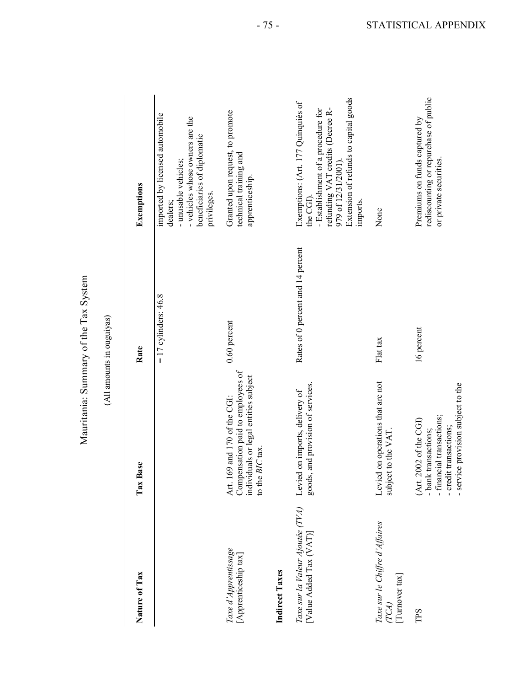|                                                             |                                                                                                                                             | Mauritania: Summary of the Tax System |                                                                                                                                                                                                      |
|-------------------------------------------------------------|---------------------------------------------------------------------------------------------------------------------------------------------|---------------------------------------|------------------------------------------------------------------------------------------------------------------------------------------------------------------------------------------------------|
|                                                             |                                                                                                                                             | (All amounts in ouguiyas)             |                                                                                                                                                                                                      |
| Nature of Tax                                               | Tax Base                                                                                                                                    | Rate                                  | Exemptions                                                                                                                                                                                           |
|                                                             |                                                                                                                                             | $= 17$ cylinders: 46.8                | imported by licensed automobile<br>- vehicles whose owners are the<br>beneficiaries of diplomatic<br>- unusable vehicles;<br>privileges.<br>dealers;                                                 |
| Taxe d'Apprentissage<br>[Apprenticeship tax]                | Compensation paid to employees of<br>individuals or legal entities subject<br>69 and 170 of the CGI:<br>to the BIC tax.<br>Art. 1           | $0.60$ percent                        | Granted upon request, to promote<br>technical training and<br>apprenticeship.                                                                                                                        |
| Indirect Taxes                                              |                                                                                                                                             |                                       |                                                                                                                                                                                                      |
| Taxe sur la Valeur Ajoutée (TVA)<br>[Value Added Tax (VAT)] | goods, and provision of services.<br>Levied on imports, delivery of                                                                         | Rates of 0 percent and 14 percent     | Extension of refunds to capital goods<br>Exemptions: (Art. 177 Quinquiès of<br>- Establishment of a procedure for<br>refunding VAT credits (Decree R-<br>979 of 12/31/2001)<br>the CGI).<br>imports. |
| Taxe sur le Chiffre d'Affaires<br>Tumover $\max$<br>TCA)    | Levied on operations that are not<br>subject to the VAT                                                                                     | Flat tax                              | None                                                                                                                                                                                                 |
| TPS                                                         | - service provision subject to the<br>- financial transactions;<br>(Art. 2002 of the CGI)<br>- credit transactions;<br>- bank transactions; | 16 percent                            | rediscounting or repurchase of public<br>Premiums on funds captured by<br>or private securities.                                                                                                     |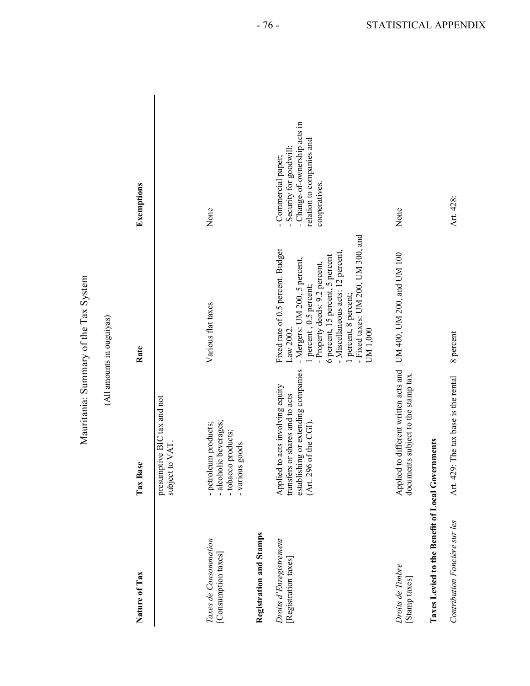| ------<br>$\overline{c}$ |
|--------------------------|
| F                        |
|                          |
| ummary of the lax S      |
|                          |
| u nu                     |
|                          |

|                                                  |                                                                                                                                          | Mauritania: Summary of the Tax System                                                                                                                                                                                                                                                             |                                                                                                                                |
|--------------------------------------------------|------------------------------------------------------------------------------------------------------------------------------------------|---------------------------------------------------------------------------------------------------------------------------------------------------------------------------------------------------------------------------------------------------------------------------------------------------|--------------------------------------------------------------------------------------------------------------------------------|
|                                                  |                                                                                                                                          | (All amounts in ouguiyas)                                                                                                                                                                                                                                                                         |                                                                                                                                |
| Nature of Tax                                    | Tax Base                                                                                                                                 | Rate                                                                                                                                                                                                                                                                                              | Exemptions                                                                                                                     |
|                                                  | presumptive BIC tax and not<br>to VAT<br>subject                                                                                         |                                                                                                                                                                                                                                                                                                   |                                                                                                                                |
| Taxes de Consommation<br>[Consumption taxes]     | - alcoholic beverages;<br>- petroleum products;<br>- tobacco products;<br>- various goods.                                               | Various flat taxes                                                                                                                                                                                                                                                                                | None                                                                                                                           |
| <b>Registration and Stamps</b>                   |                                                                                                                                          |                                                                                                                                                                                                                                                                                                   |                                                                                                                                |
| Droits d'Enregistrement<br>[Registration taxes]  | establishing or extending companies<br>to acts involving equity<br>transfers or shares and to acts<br>(Art. 296 of the CGI).<br>Applied: | - Fixed taxes: UM 200, UM 300, and<br>Fixed rate of 0.5 percent. Budget<br>- Miscellaneous acts: 12 percent,<br>6 percent, 15 percent, 5 percent<br>- Mergers: UM 200, 5 percent,<br>- Property deeds: 9.2 percent,<br>percent, 0.5 percent;<br>1 percent, 8 percent;<br>UM 1,000<br>Law $2002$ . | - Change-of-ownership acts in<br>relation to companies and<br>- Security for goodwill;<br>- Commercial paper;<br>cooperatives. |
| Droits de Timbre<br>[Stamp taxes]                | to different written acts and<br>documents subject to the stamp tax.<br>Applied                                                          | UM 400, UM 200, and UM 100                                                                                                                                                                                                                                                                        | None                                                                                                                           |
| Taxes Levied to the Benefit of Local Governments |                                                                                                                                          |                                                                                                                                                                                                                                                                                                   |                                                                                                                                |
| Contribution Foncière sur les                    | Art. 429: The tax base is the rental                                                                                                     | 8 percent                                                                                                                                                                                                                                                                                         | Art. 428:                                                                                                                      |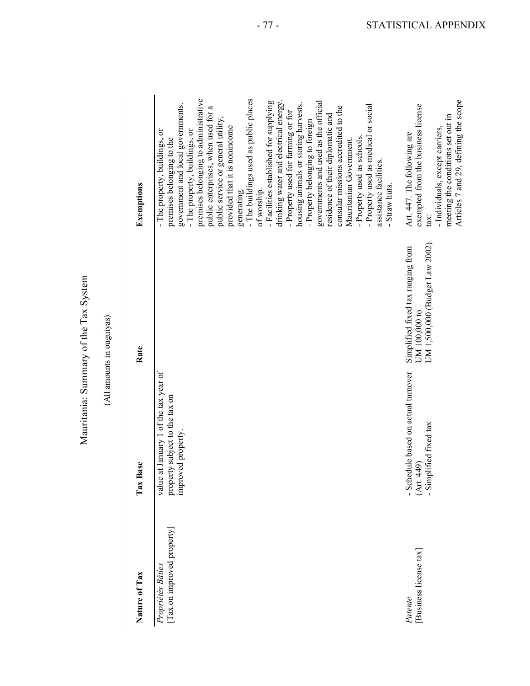|                                                 |                                                                                              | Mauritania: Summary of the Tax System                                                |                                                                                                                                                                                                                                                                                                                                                                                                                                                                                                                                                                                                                                                                                                                                                                                                                                    |
|-------------------------------------------------|----------------------------------------------------------------------------------------------|--------------------------------------------------------------------------------------|------------------------------------------------------------------------------------------------------------------------------------------------------------------------------------------------------------------------------------------------------------------------------------------------------------------------------------------------------------------------------------------------------------------------------------------------------------------------------------------------------------------------------------------------------------------------------------------------------------------------------------------------------------------------------------------------------------------------------------------------------------------------------------------------------------------------------------|
|                                                 |                                                                                              | (All amounts in ouguiyas)                                                            |                                                                                                                                                                                                                                                                                                                                                                                                                                                                                                                                                                                                                                                                                                                                                                                                                                    |
| Nature of Tax                                   | Tax Base                                                                                     | Rate                                                                                 | Exemptions                                                                                                                                                                                                                                                                                                                                                                                                                                                                                                                                                                                                                                                                                                                                                                                                                         |
| [Tax on improved property]<br>Propriétés Bâties | value at January 1 of the tax year of<br>property subject to the tax on<br>improved property |                                                                                      | premises belonging to administrative<br>- The buildings used as public places<br>drinking water and electrical energy.<br>- Facilities established for supplying<br>governments and used as the official<br>housing animals or storing harvests.<br>government and local governments.<br>- Property used as medical or social<br>consular missions accredited to the<br>public enterprises, when used for a<br>- Property used for farming or for<br>residence of their diplomatic and<br>public service or general utility,<br>- Property belonging to foreign<br>provided that it is nonincome<br>- The property, buildings, or<br>- The property, buildings, or<br>- Property used as schools.<br>premises belonging to the<br>Mauritanian Government.<br>assistance facilities.<br>- Straw huts.<br>of worship.<br>generating. |
| Business license tax<br>Patente                 | - Schedule based on actual turnover<br>- Simplified fixed tax<br>(Art. 449)                  | UM 1,500,000 (Budget Law 2002)<br>Simplified fixed tax ranging from<br>UM 100,000 to | Articles 7 and 29, defining the scope<br>exempted from the business license<br>meeting the conditions set out in<br>- Individuals, except carriers,<br>Art. 447. The following are<br>tax:                                                                                                                                                                                                                                                                                                                                                                                                                                                                                                                                                                                                                                         |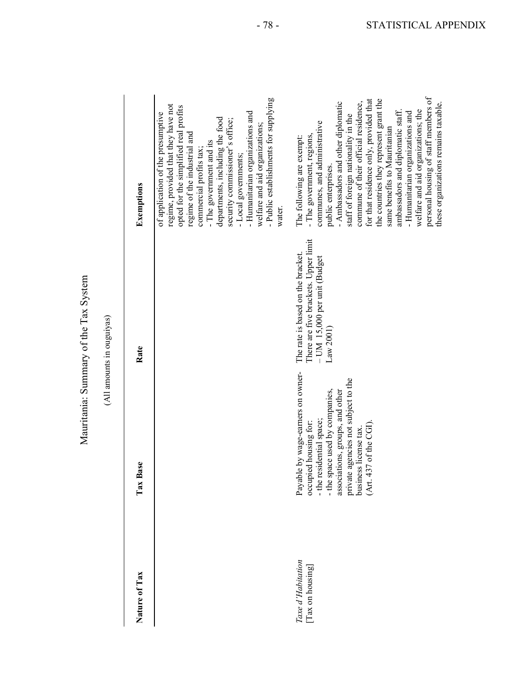| TCTAT<br>١              |  |
|-------------------------|--|
|                         |  |
|                         |  |
| Summary of the Tax S    |  |
| $-51$<br>$\ddot{\cdot}$ |  |
| į                       |  |

|                                     |                                                                                                                                                                                                                                                           | Mauritania: Summary of the Tax System                                                                                 |                                                                                                                                                                                                                                                                                                                                                                                                                                                                                                                                                        |
|-------------------------------------|-----------------------------------------------------------------------------------------------------------------------------------------------------------------------------------------------------------------------------------------------------------|-----------------------------------------------------------------------------------------------------------------------|--------------------------------------------------------------------------------------------------------------------------------------------------------------------------------------------------------------------------------------------------------------------------------------------------------------------------------------------------------------------------------------------------------------------------------------------------------------------------------------------------------------------------------------------------------|
|                                     |                                                                                                                                                                                                                                                           | (All amounts in ouguiyas)                                                                                             |                                                                                                                                                                                                                                                                                                                                                                                                                                                                                                                                                        |
| Nature of Tax                       | Tax Base                                                                                                                                                                                                                                                  | Rate                                                                                                                  | Exemptions                                                                                                                                                                                                                                                                                                                                                                                                                                                                                                                                             |
|                                     |                                                                                                                                                                                                                                                           |                                                                                                                       | - Public establishments for supplying<br>regime, provided that they have not<br>opted for the simplified real profits<br>- Humanitarian organizations and<br>of application of the presumptive<br>departments, including the food<br>security commissioner's office;<br>welfare and aid organizations:<br>regime of the industrial and<br>- The government and its<br>commercial profits tax:<br>- Local governments;<br>water.                                                                                                                        |
| Taxe d'Habitation<br>Tax on housing | le by wage-earners on owner-<br>private agencies not subject to the<br>business license tax.<br>- the space used by companies,<br>associations, groups, and other<br>- the residential space;<br>occupied housing for:<br>(Art. 437 of the CGI)<br>Payabl | There are five brackets. Upper limit<br>The rate is based on the bracket.<br>- UM 15,000 per unit (Budget<br>Law 2001 | personal housing of staff members of<br>for that residence only, provided that<br>the countries they represent grant the<br>- Ambassadors and other diplomatic<br>commune of their official residence,<br>these organizations remains taxable.<br>welfare and aid organizations; the<br>ambassadors and diplomatic staff.<br>- Humanitarian organizations and<br>staff of foreign nationality in the<br>communes, and administrative<br>same benefits to Mauritanian<br>- The government, regions,<br>The following are exempt:<br>public enterprises. |